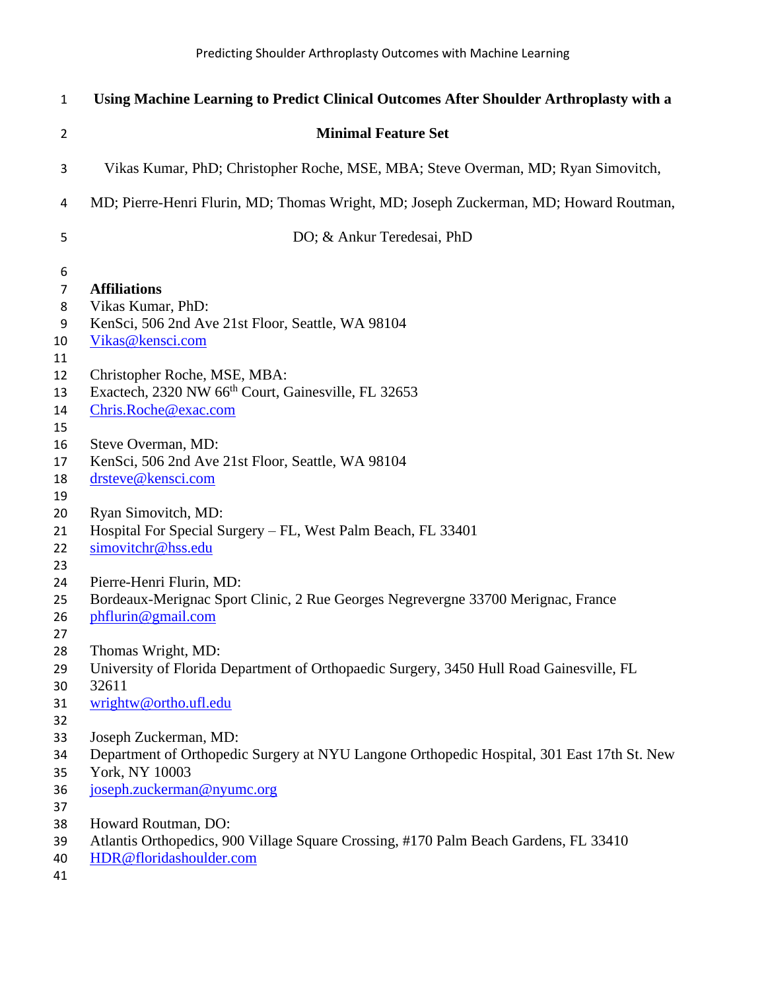| $\mathbf{1}$   | Using Machine Learning to Predict Clinical Outcomes After Shoulder Arthroplasty with a     |
|----------------|--------------------------------------------------------------------------------------------|
| $\overline{2}$ | <b>Minimal Feature Set</b>                                                                 |
| 3              | Vikas Kumar, PhD; Christopher Roche, MSE, MBA; Steve Overman, MD; Ryan Simovitch,          |
| 4              | MD; Pierre-Henri Flurin, MD; Thomas Wright, MD; Joseph Zuckerman, MD; Howard Routman,      |
| 5              | DO; & Ankur Teredesai, PhD                                                                 |
| 6              |                                                                                            |
| $\overline{7}$ | <b>Affiliations</b>                                                                        |
| 8              | Vikas Kumar, PhD:                                                                          |
| 9              | KenSci, 506 2nd Ave 21st Floor, Seattle, WA 98104                                          |
| 10<br>11       | Vikas@kensci.com                                                                           |
| 12             | Christopher Roche, MSE, MBA:                                                               |
| 13             | Exactech, 2320 NW 66 <sup>th</sup> Court, Gainesville, FL 32653                            |
| 14             | Chris.Roche@exac.com                                                                       |
| 15             |                                                                                            |
| 16             | Steve Overman, MD:                                                                         |
| 17             | KenSci, 506 2nd Ave 21st Floor, Seattle, WA 98104                                          |
| 18             | drsteve@kensci.com                                                                         |
| 19             |                                                                                            |
| 20             | Ryan Simovitch, MD:                                                                        |
| 21             | Hospital For Special Surgery - FL, West Palm Beach, FL 33401                               |
| 22             | simovitchr@hss.edu                                                                         |
| 23             |                                                                                            |
| 24             | Pierre-Henri Flurin, MD:                                                                   |
| 25             | Bordeaux-Merignac Sport Clinic, 2 Rue Georges Negrevergne 33700 Merignac, France           |
| 26             | phflurin@gmail.com                                                                         |
| 27             |                                                                                            |
| 28             | Thomas Wright, MD:                                                                         |
| 29             | University of Florida Department of Orthopaedic Surgery, 3450 Hull Road Gainesville, FL    |
| 30             | 32611                                                                                      |
| 31             | wrightw@ortho.ufl.edu                                                                      |
| 32             |                                                                                            |
| 33             | Joseph Zuckerman, MD:                                                                      |
| 34             | Department of Orthopedic Surgery at NYU Langone Orthopedic Hospital, 301 East 17th St. New |
| 35             | York, NY 10003                                                                             |
| 36             | joseph.zuckerman@nyumc.org                                                                 |
| 37             |                                                                                            |
| 38             | Howard Routman, DO:                                                                        |
| 39             | Atlantis Orthopedics, 900 Village Square Crossing, #170 Palm Beach Gardens, FL 33410       |
| 40             | HDR@floridashoulder.com                                                                    |
| 41             |                                                                                            |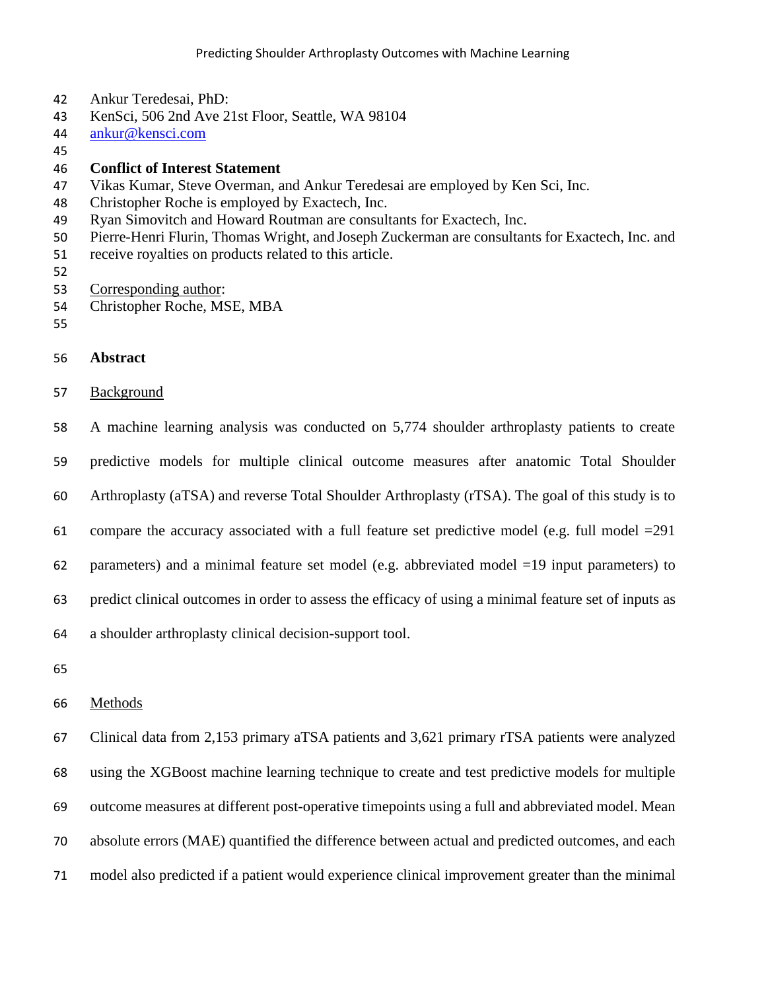- Ankur Teredesai, PhD:
- KenSci, 506 2nd Ave 21st Floor, Seattle, WA 98104
- [ankur@kensci.com](mailto:ankur@kensci.com)
- 

# **Conflict of Interest Statement**

- Vikas Kumar, Steve Overman, and Ankur Teredesai are employed by Ken Sci, Inc.
- Christopher Roche is employed by Exactech, Inc.
- Ryan Simovitch and Howard Routman are consultants for Exactech, Inc.
- Pierre-Henri Flurin, Thomas Wright, and Joseph Zuckerman are consultants for Exactech, Inc. and
- receive royalties on products related to this article.
- 
- Corresponding author:
- Christopher Roche, MSE, MBA
- 
- **Abstract**
- Background

 A machine learning analysis was conducted on 5,774 shoulder arthroplasty patients to create predictive models for multiple clinical outcome measures after anatomic Total Shoulder Arthroplasty (aTSA) and reverse Total Shoulder Arthroplasty (rTSA). The goal of this study is to compare the accuracy associated with a full feature set predictive model (e.g. full model =291 62 parameters) and a minimal feature set model (e.g. abbreviated model  $=19$  input parameters) to predict clinical outcomes in order to assess the efficacy of using a minimal feature set of inputs as a shoulder arthroplasty clinical decision-support tool.

- 
- Methods

 Clinical data from 2,153 primary aTSA patients and 3,621 primary rTSA patients were analyzed using the XGBoost machine learning technique to create and test predictive models for multiple outcome measures at different post-operative timepoints using a full and abbreviated model. Mean absolute errors (MAE) quantified the difference between actual and predicted outcomes, and each model also predicted if a patient would experience clinical improvement greater than the minimal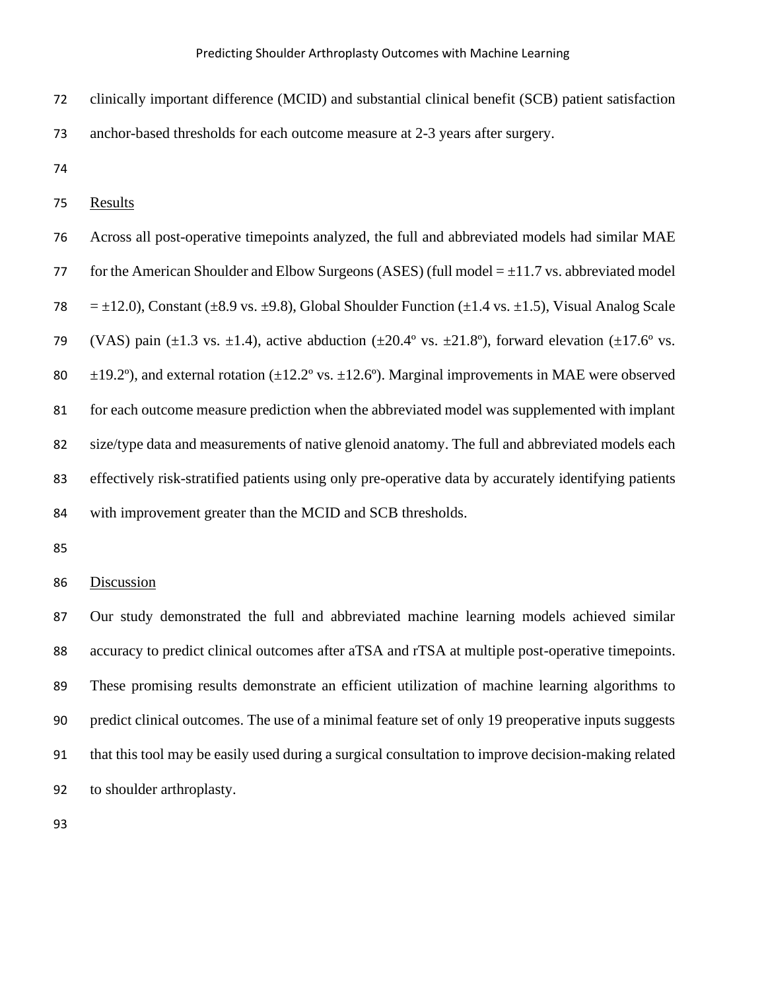clinically important difference (MCID) and substantial clinical benefit (SCB) patient satisfaction

anchor-based thresholds for each outcome measure at 2-3 years after surgery.

Results

 Across all post-operative timepoints analyzed, the full and abbreviated models had similar MAE 77 for the American Shoulder and Elbow Surgeons (ASES) (full model  $= \pm 11.7$  vs. abbreviated model 78 =  $\pm$ 12.0), Constant ( $\pm$ 8.9 vs.  $\pm$ 9.8), Global Shoulder Function ( $\pm$ 1.4 vs.  $\pm$ 1.5), Visual Analog Scale 79 (VAS) pain ( $\pm$ 1.3 vs.  $\pm$ 1.4), active abduction ( $\pm$ 20.4° vs.  $\pm$ 21.8°), forward elevation ( $\pm$ 17.6° vs. 80  $\pm$ 19.2°), and external rotation ( $\pm$ 12.2° vs.  $\pm$ 12.6°). Marginal improvements in MAE were observed for each outcome measure prediction when the abbreviated model was supplemented with implant size/type data and measurements of native glenoid anatomy. The full and abbreviated models each effectively risk-stratified patients using only pre-operative data by accurately identifying patients 84 with improvement greater than the MCID and SCB thresholds.

### Discussion

 Our study demonstrated the full and abbreviated machine learning models achieved similar accuracy to predict clinical outcomes after aTSA and rTSA at multiple post-operative timepoints. These promising results demonstrate an efficient utilization of machine learning algorithms to predict clinical outcomes. The use of a minimal feature set of only 19 preoperative inputs suggests that this tool may be easily used during a surgical consultation to improve decision-making related to shoulder arthroplasty.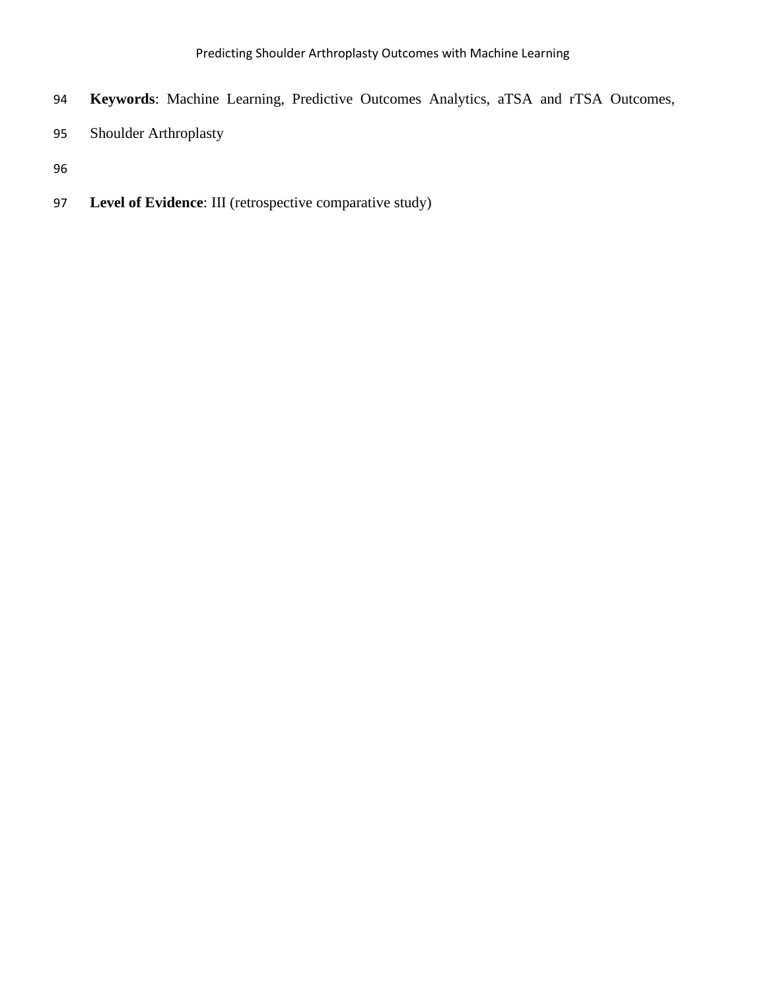- **Keywords**: Machine Learning, Predictive Outcomes Analytics, aTSA and rTSA Outcomes,
- Shoulder Arthroplasty

**Level of Evidence**: III (retrospective comparative study)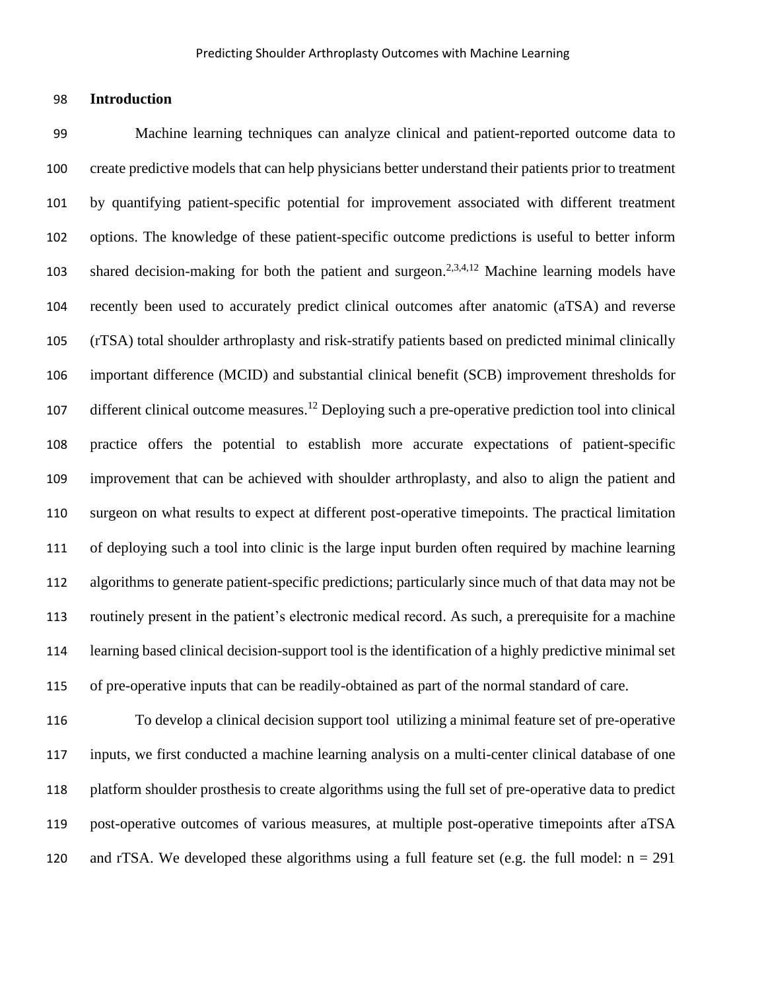#### **Introduction**

 Machine learning techniques can analyze clinical and patient-reported outcome data to create predictive models that can help physicians better understand their patients prior to treatment by quantifying patient-specific potential for improvement associated with different treatment options. The knowledge of these patient-specific outcome predictions is useful to better inform 103 shared decision-making for both the patient and surgeon.<sup>2,3,4,12</sup> Machine learning models have recently been used to accurately predict clinical outcomes after anatomic (aTSA) and reverse (rTSA) total shoulder arthroplasty and risk-stratify patients based on predicted minimal clinically important difference (MCID) and substantial clinical benefit (SCB) improvement thresholds for 107 different clinical outcome measures.<sup>12</sup> Deploying such a pre-operative prediction tool into clinical practice offers the potential to establish more accurate expectations of patient-specific improvement that can be achieved with shoulder arthroplasty, and also to align the patient and surgeon on what results to expect at different post-operative timepoints. The practical limitation of deploying such a tool into clinic is the large input burden often required by machine learning algorithms to generate patient-specific predictions; particularly since much of that data may not be routinely present in the patient's electronic medical record. As such, a prerequisite for a machine learning based clinical decision-support tool is the identification of a highly predictive minimal set of pre-operative inputs that can be readily-obtained as part of the normal standard of care.

 To develop a clinical decision support tool utilizing a minimal feature set of pre-operative inputs, we first conducted a machine learning analysis on a multi-center clinical database of one platform shoulder prosthesis to create algorithms using the full set of pre-operative data to predict post-operative outcomes of various measures, at multiple post-operative timepoints after aTSA 120 and rTSA. We developed these algorithms using a full feature set (e.g. the full model:  $n = 291$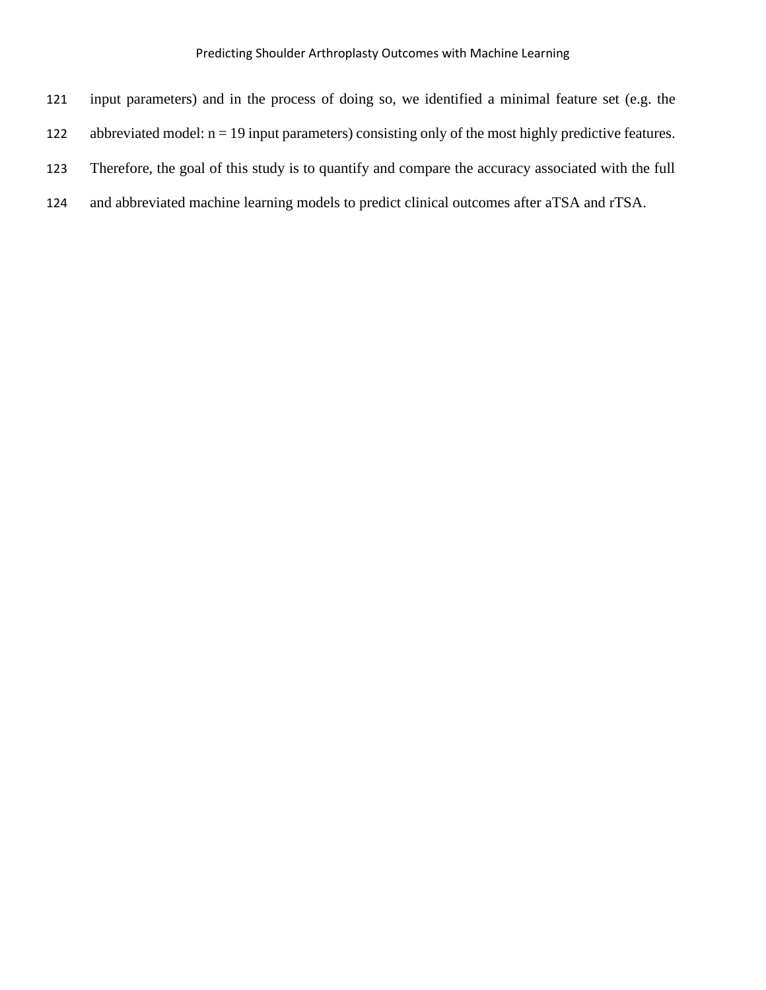| 121 | input parameters) and in the process of doing so, we identified a minimal feature set (e.g. the       |
|-----|-------------------------------------------------------------------------------------------------------|
| 122 | abbreviated model: $n = 19$ input parameters) consisting only of the most highly predictive features. |
| 123 | Therefore, the goal of this study is to quantify and compare the accuracy associated with the full    |
| 124 | and abbreviated machine learning models to predict clinical outcomes after aTSA and rTSA.             |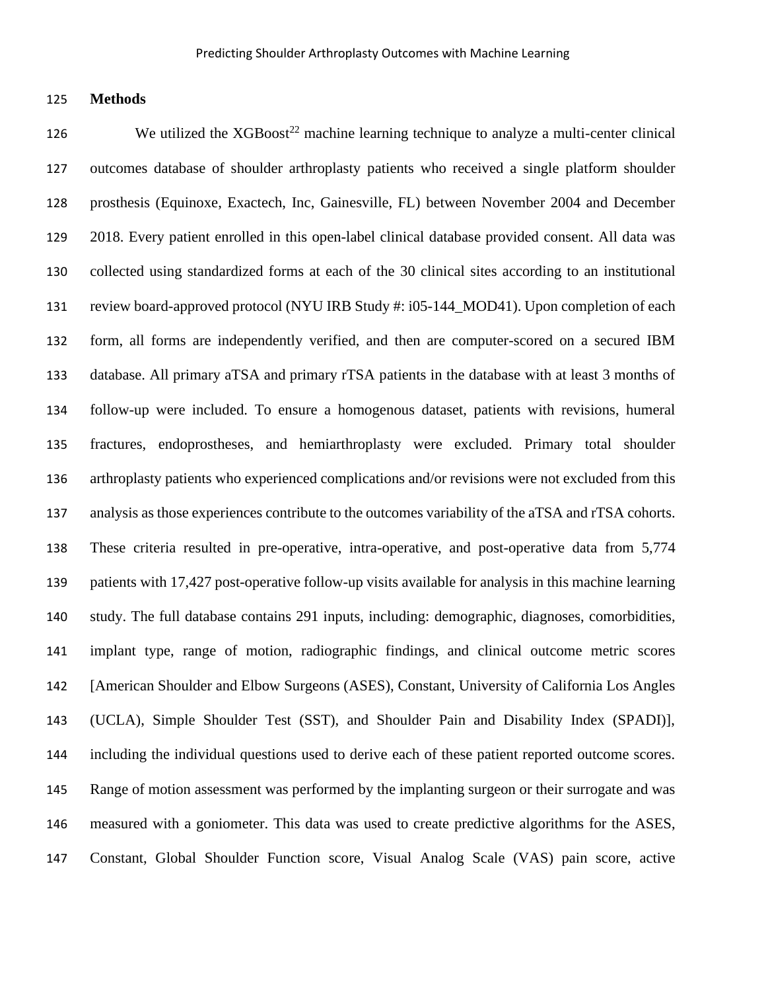#### **Methods**

126 We utilized the  $XGBoost^{22}$  machine learning technique to analyze a multi-center clinical outcomes database of shoulder arthroplasty patients who received a single platform shoulder prosthesis (Equinoxe, Exactech, Inc, Gainesville, FL) between November 2004 and December 2018. Every patient enrolled in this open-label clinical database provided consent. All data was collected using standardized forms at each of the 30 clinical sites according to an institutional review board-approved protocol (NYU IRB Study #: i05-144\_MOD41). Upon completion of each form, all forms are independently verified, and then are computer-scored on a secured IBM database. All primary aTSA and primary rTSA patients in the database with at least 3 months of follow-up were included. To ensure a homogenous dataset, patients with revisions, humeral fractures, endoprostheses, and hemiarthroplasty were excluded. Primary total shoulder arthroplasty patients who experienced complications and/or revisions were not excluded from this analysis as those experiences contribute to the outcomes variability of the aTSA and rTSA cohorts. These criteria resulted in pre-operative, intra-operative, and post-operative data from 5,774 patients with 17,427 post-operative follow-up visits available for analysis in this machine learning study. The full database contains 291 inputs, including: demographic, diagnoses, comorbidities, implant type, range of motion, radiographic findings, and clinical outcome metric scores [American Shoulder and Elbow Surgeons (ASES), Constant, University of California Los Angles (UCLA), Simple Shoulder Test (SST), and Shoulder Pain and Disability Index (SPADI)], including the individual questions used to derive each of these patient reported outcome scores. Range of motion assessment was performed by the implanting surgeon or their surrogate and was measured with a goniometer. This data was used to create predictive algorithms for the ASES, Constant, Global Shoulder Function score, Visual Analog Scale (VAS) pain score, active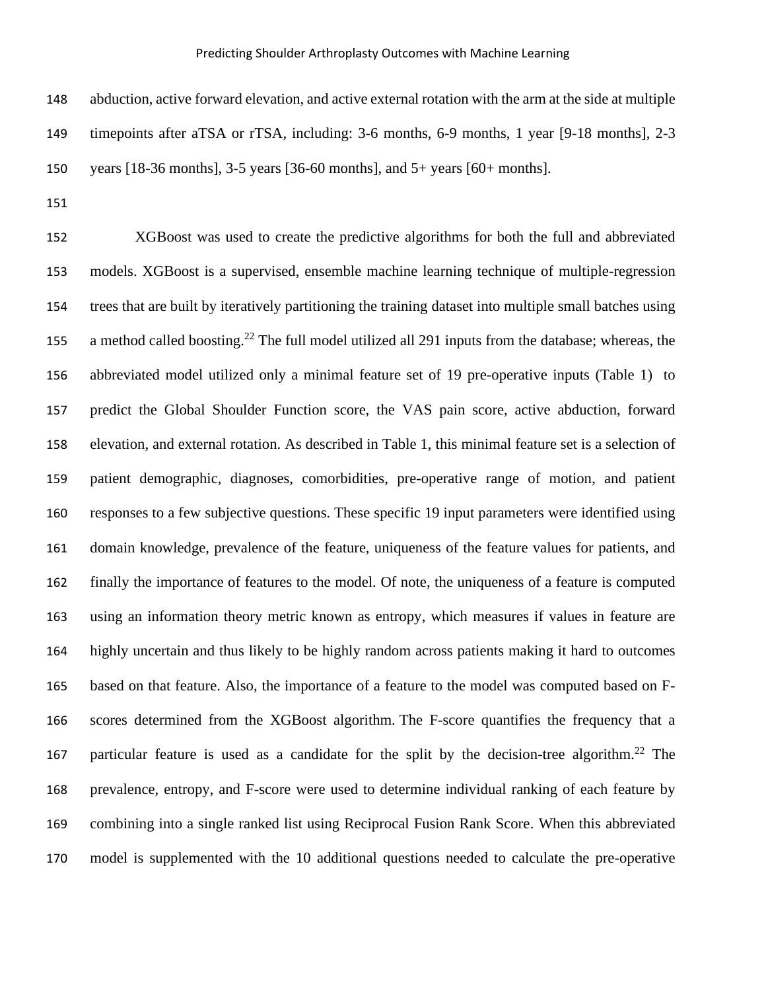abduction, active forward elevation, and active external rotation with the arm at the side at multiple timepoints after aTSA or rTSA, including: 3-6 months, 6-9 months, 1 year [9-18 months], 2-3 years [18-36 months], 3-5 years [36-60 months], and 5+ years [60+ months].

 XGBoost was used to create the predictive algorithms for both the full and abbreviated models. XGBoost is a supervised, ensemble machine learning technique of multiple-regression trees that are built by iteratively partitioning the training dataset into multiple small batches using 155 a method called boosting.<sup>22</sup> The full model utilized all 291 inputs from the database; whereas, the abbreviated model utilized only a minimal feature set of 19 pre-operative inputs (Table 1) to predict the Global Shoulder Function score, the VAS pain score, active abduction, forward elevation, and external rotation. As described in Table 1, this minimal feature set is a selection of patient demographic, diagnoses, comorbidities, pre-operative range of motion, and patient responses to a few subjective questions. These specific 19 input parameters were identified using domain knowledge, prevalence of the feature, uniqueness of the feature values for patients, and finally the importance of features to the model. Of note, the uniqueness of a feature is computed using an information theory metric known as entropy, which measures if values in feature are highly uncertain and thus likely to be highly random across patients making it hard to outcomes based on that feature. Also, the importance of a feature to the model was computed based on F- scores determined from the XGBoost algorithm. The F-score quantifies the frequency that a 167 particular feature is used as a candidate for the split by the decision-tree algorithm.<sup>22</sup> The prevalence, entropy, and F-score were used to determine individual ranking of each feature by combining into a single ranked list using Reciprocal Fusion Rank Score. When this abbreviated model is supplemented with the 10 additional questions needed to calculate the pre-operative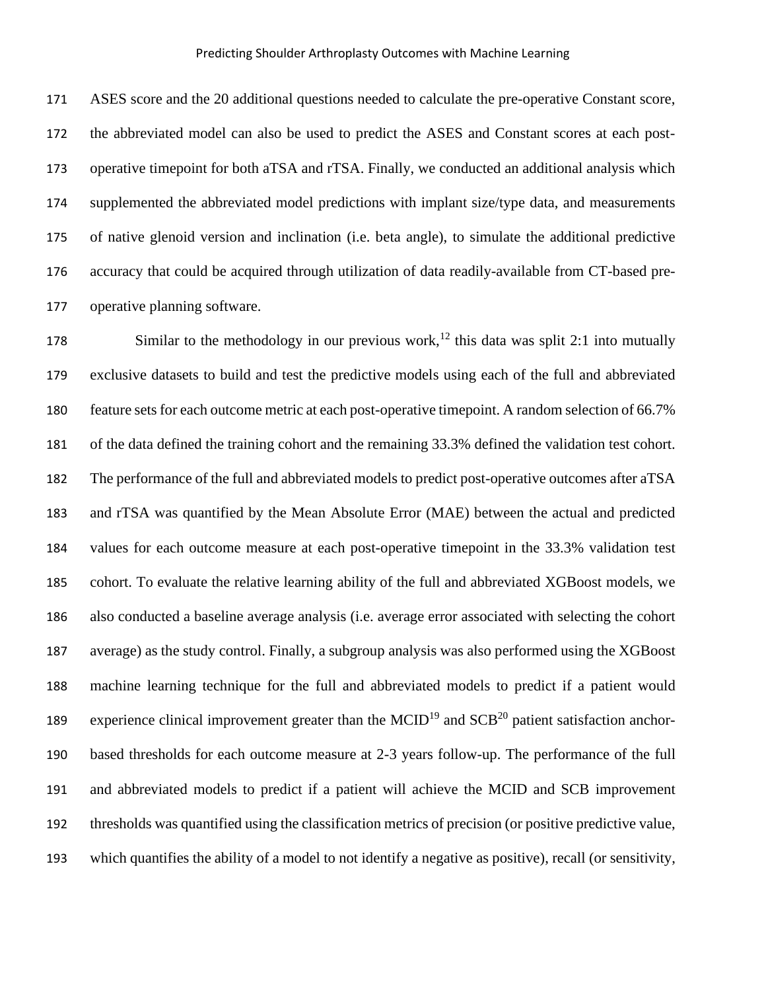ASES score and the 20 additional questions needed to calculate the pre-operative Constant score, the abbreviated model can also be used to predict the ASES and Constant scores at each post- operative timepoint for both aTSA and rTSA. Finally, we conducted an additional analysis which supplemented the abbreviated model predictions with implant size/type data, and measurements of native glenoid version and inclination (i.e. beta angle), to simulate the additional predictive accuracy that could be acquired through utilization of data readily-available from CT-based pre-operative planning software.

178 Similar to the methodology in our previous work,<sup>12</sup> this data was split 2:1 into mutually exclusive datasets to build and test the predictive models using each of the full and abbreviated 180 feature sets for each outcome metric at each post-operative timepoint. A random selection of 66.7% of the data defined the training cohort and the remaining 33.3% defined the validation test cohort. The performance of the full and abbreviated models to predict post-operative outcomes after aTSA and rTSA was quantified by the Mean Absolute Error (MAE) between the actual and predicted values for each outcome measure at each post-operative timepoint in the 33.3% validation test cohort. To evaluate the relative learning ability of the full and abbreviated XGBoost models, we also conducted a baseline average analysis (i.e. average error associated with selecting the cohort average) as the study control. Finally, a subgroup analysis was also performed using the XGBoost machine learning technique for the full and abbreviated models to predict if a patient would 189 experience clinical improvement greater than the  $MCID<sup>19</sup>$  and  $SCB<sup>20</sup>$  patient satisfaction anchor- based thresholds for each outcome measure at 2-3 years follow-up. The performance of the full and abbreviated models to predict if a patient will achieve the MCID and SCB improvement thresholds was quantified using the classification metrics of precision (or positive predictive value, which quantifies the ability of a model to not identify a negative as positive), recall (or sensitivity,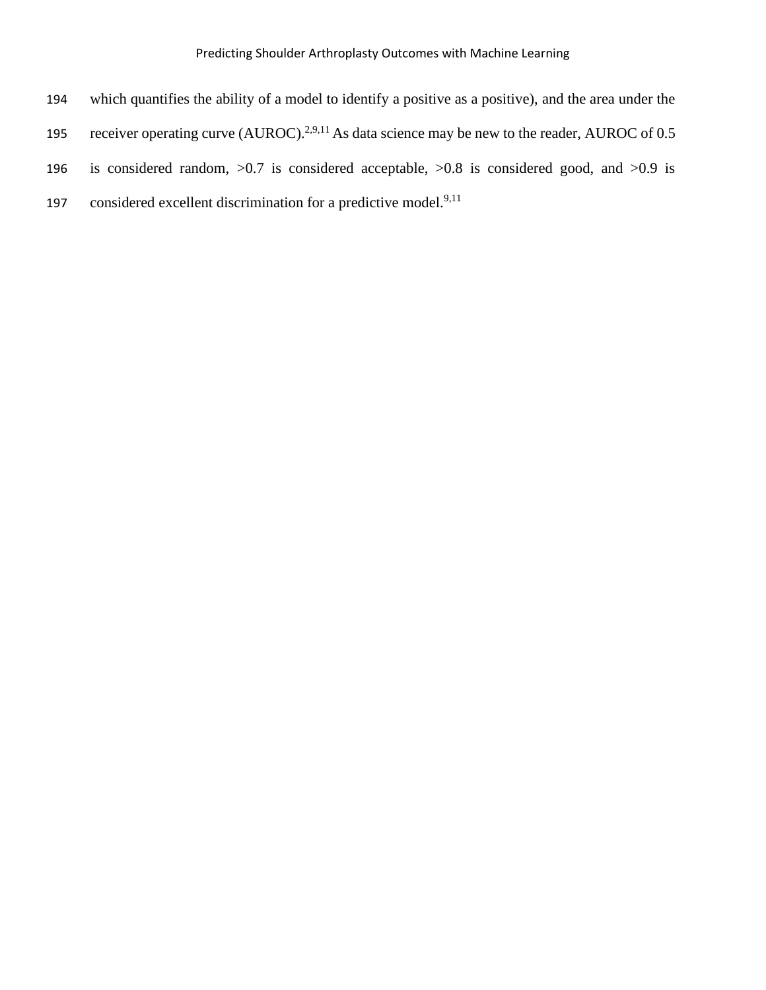- 194 which quantifies the ability of a model to identify a positive as a positive), and the area under the
- 195 receiver operating curve (AUROC).<sup>2,9,11</sup> As data science may be new to the reader, AUROC of 0.5
- 196 is considered random, >0.7 is considered acceptable, >0.8 is considered good, and >0.9 is
- 197 considered excellent discrimination for a predictive model. $9,11$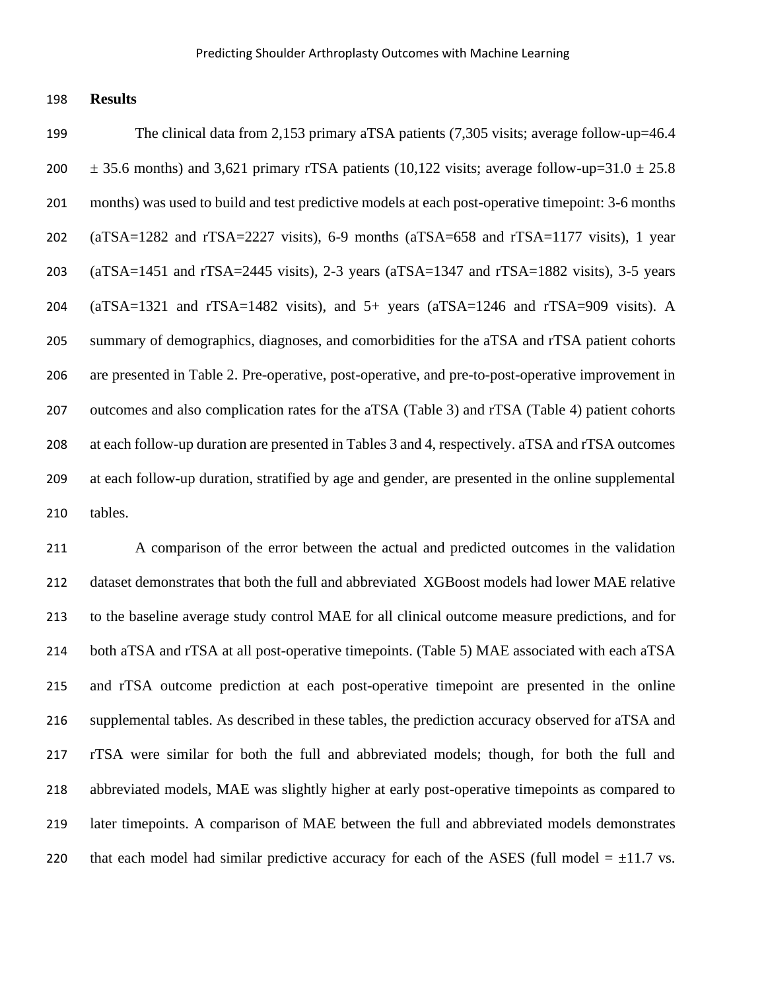**Results**

199 The clinical data from 2,153 primary aTSA patients (7,305 visits; average follow-up=46.4  $\pm$  35.6 months) and 3,621 primary rTSA patients (10,122 visits; average follow-up=31.0  $\pm$  25.8 months) was used to build and test predictive models at each post-operative timepoint: 3-6 months (aTSA=1282 and rTSA=2227 visits), 6-9 months (aTSA=658 and rTSA=1177 visits), 1 year (aTSA=1451 and rTSA=2445 visits), 2-3 years (aTSA=1347 and rTSA=1882 visits), 3-5 years (aTSA=1321 and rTSA=1482 visits), and 5+ years (aTSA=1246 and rTSA=909 visits). A summary of demographics, diagnoses, and comorbidities for the aTSA and rTSA patient cohorts are presented in Table 2. Pre-operative, post-operative, and pre-to-post-operative improvement in outcomes and also complication rates for the aTSA (Table 3) and rTSA (Table 4) patient cohorts at each follow-up duration are presented in Tables 3 and 4, respectively. aTSA and rTSA outcomes at each follow-up duration, stratified by age and gender, are presented in the online supplemental tables.

 A comparison of the error between the actual and predicted outcomes in the validation dataset demonstrates that both the full and abbreviated XGBoost models had lower MAE relative to the baseline average study control MAE for all clinical outcome measure predictions, and for both aTSA and rTSA at all post-operative timepoints. (Table 5) MAE associated with each aTSA and rTSA outcome prediction at each post-operative timepoint are presented in the online supplemental tables. As described in these tables, the prediction accuracy observed for aTSA and rTSA were similar for both the full and abbreviated models; though, for both the full and abbreviated models, MAE was slightly higher at early post-operative timepoints as compared to later timepoints. A comparison of MAE between the full and abbreviated models demonstrates 220 that each model had similar predictive accuracy for each of the ASES (full model  $= \pm 11.7$  vs.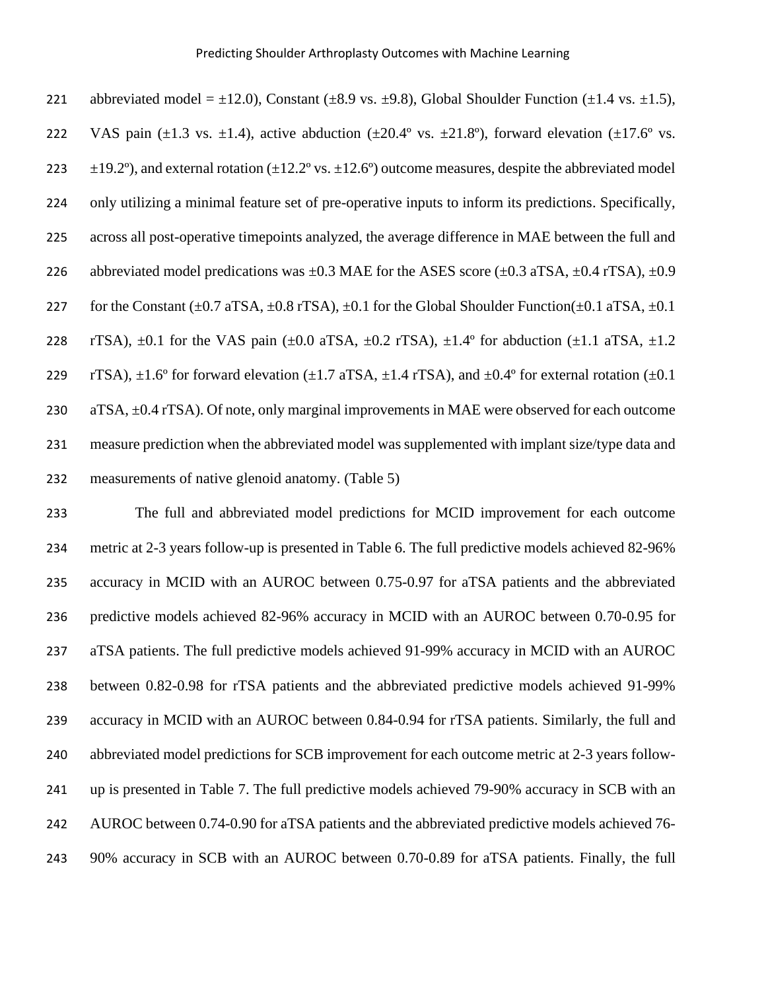| 221 | abbreviated model = $\pm$ 12.0), Constant ( $\pm$ 8.9 vs. $\pm$ 9.8), Global Shoulder Function ( $\pm$ 1.4 vs. $\pm$ 1.5),                  |
|-----|---------------------------------------------------------------------------------------------------------------------------------------------|
| 222 | VAS pain ( $\pm$ 1.3 vs. $\pm$ 1.4), active abduction ( $\pm$ 20.4° vs. $\pm$ 21.8°), forward elevation ( $\pm$ 17.6° vs.                   |
| 223 | $\pm$ 19.2°), and external rotation ( $\pm$ 12.2° vs. $\pm$ 12.6°) outcome measures, despite the abbreviated model                          |
| 224 | only utilizing a minimal feature set of pre-operative inputs to inform its predictions. Specifically,                                       |
| 225 | across all post-operative timepoints analyzed, the average difference in MAE between the full and                                           |
| 226 | abbreviated model predications was $\pm 0.3$ MAE for the ASES score ( $\pm 0.3$ aTSA, $\pm 0.4$ rTSA), $\pm 0.9$                            |
| 227 | for the Constant ( $\pm 0.7$ aTSA, $\pm 0.8$ rTSA), $\pm 0.1$ for the Global Shoulder Function( $\pm 0.1$ aTSA, $\pm 0.1$ )                 |
| 228 | rTSA), $\pm 0.1$ for the VAS pain ( $\pm 0.0$ aTSA, $\pm 0.2$ rTSA), $\pm 1.4^{\circ}$ for abduction ( $\pm 1.1$ aTSA, $\pm 1.2$            |
| 229 | rTSA), $\pm 1.6^{\circ}$ for forward elevation ( $\pm 1.7$ aTSA, $\pm 1.4$ rTSA), and $\pm 0.4^{\circ}$ for external rotation ( $\pm 0.1$ ) |
| 230 | $a$ TSA, $\pm$ 0.4 rTSA). Of note, only marginal improvements in MAE were observed for each outcome                                         |
| 231 | measure prediction when the abbreviated model was supplemented with implant size/type data and                                              |
| 232 | measurements of native glenoid anatomy. (Table 5)                                                                                           |

 The full and abbreviated model predictions for MCID improvement for each outcome metric at 2-3 years follow-up is presented in Table 6. The full predictive models achieved 82-96% accuracy in MCID with an AUROC between 0.75-0.97 for aTSA patients and the abbreviated predictive models achieved 82-96% accuracy in MCID with an AUROC between 0.70-0.95 for aTSA patients. The full predictive models achieved 91-99% accuracy in MCID with an AUROC between 0.82-0.98 for rTSA patients and the abbreviated predictive models achieved 91-99% accuracy in MCID with an AUROC between 0.84-0.94 for rTSA patients. Similarly, the full and abbreviated model predictions for SCB improvement for each outcome metric at 2-3 years follow- up is presented in Table 7. The full predictive models achieved 79-90% accuracy in SCB with an AUROC between 0.74-0.90 for aTSA patients and the abbreviated predictive models achieved 76- 90% accuracy in SCB with an AUROC between 0.70-0.89 for aTSA patients. Finally, the full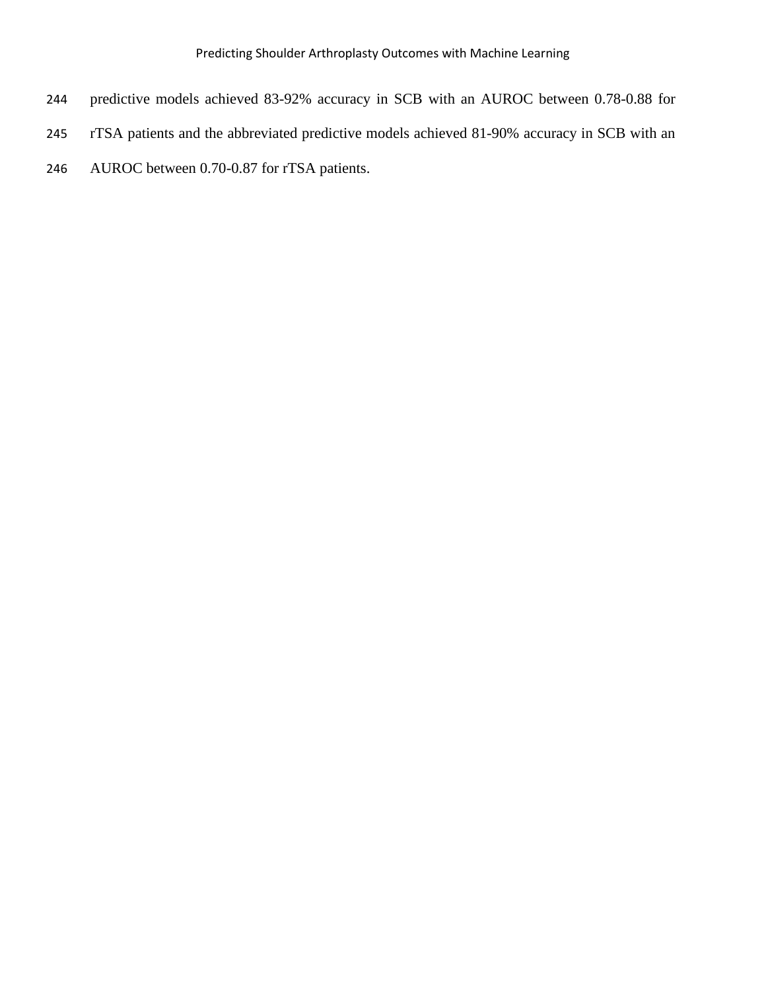- predictive models achieved 83-92% accuracy in SCB with an AUROC between 0.78-0.88 for
- rTSA patients and the abbreviated predictive models achieved 81-90% accuracy in SCB with an
- AUROC between 0.70-0.87 for rTSA patients.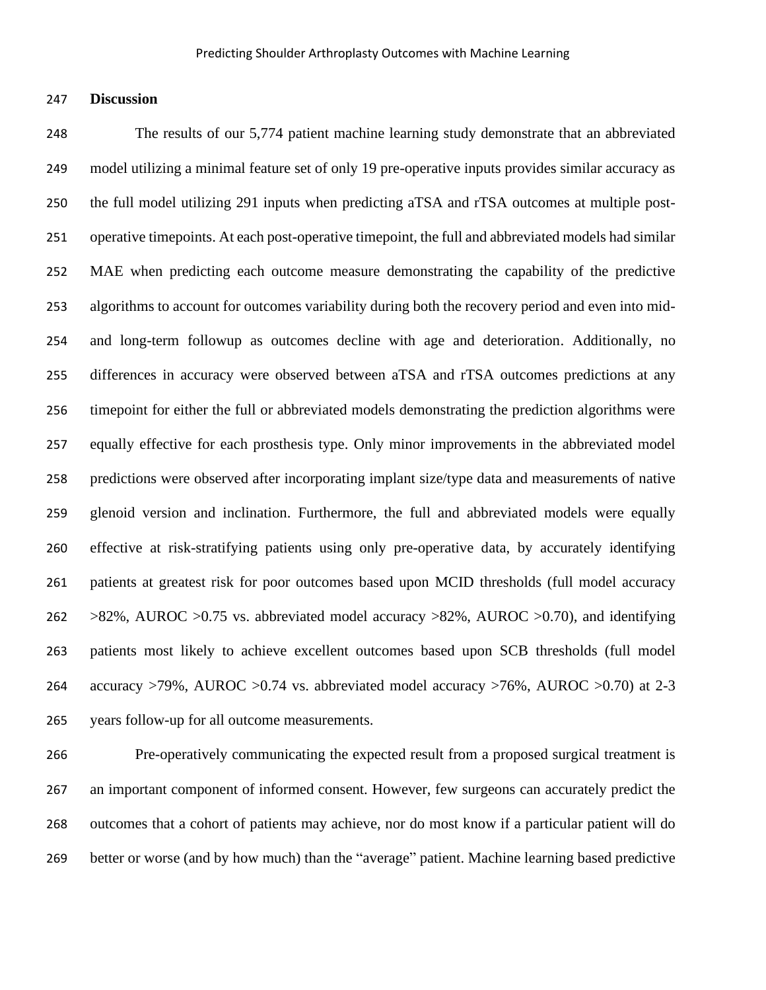**Discussion**

 The results of our 5,774 patient machine learning study demonstrate that an abbreviated model utilizing a minimal feature set of only 19 pre-operative inputs provides similar accuracy as the full model utilizing 291 inputs when predicting aTSA and rTSA outcomes at multiple post- operative timepoints. At each post-operative timepoint, the full and abbreviated models had similar MAE when predicting each outcome measure demonstrating the capability of the predictive algorithms to account for outcomes variability during both the recovery period and even into mid- and long-term followup as outcomes decline with age and deterioration. Additionally, no differences in accuracy were observed between aTSA and rTSA outcomes predictions at any timepoint for either the full or abbreviated models demonstrating the prediction algorithms were equally effective for each prosthesis type. Only minor improvements in the abbreviated model predictions were observed after incorporating implant size/type data and measurements of native glenoid version and inclination. Furthermore, the full and abbreviated models were equally effective at risk-stratifying patients using only pre-operative data, by accurately identifying patients at greatest risk for poor outcomes based upon MCID thresholds (full model accuracy  $>82\%$ , AUROC  $>0.75$  vs. abbreviated model accuracy  $>82\%$ , AUROC  $>0.70$ ), and identifying patients most likely to achieve excellent outcomes based upon SCB thresholds (full model 264 accuracy  $>79\%$ , AUROC  $>0.74$  vs. abbreviated model accuracy  $>76\%$ , AUROC  $>0.70$ ) at 2-3 years follow-up for all outcome measurements.

 Pre-operatively communicating the expected result from a proposed surgical treatment is an important component of informed consent. However, few surgeons can accurately predict the outcomes that a cohort of patients may achieve, nor do most know if a particular patient will do better or worse (and by how much) than the "average" patient. Machine learning based predictive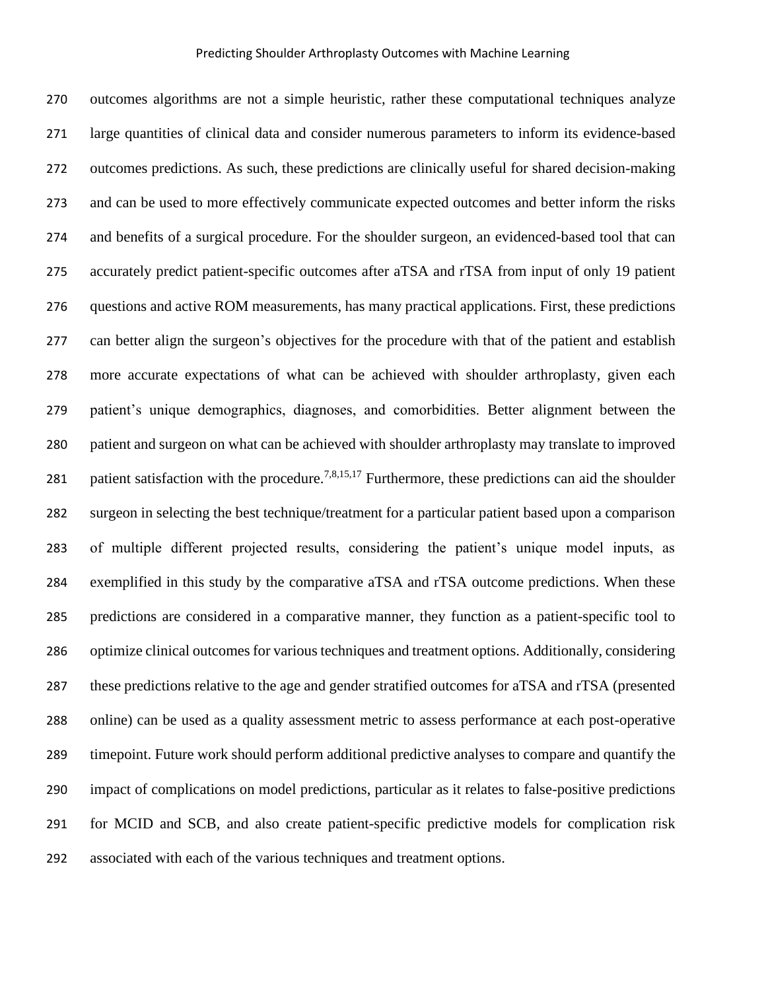outcomes algorithms are not a simple heuristic, rather these computational techniques analyze large quantities of clinical data and consider numerous parameters to inform its evidence-based outcomes predictions. As such, these predictions are clinically useful for shared decision-making and can be used to more effectively communicate expected outcomes and better inform the risks and benefits of a surgical procedure. For the shoulder surgeon, an evidenced-based tool that can accurately predict patient-specific outcomes after aTSA and rTSA from input of only 19 patient questions and active ROM measurements, has many practical applications. First, these predictions can better align the surgeon's objectives for the procedure with that of the patient and establish more accurate expectations of what can be achieved with shoulder arthroplasty, given each patient's unique demographics, diagnoses, and comorbidities. Better alignment between the patient and surgeon on what can be achieved with shoulder arthroplasty may translate to improved 281 patient satisfaction with the procedure.<sup>7,8,15,17</sup> Furthermore, these predictions can aid the shoulder surgeon in selecting the best technique/treatment for a particular patient based upon a comparison of multiple different projected results, considering the patient's unique model inputs, as exemplified in this study by the comparative aTSA and rTSA outcome predictions. When these predictions are considered in a comparative manner, they function as a patient-specific tool to optimize clinical outcomes for various techniques and treatment options. Additionally, considering these predictions relative to the age and gender stratified outcomes for aTSA and rTSA (presented online) can be used as a quality assessment metric to assess performance at each post-operative timepoint. Future work should perform additional predictive analyses to compare and quantify the impact of complications on model predictions, particular as it relates to false-positive predictions for MCID and SCB, and also create patient-specific predictive models for complication risk associated with each of the various techniques and treatment options.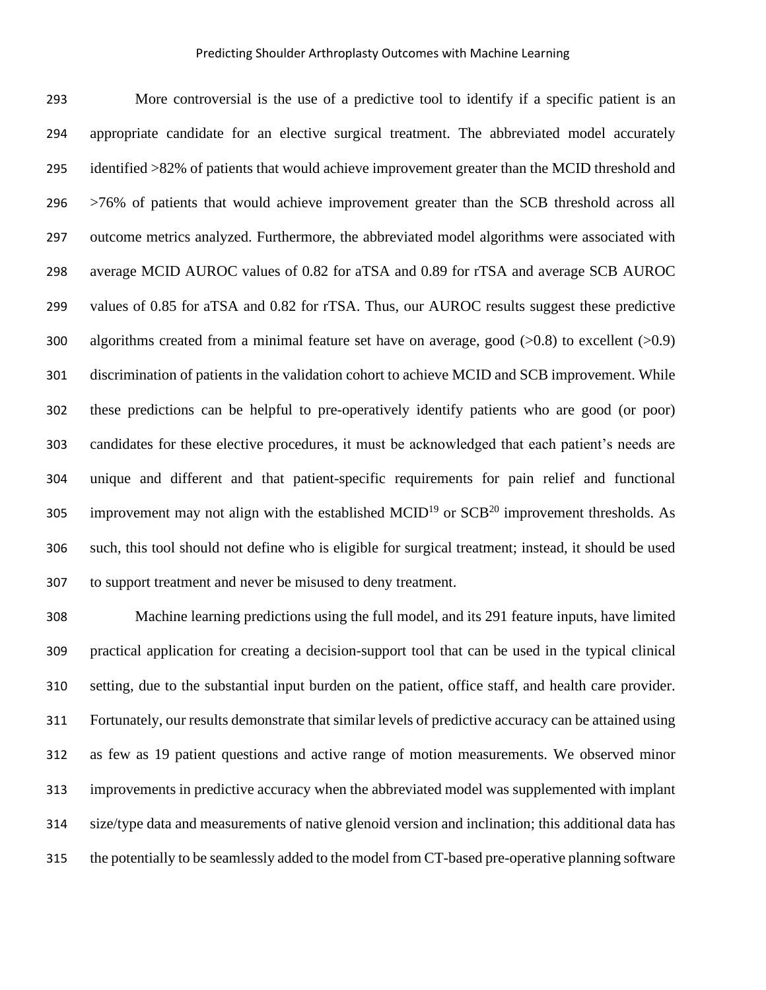More controversial is the use of a predictive tool to identify if a specific patient is an appropriate candidate for an elective surgical treatment. The abbreviated model accurately identified >82% of patients that would achieve improvement greater than the MCID threshold and >76% of patients that would achieve improvement greater than the SCB threshold across all outcome metrics analyzed. Furthermore, the abbreviated model algorithms were associated with average MCID AUROC values of 0.82 for aTSA and 0.89 for rTSA and average SCB AUROC values of 0.85 for aTSA and 0.82 for rTSA. Thus, our AUROC results suggest these predictive 300 algorithms created from a minimal feature set have on average, good  $(0.8)$  to excellent  $(0.9)$  discrimination of patients in the validation cohort to achieve MCID and SCB improvement. While these predictions can be helpful to pre-operatively identify patients who are good (or poor) candidates for these elective procedures, it must be acknowledged that each patient's needs are unique and different and that patient-specific requirements for pain relief and functional 305 improvement may not align with the established MCID<sup>19</sup> or  $SCB<sup>20</sup>$  improvement thresholds. As such, this tool should not define who is eligible for surgical treatment; instead, it should be used to support treatment and never be misused to deny treatment.

 Machine learning predictions using the full model, and its 291 feature inputs, have limited practical application for creating a decision-support tool that can be used in the typical clinical setting, due to the substantial input burden on the patient, office staff, and health care provider. Fortunately, our results demonstrate that similar levels of predictive accuracy can be attained using as few as 19 patient questions and active range of motion measurements. We observed minor improvements in predictive accuracy when the abbreviated model was supplemented with implant size/type data and measurements of native glenoid version and inclination; this additional data has the potentially to be seamlessly added to the model from CT-based pre-operative planning software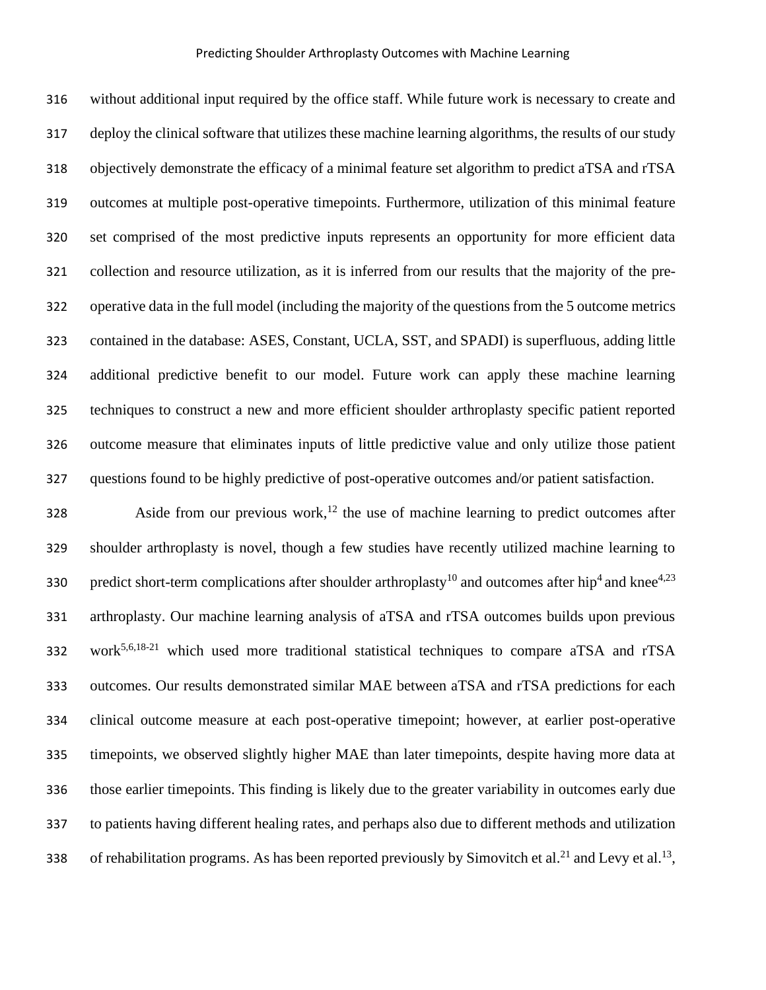without additional input required by the office staff. While future work is necessary to create and deploy the clinical software that utilizes these machine learning algorithms, the results of our study objectively demonstrate the efficacy of a minimal feature set algorithm to predict aTSA and rTSA outcomes at multiple post-operative timepoints. Furthermore, utilization of this minimal feature set comprised of the most predictive inputs represents an opportunity for more efficient data collection and resource utilization, as it is inferred from our results that the majority of the pre- operative data in the full model (including the majority of the questions from the 5 outcome metrics contained in the database: ASES, Constant, UCLA, SST, and SPADI) is superfluous, adding little additional predictive benefit to our model. Future work can apply these machine learning techniques to construct a new and more efficient shoulder arthroplasty specific patient reported outcome measure that eliminates inputs of little predictive value and only utilize those patient questions found to be highly predictive of post-operative outcomes and/or patient satisfaction.

 Aside from our previous work,<sup>12</sup> the use of machine learning to predict outcomes after shoulder arthroplasty is novel, though a few studies have recently utilized machine learning to 330 predict short-term complications after shoulder arthroplasty<sup>10</sup> and outcomes after hip<sup>4</sup> and knee<sup>4,23</sup> arthroplasty. Our machine learning analysis of aTSA and rTSA outcomes builds upon previous 332 work<sup>5,6,18-21</sup> which used more traditional statistical techniques to compare aTSA and rTSA outcomes. Our results demonstrated similar MAE between aTSA and rTSA predictions for each clinical outcome measure at each post-operative timepoint; however, at earlier post-operative timepoints, we observed slightly higher MAE than later timepoints, despite having more data at those earlier timepoints. This finding is likely due to the greater variability in outcomes early due to patients having different healing rates, and perhaps also due to different methods and utilization 338 of rehabilitation programs. As has been reported previously by Simovitch et al.<sup>21</sup> and Levy et al.<sup>13</sup>,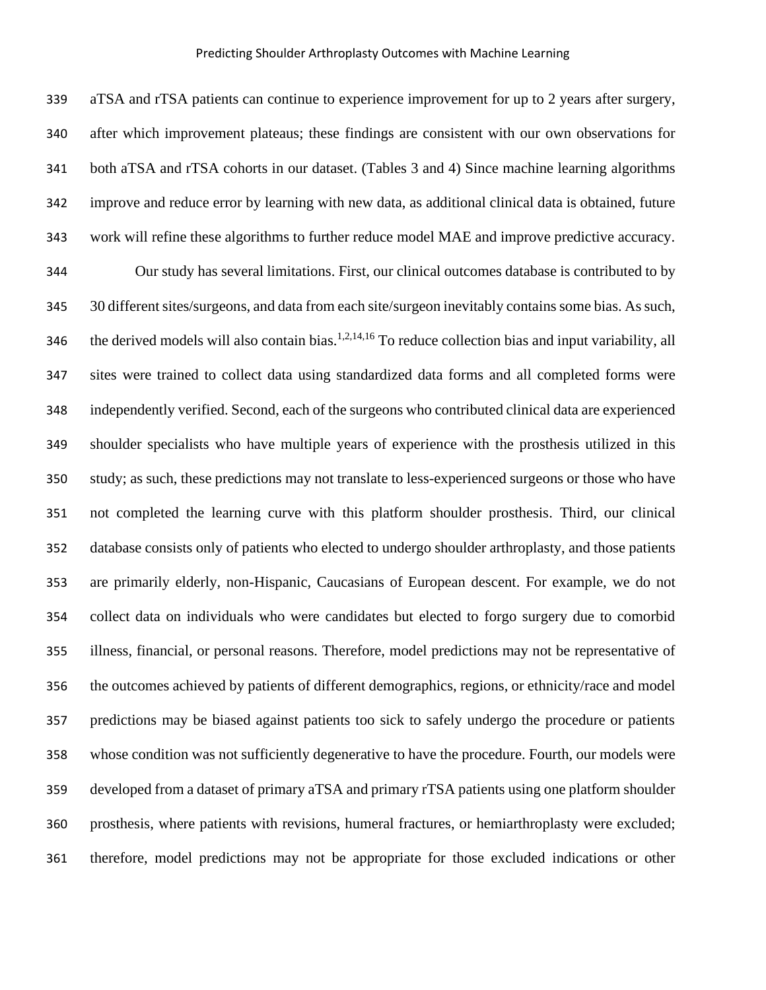aTSA and rTSA patients can continue to experience improvement for up to 2 years after surgery, after which improvement plateaus; these findings are consistent with our own observations for both aTSA and rTSA cohorts in our dataset. (Tables 3 and 4) Since machine learning algorithms improve and reduce error by learning with new data, as additional clinical data is obtained, future work will refine these algorithms to further reduce model MAE and improve predictive accuracy. Our study has several limitations. First, our clinical outcomes database is contributed to by 30 different sites/surgeons, and data from each site/surgeon inevitably contains some bias. As such, 346 the derived models will also contain bias.<sup>1,2,14,16</sup> To reduce collection bias and input variability, all sites were trained to collect data using standardized data forms and all completed forms were independently verified. Second, each of the surgeons who contributed clinical data are experienced shoulder specialists who have multiple years of experience with the prosthesis utilized in this study; as such, these predictions may not translate to less-experienced surgeons or those who have not completed the learning curve with this platform shoulder prosthesis. Third, our clinical database consists only of patients who elected to undergo shoulder arthroplasty, and those patients are primarily elderly, non-Hispanic, Caucasians of European descent. For example, we do not collect data on individuals who were candidates but elected to forgo surgery due to comorbid illness, financial, or personal reasons. Therefore, model predictions may not be representative of the outcomes achieved by patients of different demographics, regions, or ethnicity/race and model predictions may be biased against patients too sick to safely undergo the procedure or patients whose condition was not sufficiently degenerative to have the procedure. Fourth, our models were developed from a dataset of primary aTSA and primary rTSA patients using one platform shoulder prosthesis, where patients with revisions, humeral fractures, or hemiarthroplasty were excluded; therefore, model predictions may not be appropriate for those excluded indications or other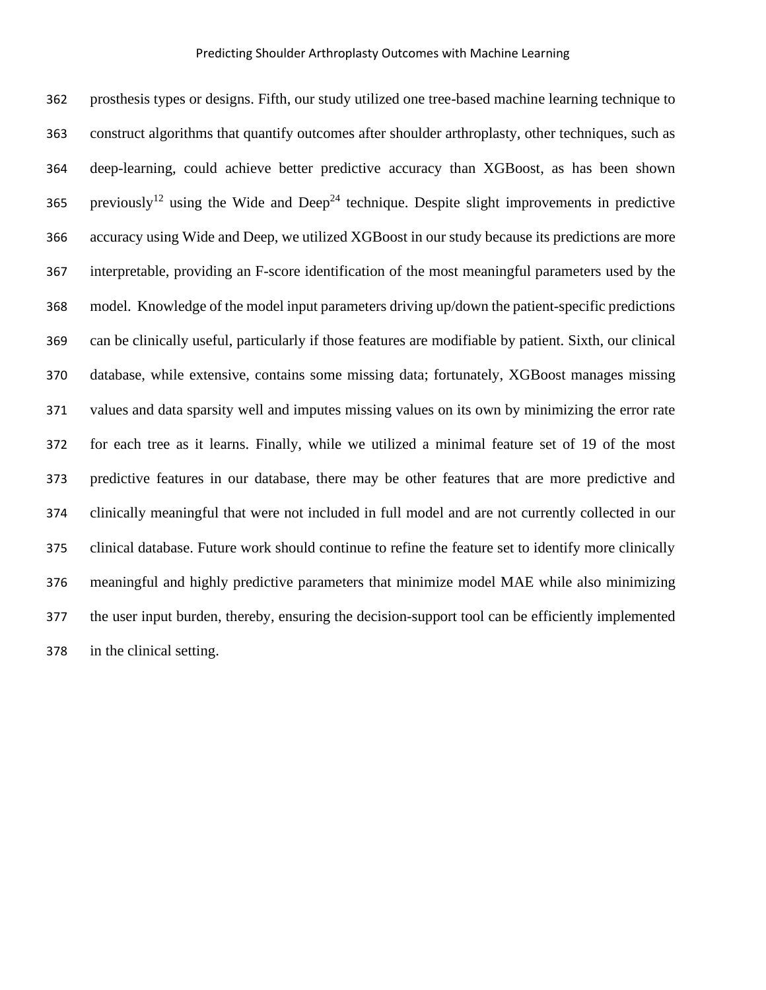prosthesis types or designs. Fifth, our study utilized one tree-based machine learning technique to construct algorithms that quantify outcomes after shoulder arthroplasty, other techniques, such as deep-learning, could achieve better predictive accuracy than XGBoost, as has been shown 365 previously<sup>12</sup> using the Wide and Deep<sup>24</sup> technique. Despite slight improvements in predictive accuracy using Wide and Deep, we utilized XGBoost in our study because its predictions are more interpretable, providing an F-score identification of the most meaningful parameters used by the model. Knowledge of the model input parameters driving up/down the patient-specific predictions can be clinically useful, particularly if those features are modifiable by patient. Sixth, our clinical database, while extensive, contains some missing data; fortunately, XGBoost manages missing values and data sparsity well and imputes missing values on its own by minimizing the error rate for each tree as it learns. Finally, while we utilized a minimal feature set of 19 of the most predictive features in our database, there may be other features that are more predictive and clinically meaningful that were not included in full model and are not currently collected in our clinical database. Future work should continue to refine the feature set to identify more clinically meaningful and highly predictive parameters that minimize model MAE while also minimizing the user input burden, thereby, ensuring the decision-support tool can be efficiently implemented in the clinical setting.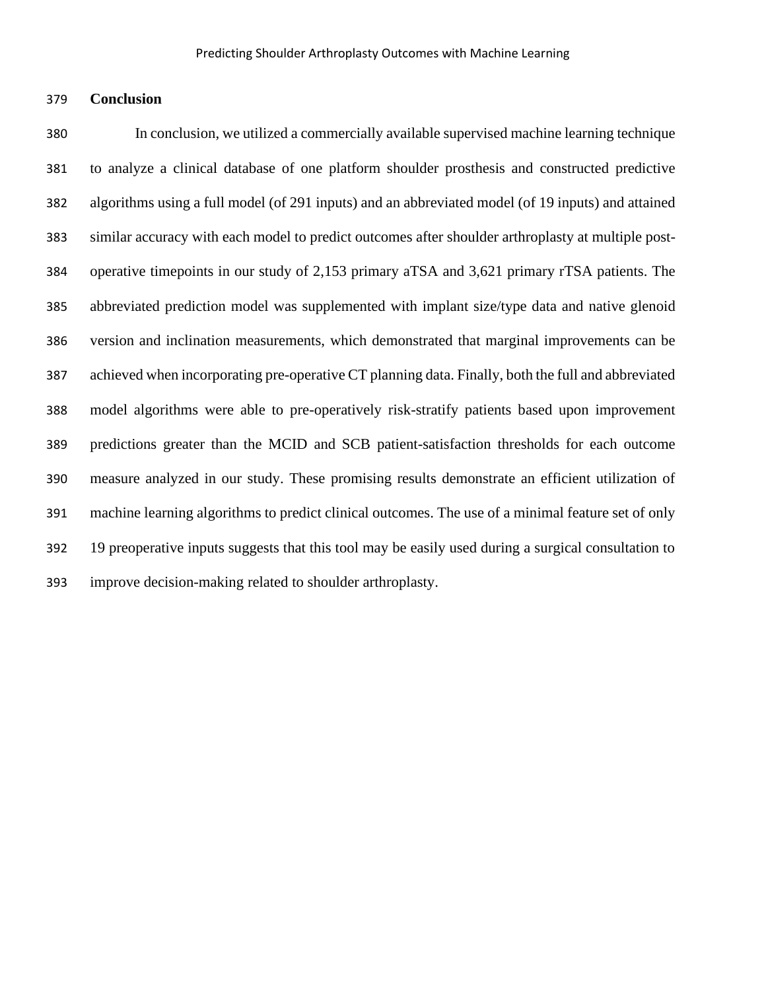### **Conclusion**

 In conclusion, we utilized a commercially available supervised machine learning technique to analyze a clinical database of one platform shoulder prosthesis and constructed predictive algorithms using a full model (of 291 inputs) and an abbreviated model (of 19 inputs) and attained similar accuracy with each model to predict outcomes after shoulder arthroplasty at multiple post- operative timepoints in our study of 2,153 primary aTSA and 3,621 primary rTSA patients. The abbreviated prediction model was supplemented with implant size/type data and native glenoid version and inclination measurements, which demonstrated that marginal improvements can be achieved when incorporating pre-operative CT planning data. Finally, both the full and abbreviated model algorithms were able to pre-operatively risk-stratify patients based upon improvement predictions greater than the MCID and SCB patient-satisfaction thresholds for each outcome measure analyzed in our study. These promising results demonstrate an efficient utilization of machine learning algorithms to predict clinical outcomes. The use of a minimal feature set of only 19 preoperative inputs suggests that this tool may be easily used during a surgical consultation to improve decision-making related to shoulder arthroplasty.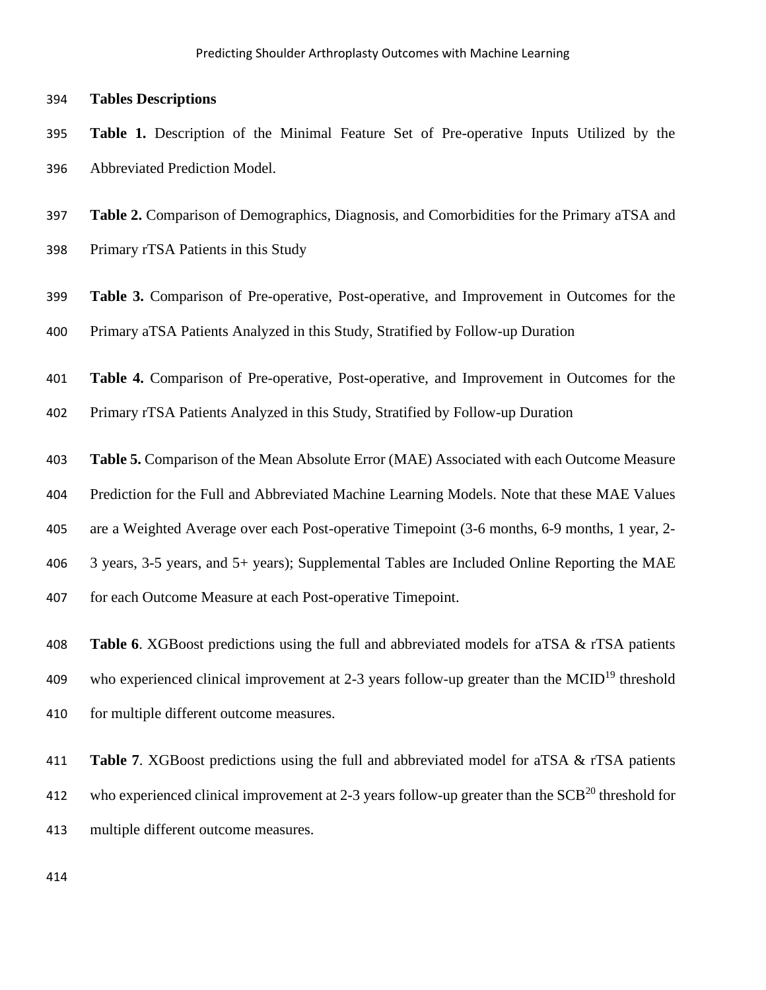#### **Tables Descriptions**

 **Table 1.** Description of the Minimal Feature Set of Pre-operative Inputs Utilized by the Abbreviated Prediction Model.

 **Table 2.** Comparison of Demographics, Diagnosis, and Comorbidities for the Primary aTSA and Primary rTSA Patients in this Study

 **Table 3.** Comparison of Pre-operative, Post-operative, and Improvement in Outcomes for the Primary aTSA Patients Analyzed in this Study, Stratified by Follow-up Duration

 **Table 4.** Comparison of Pre-operative, Post-operative, and Improvement in Outcomes for the Primary rTSA Patients Analyzed in this Study, Stratified by Follow-up Duration

**Table 5.** Comparison of the Mean Absolute Error (MAE) Associated with each Outcome Measure

Prediction for the Full and Abbreviated Machine Learning Models. Note that these MAE Values

are a Weighted Average over each Post-operative Timepoint (3-6 months, 6-9 months, 1 year, 2-

- 3 years, 3-5 years, and 5+ years); Supplemental Tables are Included Online Reporting the MAE
- for each Outcome Measure at each Post-operative Timepoint.

 **Table 6**. XGBoost predictions using the full and abbreviated models for aTSA & rTSA patients 409 who experienced clinical improvement at 2-3 years follow-up greater than the MCID<sup>19</sup> threshold 410 for multiple different outcome measures.

 **Table 7**. XGBoost predictions using the full and abbreviated model for aTSA & rTSA patients 412 who experienced clinical improvement at 2-3 years follow-up greater than the  $SCB<sup>20</sup>$  threshold for multiple different outcome measures.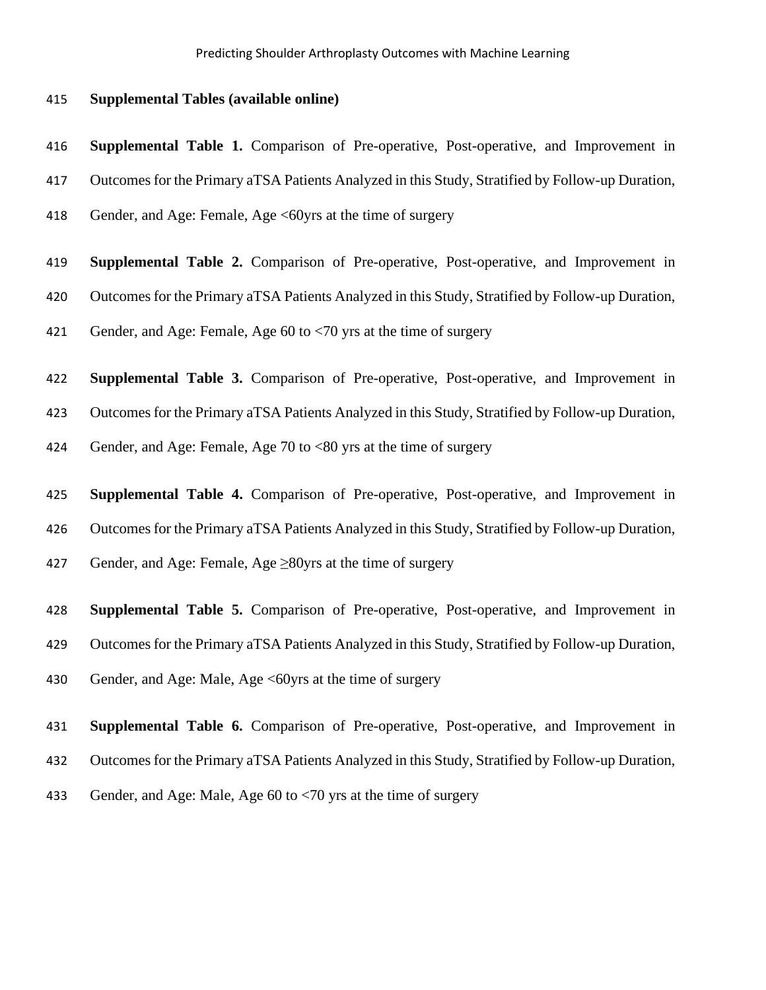### **Supplemental Tables (available online)**

**Supplemental Table 1.** Comparison of Pre-operative, Post-operative, and Improvement in

Outcomes for the Primary aTSA Patients Analyzed in this Study, Stratified by Follow-up Duration,

418 Gender, and Age: Female, Age <60yrs at the time of surgery

 **Supplemental Table 2.** Comparison of Pre-operative, Post-operative, and Improvement in Outcomes for the Primary aTSA Patients Analyzed in this Study, Stratified by Follow-up Duration,

Gender, and Age: Female, Age 60 to <70 yrs at the time of surgery

**Supplemental Table 3.** Comparison of Pre-operative, Post-operative, and Improvement in

Outcomes for the Primary aTSA Patients Analyzed in this Study, Stratified by Follow-up Duration,

424 Gender, and Age: Female, Age 70 to <80 yrs at the time of surgery

**Supplemental Table 4.** Comparison of Pre-operative, Post-operative, and Improvement in

Outcomes for the Primary aTSA Patients Analyzed in this Study, Stratified by Follow-up Duration,

427 Gender, and Age: Female, Age  $\geq$ 80yrs at the time of surgery

 **Supplemental Table 5.** Comparison of Pre-operative, Post-operative, and Improvement in Outcomes for the Primary aTSA Patients Analyzed in this Study, Stratified by Follow-up Duration,

430 Gender, and Age: Male, Age <60yrs at the time of surgery

**Supplemental Table 6.** Comparison of Pre-operative, Post-operative, and Improvement in

Outcomes for the Primary aTSA Patients Analyzed in this Study, Stratified by Follow-up Duration,

Gender, and Age: Male, Age 60 to <70 yrs at the time of surgery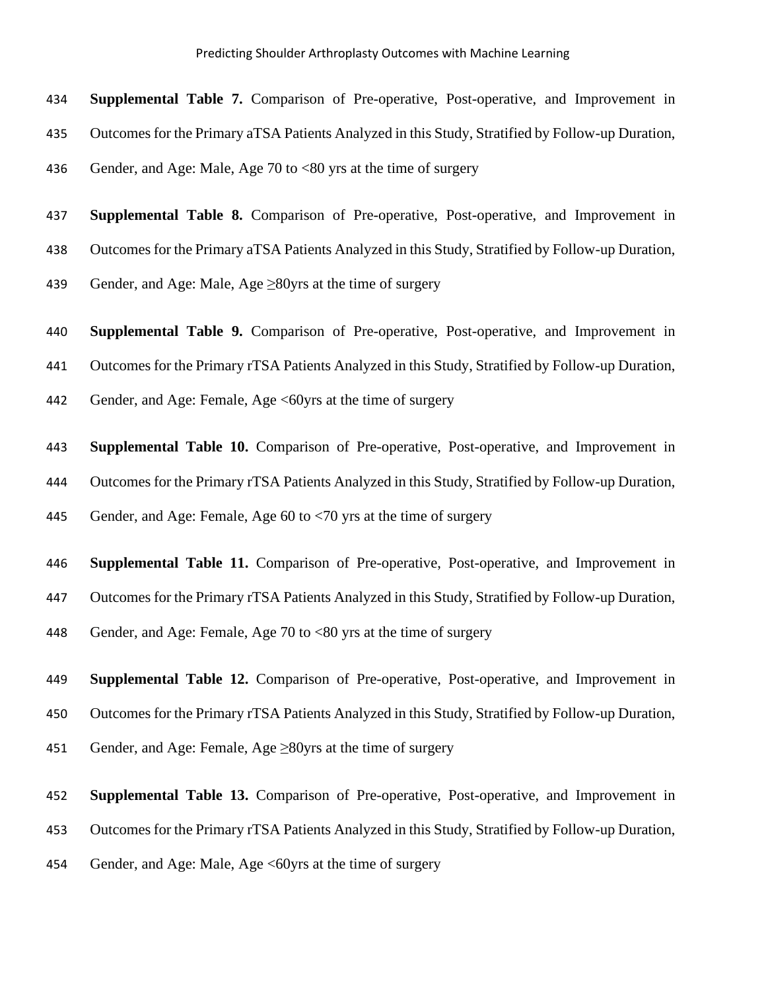**Supplemental Table 7.** Comparison of Pre-operative, Post-operative, and Improvement in

- Outcomes for the Primary aTSA Patients Analyzed in this Study, Stratified by Follow-up Duration,
- Gender, and Age: Male, Age 70 to <80 yrs at the time of surgery

**Supplemental Table 8.** Comparison of Pre-operative, Post-operative, and Improvement in

Outcomes for the Primary aTSA Patients Analyzed in this Study, Stratified by Follow-up Duration,

439 Gender, and Age: Male, Age  $\geq$ 80yrs at the time of surgery

**Supplemental Table 9.** Comparison of Pre-operative, Post-operative, and Improvement in

Outcomes for the Primary rTSA Patients Analyzed in this Study, Stratified by Follow-up Duration,

442 Gender, and Age: Female, Age <60yrs at the time of surgery

 **Supplemental Table 10.** Comparison of Pre-operative, Post-operative, and Improvement in Outcomes for the Primary rTSA Patients Analyzed in this Study, Stratified by Follow-up Duration, Gender, and Age: Female, Age 60 to <70 yrs at the time of surgery

**Supplemental Table 11.** Comparison of Pre-operative, Post-operative, and Improvement in

Outcomes for the Primary rTSA Patients Analyzed in this Study, Stratified by Follow-up Duration,

Gender, and Age: Female, Age 70 to <80 yrs at the time of surgery

**Supplemental Table 12.** Comparison of Pre-operative, Post-operative, and Improvement in

Outcomes for the Primary rTSA Patients Analyzed in this Study, Stratified by Follow-up Duration,

Gender, and Age: Female, Age ≥80yrs at the time of surgery

**Supplemental Table 13.** Comparison of Pre-operative, Post-operative, and Improvement in

Outcomes for the Primary rTSA Patients Analyzed in this Study, Stratified by Follow-up Duration,

454 Gender, and Age: Male, Age <60 yrs at the time of surgery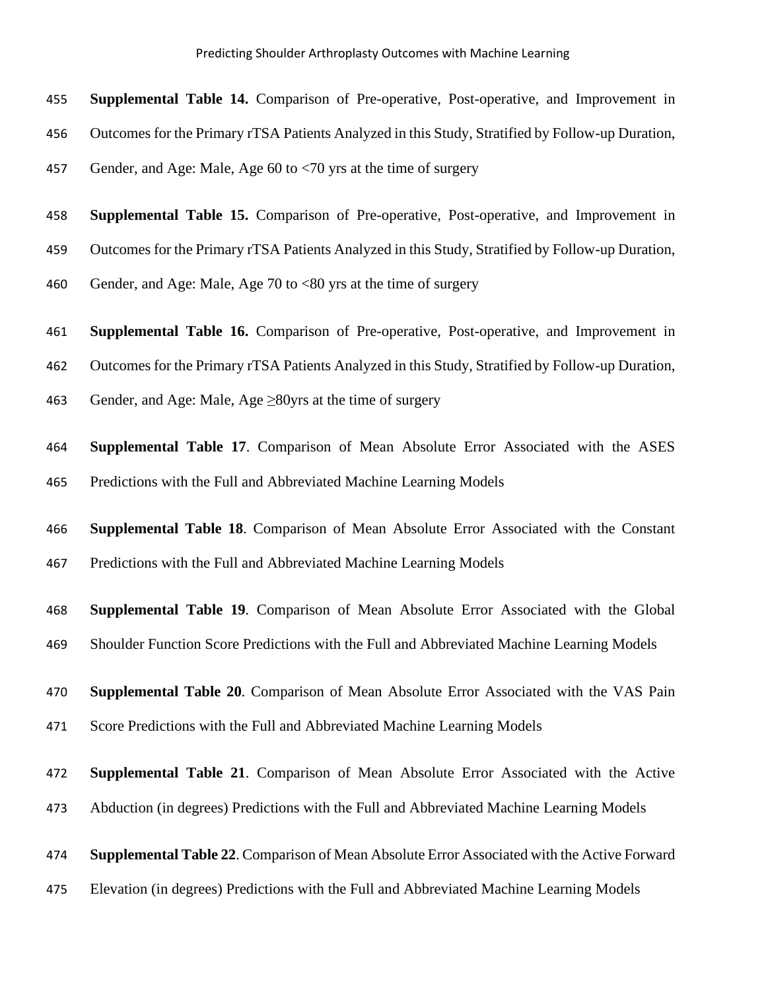**Supplemental Table 14.** Comparison of Pre-operative, Post-operative, and Improvement in

- Outcomes for the Primary rTSA Patients Analyzed in this Study, Stratified by Follow-up Duration,
- Gender, and Age: Male, Age 60 to <70 yrs at the time of surgery
- **Supplemental Table 15.** Comparison of Pre-operative, Post-operative, and Improvement in
- Outcomes for the Primary rTSA Patients Analyzed in this Study, Stratified by Follow-up Duration,
- Gender, and Age: Male, Age 70 to <80 yrs at the time of surgery
- **Supplemental Table 16.** Comparison of Pre-operative, Post-operative, and Improvement in
- Outcomes for the Primary rTSA Patients Analyzed in this Study, Stratified by Follow-up Duration,
- 463 Gender, and Age: Male, Age  $\geq$ 80yrs at the time of surgery
- **Supplemental Table 17**. Comparison of Mean Absolute Error Associated with the ASES Predictions with the Full and Abbreviated Machine Learning Models
- **Supplemental Table 18**. Comparison of Mean Absolute Error Associated with the Constant Predictions with the Full and Abbreviated Machine Learning Models
- **Supplemental Table 19**. Comparison of Mean Absolute Error Associated with the Global
- Shoulder Function Score Predictions with the Full and Abbreviated Machine Learning Models
- **Supplemental Table 20**. Comparison of Mean Absolute Error Associated with the VAS Pain
- Score Predictions with the Full and Abbreviated Machine Learning Models
- **Supplemental Table 21**. Comparison of Mean Absolute Error Associated with the Active
- Abduction (in degrees) Predictions with the Full and Abbreviated Machine Learning Models
- **Supplemental Table 22**. Comparison of Mean Absolute Error Associated with the Active Forward
- Elevation (in degrees) Predictions with the Full and Abbreviated Machine Learning Models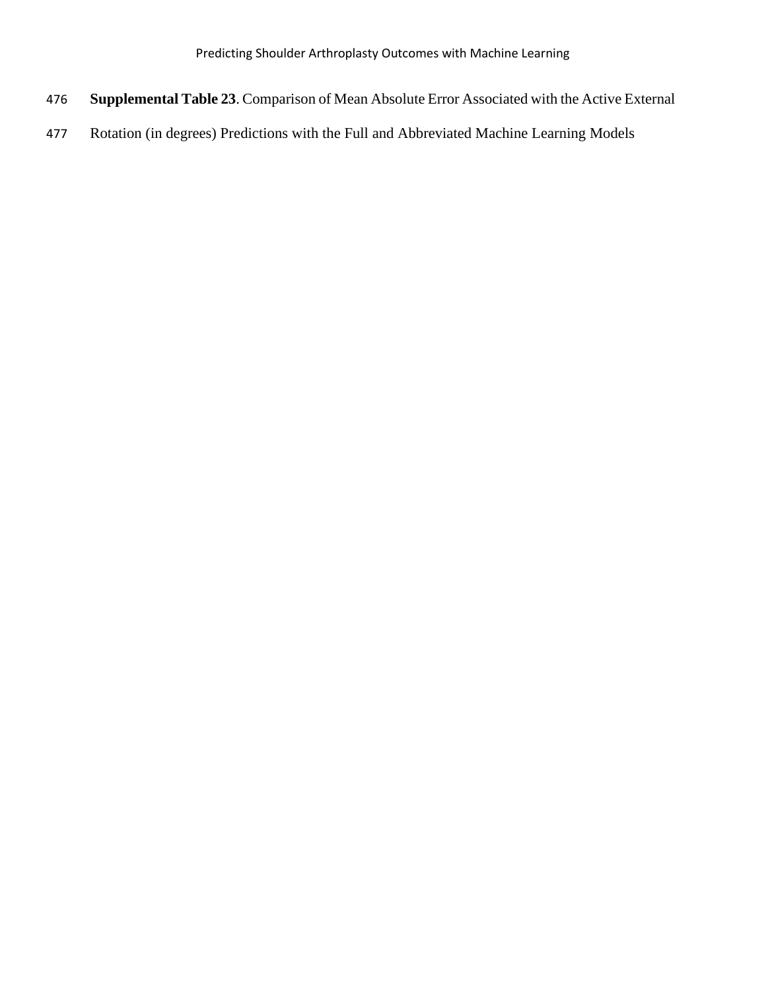- **Supplemental Table 23**. Comparison of Mean Absolute Error Associated with the Active External
- Rotation (in degrees) Predictions with the Full and Abbreviated Machine Learning Models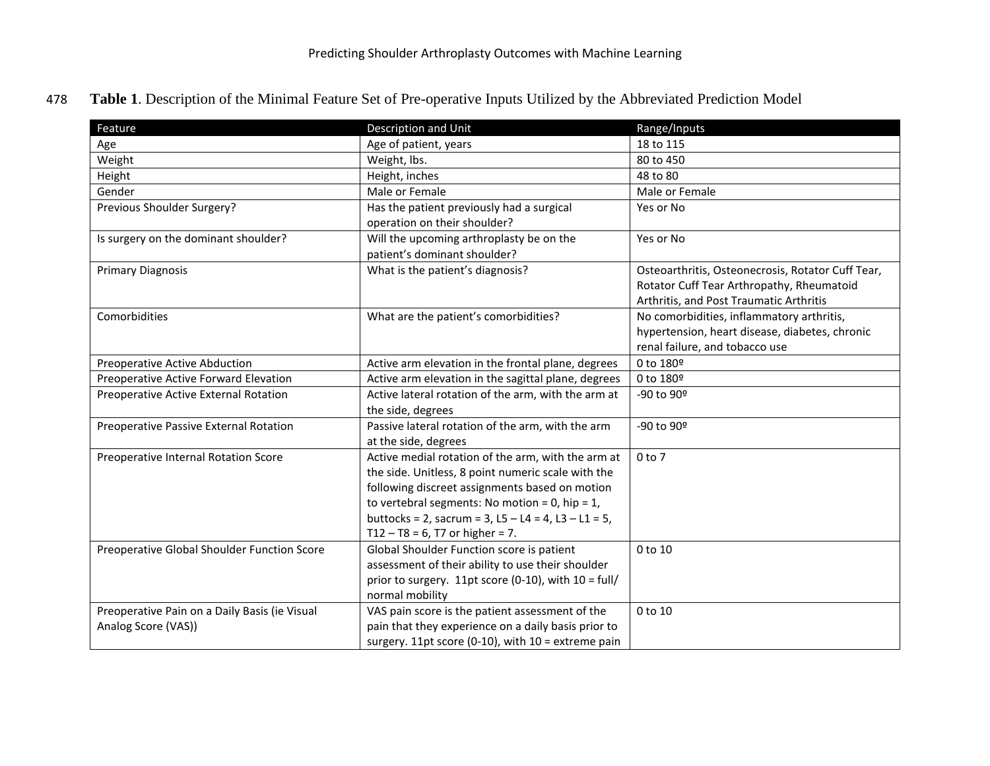478 **Table 1**. Description of the Minimal Feature Set of Pre-operative Inputs Utilized by the Abbreviated Prediction Model

| Feature                                                              | Description and Unit                                                                                                                                                                                                                                                                                         | Range/Inputs                                                                                                                              |
|----------------------------------------------------------------------|--------------------------------------------------------------------------------------------------------------------------------------------------------------------------------------------------------------------------------------------------------------------------------------------------------------|-------------------------------------------------------------------------------------------------------------------------------------------|
| Age                                                                  | Age of patient, years                                                                                                                                                                                                                                                                                        | 18 to 115                                                                                                                                 |
| Weight                                                               | Weight, lbs.                                                                                                                                                                                                                                                                                                 | 80 to 450                                                                                                                                 |
| Height                                                               | Height, inches                                                                                                                                                                                                                                                                                               | 48 to 80                                                                                                                                  |
| Gender                                                               | Male or Female                                                                                                                                                                                                                                                                                               | Male or Female                                                                                                                            |
| Previous Shoulder Surgery?                                           | Has the patient previously had a surgical<br>operation on their shoulder?                                                                                                                                                                                                                                    | Yes or No                                                                                                                                 |
| Is surgery on the dominant shoulder?                                 | Will the upcoming arthroplasty be on the<br>patient's dominant shoulder?                                                                                                                                                                                                                                     | Yes or No                                                                                                                                 |
| <b>Primary Diagnosis</b>                                             | What is the patient's diagnosis?                                                                                                                                                                                                                                                                             | Osteoarthritis, Osteonecrosis, Rotator Cuff Tear,<br>Rotator Cuff Tear Arthropathy, Rheumatoid<br>Arthritis, and Post Traumatic Arthritis |
| Comorbidities                                                        | What are the patient's comorbidities?                                                                                                                                                                                                                                                                        | No comorbidities, inflammatory arthritis,<br>hypertension, heart disease, diabetes, chronic<br>renal failure, and tobacco use             |
| Preoperative Active Abduction                                        | Active arm elevation in the frontal plane, degrees                                                                                                                                                                                                                                                           | 0 to 180º                                                                                                                                 |
| Preoperative Active Forward Elevation                                | Active arm elevation in the sagittal plane, degrees                                                                                                                                                                                                                                                          | 0 to 180º                                                                                                                                 |
| Preoperative Active External Rotation                                | Active lateral rotation of the arm, with the arm at<br>the side, degrees                                                                                                                                                                                                                                     | -90 to 90º                                                                                                                                |
| Preoperative Passive External Rotation                               | Passive lateral rotation of the arm, with the arm<br>at the side, degrees                                                                                                                                                                                                                                    | -90 to 90º                                                                                                                                |
| Preoperative Internal Rotation Score                                 | Active medial rotation of the arm, with the arm at<br>the side. Unitless, 8 point numeric scale with the<br>following discreet assignments based on motion<br>to vertebral segments: No motion = 0, hip = $1$ ,<br>buttocks = 2, sacrum = 3, L5 - L4 = 4, L3 - L1 = 5,<br>$T12 - T8 = 6$ , T7 or higher = 7. | 0 <sub>to</sub> 7                                                                                                                         |
| Preoperative Global Shoulder Function Score                          | Global Shoulder Function score is patient<br>assessment of their ability to use their shoulder<br>prior to surgery. 11pt score (0-10), with $10 = \frac{full}{}$<br>normal mobility                                                                                                                          | 0 to 10                                                                                                                                   |
| Preoperative Pain on a Daily Basis (ie Visual<br>Analog Score (VAS)) | VAS pain score is the patient assessment of the<br>pain that they experience on a daily basis prior to<br>surgery. 11pt score (0-10), with 10 = extreme pain                                                                                                                                                 | 0 to 10                                                                                                                                   |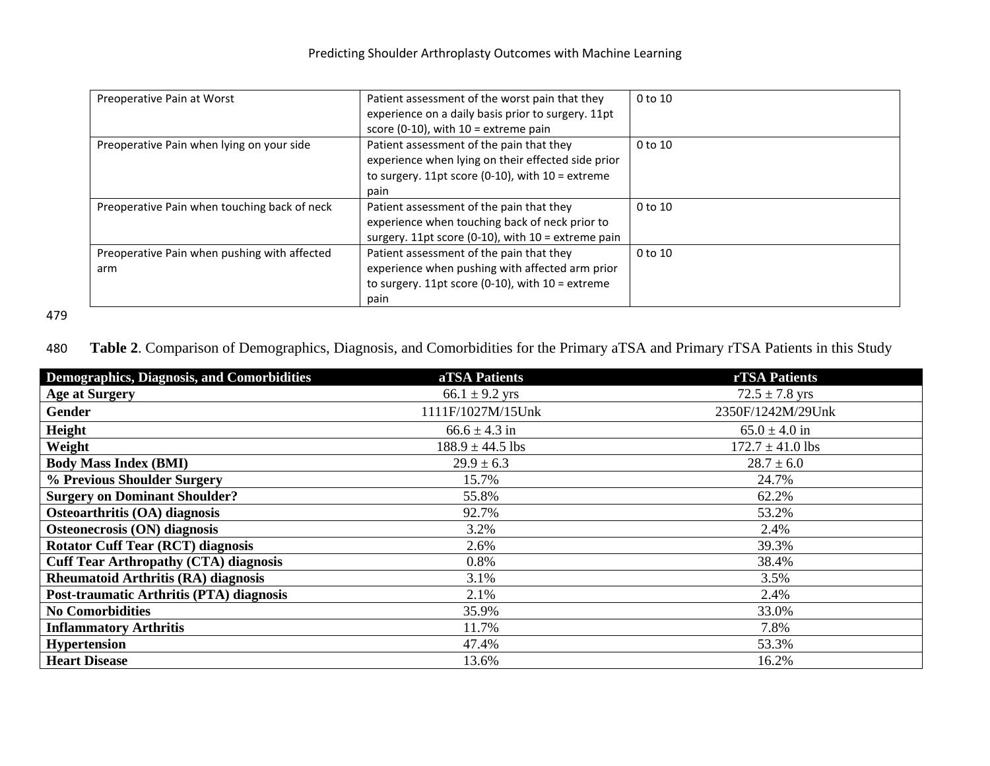| Preoperative Pain at Worst                          | Patient assessment of the worst pain that they<br>experience on a daily basis prior to surgery. 11pt<br>score (0-10), with $10 =$ extreme pain               | 0 to 10     |
|-----------------------------------------------------|--------------------------------------------------------------------------------------------------------------------------------------------------------------|-------------|
| Preoperative Pain when lying on your side           | Patient assessment of the pain that they<br>experience when lying on their effected side prior<br>to surgery. 11pt score (0-10), with $10 =$ extreme<br>pain | 0 to 10     |
| Preoperative Pain when touching back of neck        | Patient assessment of the pain that they<br>experience when touching back of neck prior to<br>surgery. 11pt score (0-10), with $10 =$ extreme pain           | 0 to 10     |
| Preoperative Pain when pushing with affected<br>arm | Patient assessment of the pain that they<br>experience when pushing with affected arm prior<br>to surgery. 11pt score (0-10), with $10 =$ extreme<br>pain    | $0$ to $10$ |

480 **Table 2**. Comparison of Demographics, Diagnosis, and Comorbidities for the Primary aTSA and Primary rTSA Patients in this Study

| Demographics, Diagnosis, and Comorbidities   | aTSA Patients        | rTSA Patients        |
|----------------------------------------------|----------------------|----------------------|
| <b>Age at Surgery</b>                        | $66.1 \pm 9.2$ yrs   | $72.5 \pm 7.8$ yrs   |
| <b>Gender</b>                                | 1111F/1027M/15Unk    | 2350F/1242M/29Unk    |
| Height                                       | $66.6 \pm 4.3$ in    | $65.0 \pm 4.0$ in    |
| Weight                                       | $188.9 \pm 44.5$ lbs | $172.7 \pm 41.0$ lbs |
| <b>Body Mass Index (BMI)</b>                 | $29.9 \pm 6.3$       | $28.7 \pm 6.0$       |
| % Previous Shoulder Surgery                  | 15.7%                | 24.7%                |
| <b>Surgery on Dominant Shoulder?</b>         | 55.8%                | 62.2%                |
| Osteoarthritis (OA) diagnosis                | 92.7%                | 53.2%                |
| Osteonecrosis (ON) diagnosis                 | 3.2%                 | 2.4%                 |
| <b>Rotator Cuff Tear (RCT) diagnosis</b>     | 2.6%                 | 39.3%                |
| <b>Cuff Tear Arthropathy (CTA) diagnosis</b> | 0.8%                 | 38.4%                |
| <b>Rheumatoid Arthritis (RA) diagnosis</b>   | 3.1%                 | 3.5%                 |
| Post-traumatic Arthritis (PTA) diagnosis     | 2.1%                 | 2.4%                 |
| <b>No Comorbidities</b>                      | 35.9%                | 33.0%                |
| <b>Inflammatory Arthritis</b>                | 11.7%                | 7.8%                 |
| <b>Hypertension</b>                          | 47.4%                | 53.3%                |
| <b>Heart Disease</b>                         | 13.6%                | 16.2%                |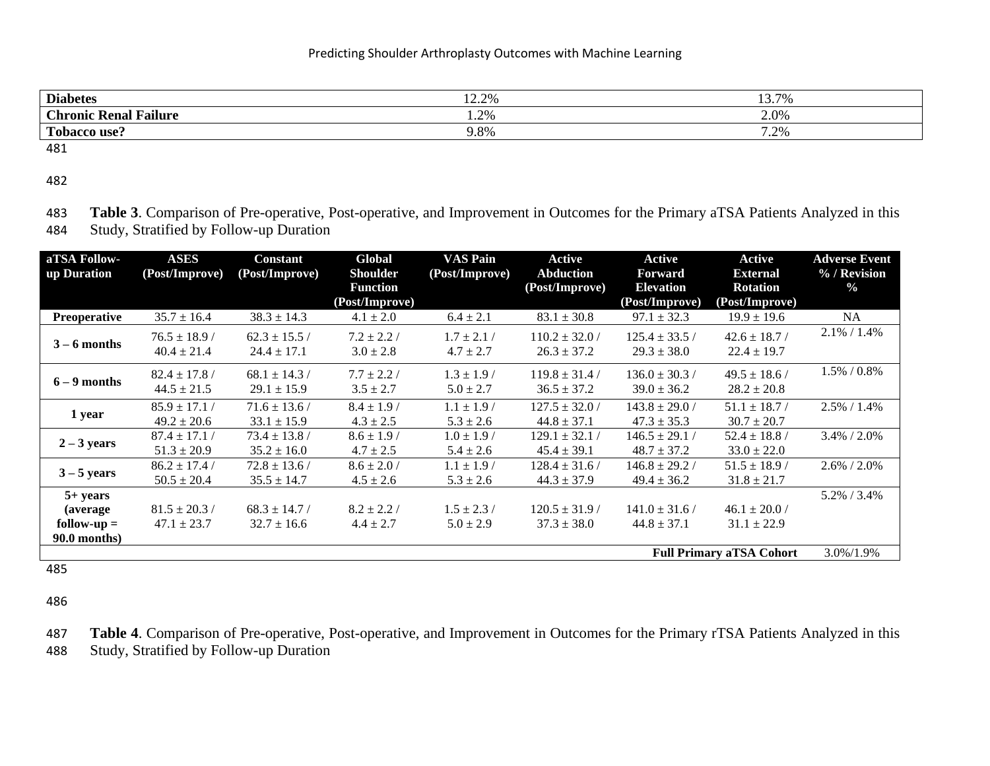| <b>Diabetes</b>                                               | 12.20%<br>$1 \leq C \leq 70$ | 13.7%<br>19.                  |
|---------------------------------------------------------------|------------------------------|-------------------------------|
| <b>Chronic</b><br>$\bullet$<br><u>т</u><br>  Failure<br>Renal | $\Omega$<br>1.470            | 2.0%                          |
| m <sub>1</sub><br>use.                                        | ი თ<br>1.8%                  | .70 <sub>6</sub><br>$\sim$ /0 |

482

483 **Table 3**. Comparison of Pre-operative, Post-operative, and Improvement in Outcomes for the Primary aTSA Patients Analyzed in this 484 Study, Stratified by Follow-up Duration

| aTSA Follow-                                                                                                                   | <b>ASES</b>       | <b>Constant</b>   | Global                            | <b>VAS Pain</b> | <b>Active</b>      | Active                             | <b>Active</b>                     | <b>Adverse Event</b> |
|--------------------------------------------------------------------------------------------------------------------------------|-------------------|-------------------|-----------------------------------|-----------------|--------------------|------------------------------------|-----------------------------------|----------------------|
| up Duration                                                                                                                    | (Post/Improve)    | (Post/Improve)    | <b>Shoulder</b>                   | (Post/Improve)  | <b>Abduction</b>   | <b>Forward</b>                     | <b>External</b>                   | % / Revision         |
|                                                                                                                                |                   |                   | <b>Function</b><br>(Post/Improve) |                 | (Post/Improve)     | <b>Elevation</b><br>(Post/Improve) | <b>Rotation</b><br>(Post/Improve) | $\frac{0}{0}$        |
| <b>Preoperative</b>                                                                                                            | $35.7 \pm 16.4$   | $38.3 \pm 14.3$   | $4.1 \pm 2.0$                     | $6.4 \pm 2.1$   | $83.1 \pm 30.8$    | $97.1 \pm 32.3$                    | $19.9 \pm 19.6$                   | NA                   |
|                                                                                                                                | $76.5 \pm 18.9$ / | $62.3 \pm 15.5$ / | $7.2 \pm 2.2$ /                   | $1.7 \pm 2.1$ / | $110.2 \pm 32.0$ / | $125.4 \pm 33.5$ /                 | $42.6 \pm 18.7$ /                 | $2.1\% / 1.4\%$      |
|                                                                                                                                | $40.4 \pm 21.4$   | $24.4 \pm 17.1$   | $3.0 \pm 2.8$                     | $4.7 \pm 2.7$   | $26.3 \pm 37.2$    | $29.3 \pm 38.0$                    | $22.4 \pm 19.7$                   |                      |
|                                                                                                                                | $82.4 \pm 17.8$ / | $68.1 \pm 14.3$ / | $7.7 \pm 2.2$ /                   | $1.3 \pm 1.9$ / | $119.8 \pm 31.4$ / | $136.0 \pm 30.3$ /                 | $49.5 \pm 18.6$                   | 1.5% / 0.8%          |
|                                                                                                                                | $44.5 \pm 21.5$   | $29.1 \pm 15.9$   | $3.5 \pm 2.7$                     | $5.0 \pm 2.7$   | $36.5 \pm 37.2$    | $39.0 \pm 36.2$                    | $28.2 \pm 20.8$                   |                      |
| 1 year                                                                                                                         | $85.9 \pm 17.1$   | $71.6 \pm 13.6/$  | $8.4 \pm 1.9$                     | $1.1 \pm 1.9$ / | $127.5 \pm 32.0$ / | $143.8 \pm 29.0$ /                 | $51.1 \pm 18.7$ /                 | $2.5\% / 1.4\%$      |
|                                                                                                                                | $49.2 \pm 20.6$   | $33.1 \pm 15.9$   | $4.3 \pm 2.5$                     | $5.3 \pm 2.6$   | $44.8 \pm 37.1$    | $47.3 \pm 35.3$                    | $30.7 \pm 20.7$                   |                      |
| $3 - 6$ months<br>$6 - 9$ months<br>$2 - 3$ years<br>$3 - 5$ years<br>$5+ years$<br>(average)<br>$follow-up =$<br>90.0 months) | $87.4 \pm 17.1$   | $73.4 \pm 13.8$ / | $8.6 \pm 1.9$                     | $1.0 \pm 1.9$ / | $129.1 \pm 32.1$ / | $146.5 \pm 29.1$                   | $52.4 \pm 18.8$ /                 | $3.4\% / 2.0\%$      |
|                                                                                                                                | $51.3 \pm 20.9$   | $35.2 \pm 16.0$   | $4.7 \pm 2.5$                     | $5.4 \pm 2.6$   | $45.4 \pm 39.1$    | $48.7 \pm 37.2$                    | $33.0 \pm 22.0$                   |                      |
|                                                                                                                                | $86.2 \pm 17.4$ / | $72.8 \pm 13.6$ / | $8.6 \pm 2.0$ /                   | $1.1 \pm 1.9$ / | $128.4 \pm 31.6$ / | $146.8 \pm 29.2$ /                 | $51.5 \pm 18.9$                   | 2.6% / 2.0%          |
|                                                                                                                                | $50.5 \pm 20.4$   | $35.5 \pm 14.7$   | $4.5 \pm 2.6$                     | $5.3 \pm 2.6$   | $44.3 \pm 37.9$    | $49.4 \pm 36.2$                    | $31.8 \pm 21.7$                   |                      |
|                                                                                                                                |                   |                   |                                   |                 |                    |                                    |                                   | 5.2% / 3.4%          |
|                                                                                                                                | $81.5 \pm 20.3$ / | $68.3 \pm 14.7$ / | $8.2 \pm 2.2$ /                   | $1.5 \pm 2.3/$  | $120.5 \pm 31.9$   | $141.0 \pm 31.6$ /                 | $46.1 \pm 20.0$ /                 |                      |
|                                                                                                                                | $47.1 \pm 23.7$   | $32.7 \pm 16.6$   | $4.4 \pm 2.7$                     | $5.0 \pm 2.9$   | $37.3 \pm 38.0$    | $44.8 \pm 37.1$                    | $31.1 \pm 22.9$                   |                      |
|                                                                                                                                |                   |                   |                                   |                 |                    |                                    |                                   |                      |
|                                                                                                                                |                   |                   |                                   |                 |                    |                                    | <b>Full Primary aTSA Cohort</b>   | 3.0%/1.9%            |

485

486

487 **Table 4**. Comparison of Pre-operative, Post-operative, and Improvement in Outcomes for the Primary rTSA Patients Analyzed in this 488 Study, Stratified by Follow-up Duration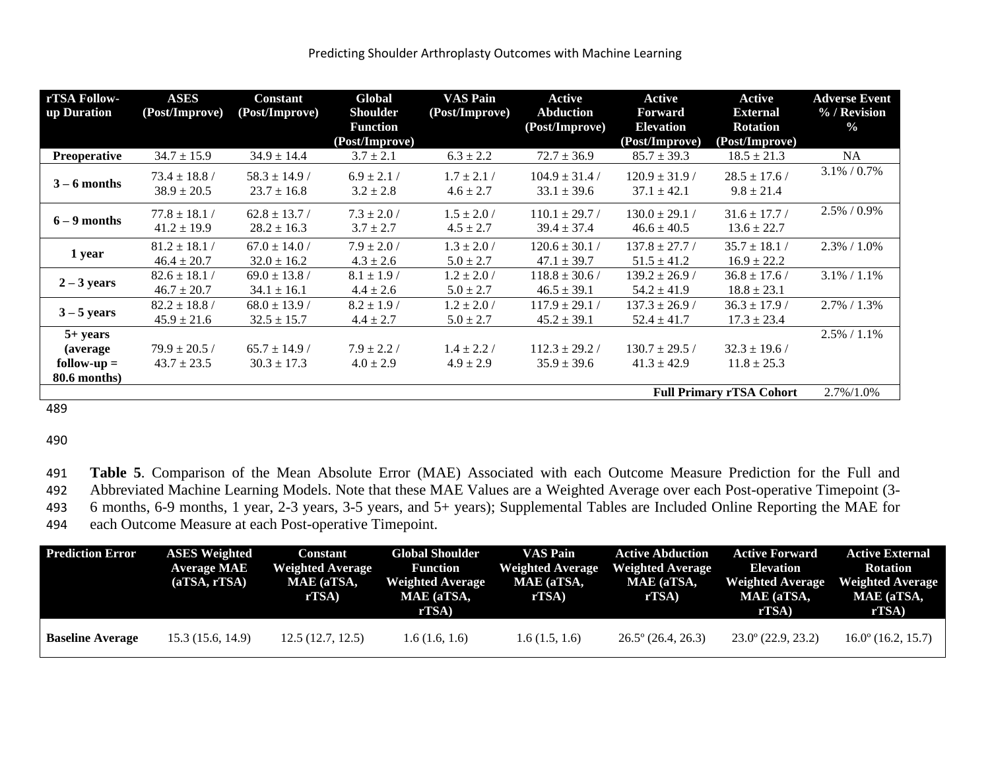| rTSA Follow-<br>up Duration     | <b>ASES</b><br>(Post/Improve)        | <b>Constant</b><br>(Post/Improve)    | Global<br><b>Shoulder</b><br><b>Function</b><br>(Post/Improve) | VAS Pain<br>(Post/Improve)       | Active<br><b>Abduction</b><br>(Post/Improve) | Active<br><b>Forward</b><br><b>Elevation</b><br>(Post/Improve) | <b>Active</b><br><b>External</b><br><b>Rotation</b><br>(Post/Improve) | <b>Adverse Event</b><br>% / Revision<br>$\frac{0}{0}$ |
|---------------------------------|--------------------------------------|--------------------------------------|----------------------------------------------------------------|----------------------------------|----------------------------------------------|----------------------------------------------------------------|-----------------------------------------------------------------------|-------------------------------------------------------|
| <b>Preoperative</b>             | $34.7 \pm 15.9$                      | $34.9 \pm 14.4$                      | $3.7 \pm 2.1$                                                  | $6.3 \pm 2.2$                    | $72.7 \pm 36.9$                              | $85.7 \pm 39.3$                                                | $18.5 \pm 21.3$                                                       | <b>NA</b>                                             |
| $3 - 6$ months                  | $73.4 \pm 18.8$ /<br>$38.9 \pm 20.5$ | $58.3 \pm 14.9$ /<br>$23.7 \pm 16.8$ | $6.9 \pm 2.1$ /<br>$3.2 \pm 2.8$                               | $1.7 \pm 2.1$ /<br>$4.6 \pm 2.7$ | $104.9 \pm 31.4$ /<br>$33.1 \pm 39.6$        | $120.9 \pm 31.9$ /<br>$37.1 \pm 42.1$                          | $28.5 \pm 17.6$ /<br>$9.8 \pm 21.4$                                   | $3.1\% / 0.7\%$                                       |
| $6 - 9$ months                  | $77.8 \pm 18.1 /$<br>$41.2 \pm 19.9$ | $62.8 \pm 13.7$ /<br>$28.2 \pm 16.3$ | $7.3 \pm 2.0$ /<br>$3.7 \pm 2.7$                               | $1.5 \pm 2.0$ /<br>$4.5 \pm 2.7$ | $110.1 \pm 29.7$ /<br>$39.4 \pm 37.4$        | $130.0 \pm 29.1$ /<br>$46.6 \pm 40.5$                          | $31.6 \pm 17.7$<br>$13.6 \pm 22.7$                                    | $2.5\% / 0.9\%$                                       |
| 1 year                          | $81.2 \pm 18.1$ /<br>$46.4 \pm 20.7$ | $67.0 \pm 14.0$ /<br>$32.0 \pm 16.2$ | $7.9 \pm 2.0$ /<br>$4.3 \pm 2.6$                               | $1.3 \pm 2.0$ /<br>$5.0 \pm 2.7$ | $120.6 \pm 30.1$ /<br>$47.1 \pm 39.7$        | $137.8 \pm 27.7$ /<br>$51.5 \pm 41.2$                          | $35.7 \pm 18.1$ /<br>$16.9 \pm 22.2$                                  | $2.3\% / 1.0\%$                                       |
| $2 - 3$ years                   | $82.6 \pm 18.1 /$<br>$46.7 \pm 20.7$ | $69.0 \pm 13.8$ /<br>$34.1 \pm 16.1$ | $8.1 \pm 1.9$ /<br>$4.4 \pm 2.6$                               | $1.2 \pm 2.0$ /<br>$5.0 \pm 2.7$ | $118.8 \pm 30.6$ /<br>$46.5 \pm 39.1$        | $139.2 \pm 26.9$ /<br>$54.2 \pm 41.9$                          | $36.8 \pm 17.6$<br>$18.8 \pm 23.1$                                    | $3.1\% / 1.1\%$                                       |
| $3 - 5$ years                   | $82.2 \pm 18.8$ /<br>$45.9 \pm 21.6$ | $68.0 \pm 13.9$<br>$32.5 \pm 15.7$   | $8.2 \pm 1.9$ /<br>$4.4 \pm 2.7$                               | $1.2 \pm 2.0$ /<br>$5.0 \pm 2.7$ | $117.9 \pm 29.1$<br>$45.2 \pm 39.1$          | $137.3 \pm 26.9$ /<br>$52.4 \pm 41.7$                          | $36.3 \pm 17.9$<br>$17.3 \pm 23.4$                                    | $2.7\% / 1.3\%$                                       |
| $5+ years$                      |                                      |                                      |                                                                |                                  |                                              |                                                                |                                                                       | $2.5\% / 1.1\%$                                       |
| (average)                       | $79.9 \pm 20.5$ /                    | $65.7 \pm 14.9$ /                    | $7.9 \pm 2.2$ /                                                | $1.4 \pm 2.2$ /                  | $112.3 \pm 29.2$ /                           | $130.7 \pm 29.5$ /                                             | $32.3 \pm 19.6$                                                       |                                                       |
| $follow-up =$<br>80.6 months)   | $43.7 \pm 23.5$                      | $30.3 \pm 17.3$                      | $4.0 \pm 2.9$                                                  | $4.9 \pm 2.9$                    | $35.9 \pm 39.6$                              | $41.3 \pm 42.9$                                                | $11.8 \pm 25.3$                                                       |                                                       |
| <b>Full Primary rTSA Cohort</b> |                                      |                                      |                                                                |                                  |                                              |                                                                | 2.7%/1.0%                                                             |                                                       |

489

490

491 **Table 5**. Comparison of the Mean Absolute Error (MAE) Associated with each Outcome Measure Prediction for the Full and 492 Abbreviated Machine Learning Models. Note that these MAE Values are a Weighted Average over each Post-operative Timepoint (3-

493 6 months, 6-9 months, 1 year, 2-3 years, 3-5 years, and 5+ years); Supplemental Tables are Included Online Reporting the MAE for

494 each Outcome Measure at each Post-operative Timepoint.

| <b>Prediction Error</b> | <b>ASES</b> Weighted<br><b>Average MAE</b><br>(aTSA, rTSA) | Constant<br><b>Weighted Average</b><br>MAE (aTSA,<br>rTSA) | <b>Global Shoulder</b><br><b>Function</b><br><b>Weighted Average</b><br>MAE (aTSA,<br>rTSA) | <b>VAS Pain</b><br><b>Weighted Average</b><br>MAE (aTSA,<br>rTSA) | <b>Active Abduction</b><br><b>Weighted Average</b><br>MAE (aTSA,<br>rTSA) | <b>Active Forward</b><br>Elevation<br><b>Weighted Average</b><br>MAE (aTSA,<br>rTSA) | <b>Active External</b><br><b>Rotation</b><br><b>Weighted Average</b><br>MAE (aTSA,<br>rTSA) |
|-------------------------|------------------------------------------------------------|------------------------------------------------------------|---------------------------------------------------------------------------------------------|-------------------------------------------------------------------|---------------------------------------------------------------------------|--------------------------------------------------------------------------------------|---------------------------------------------------------------------------------------------|
| <b>Baseline Average</b> | 15.3 (15.6, 14.9)                                          | 12.5(12.7, 12.5)                                           | 1.6(1.6, 1.6)                                                                               | 1.6(1.5, 1.6)                                                     | $26.5^{\circ}$ (26.4, 26.3)                                               | $23.0^{\circ}$ (22.9, 23.2)                                                          | $16.0^{\circ}$ (16.2, 15.7)                                                                 |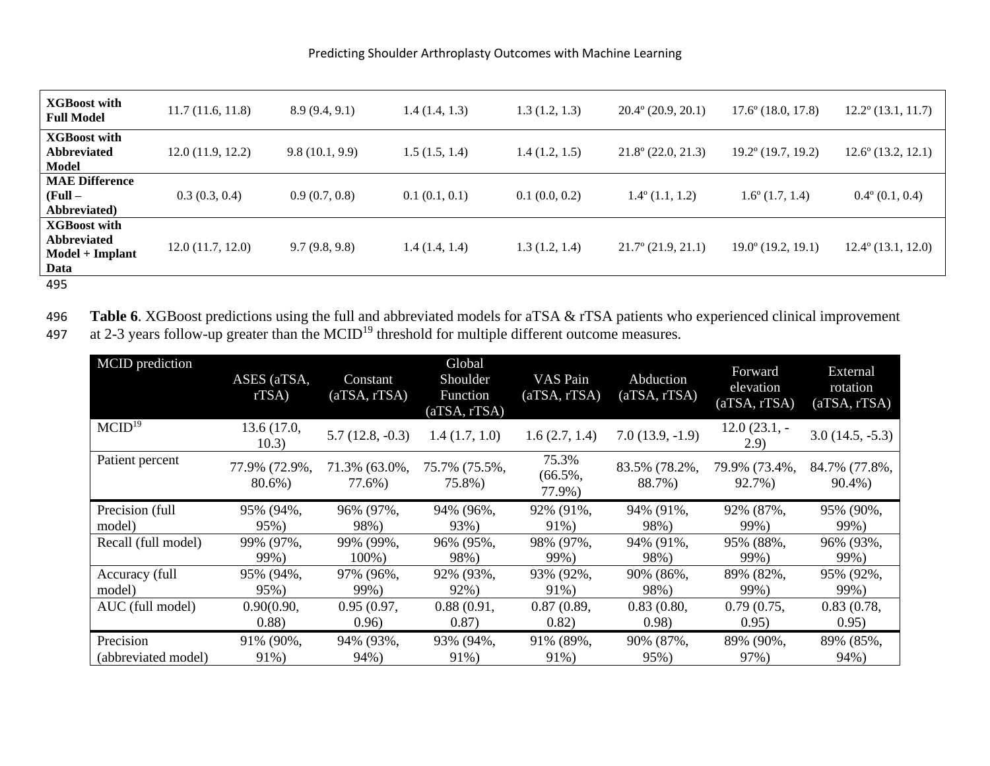| <b>XGBoost with</b><br><b>Full Model</b>                                                 | 11.7(11.6, 11.8) | 8.9(9.4, 9.1)  | 1.4(1.4, 1.3) | 1.3 (1.2, 1.3) | $20.4^{\circ}$ (20.9, 20.1) | $17.6^{\circ}$ (18.0, 17.8) | $12.2^{\circ}$ (13.1, 11.7) |
|------------------------------------------------------------------------------------------|------------------|----------------|---------------|----------------|-----------------------------|-----------------------------|-----------------------------|
| <b>XGBoost with</b><br><b>Abbreviated</b><br>Model                                       | 12.0(11.9, 12.2) | 9.8(10.1, 9.9) | 1.5(1.5, 1.4) | 1.4(1.2, 1.5)  | $21.8^{\circ}$ (22.0, 21.3) | $19.2^{\circ}$ (19.7, 19.2) | $12.6^{\circ}$ (13.2, 12.1) |
| <b>MAE Difference</b><br>$(Full -$<br>Abbreviated)                                       | 0.3(0.3, 0.4)    | 0.9(0.7, 0.8)  | 0.1(0.1, 0.1) | 0.1(0.0, 0.2)  | $1.4^{\circ}$ (1.1, 1.2)    | $1.6^{\circ}$ (1.7, 1.4)    | $0.4^{\circ}$ (0.1, 0.4)    |
| <b>XGBoost with</b><br><b>Abbreviated</b><br>$\textbf{Model} + \textbf{Implant}$<br>Data | 12.0(11.7, 12.0) | 9.7(9.8, 9.8)  | 1.4(1.4, 1.4) | 1.3 (1.2, 1.4) | $21.7^{\circ}$ (21.9, 21.1) | $19.0^{\circ}$ (19.2, 19.1) | $12.4^{\circ}$ (13.1, 12.0) |
| 495                                                                                      |                  |                |               |                |                             |                             |                             |

496 **Table 6**. XGBoost predictions using the full and abbreviated models for aTSA & rTSA patients who experienced clinical improvement

497 at 2-3 years follow-up greater than the MCID<sup>19</sup> threshold for multiple different outcome measures.

| MCID prediction     | ASES (aTSA,<br>rTSA)    | Constant<br>(aTSA, rTSA) | Global<br>Shoulder<br>Function<br>(aTSA, rTSA) | VAS Pain<br>(aTSA, rTSA)      | Abduction<br>(aTSA, rTSA) | Forward<br>elevation<br>(aTSA, rTSA) | External<br>rotation<br>(aTSA, rTSA) |
|---------------------|-------------------------|--------------------------|------------------------------------------------|-------------------------------|---------------------------|--------------------------------------|--------------------------------------|
| MCID <sup>19</sup>  | 13.6(17.0,<br>10.3)     | $5.7(12.8, -0.3)$        | 1.4(1.7, 1.0)                                  | 1.6(2.7, 1.4)                 | $7.0(13.9, -1.9)$         | $12.0(23.1,-$<br>2.9                 | $3.0(14.5, -5.3)$                    |
| Patient percent     | 77.9% (72.9%,<br>80.6%) | 71.3% (63.0%,<br>77.6%)  | 75.7% (75.5%,<br>75.8%)                        | 75.3%<br>$(66.5\%,$<br>77.9%) | 83.5% (78.2%,<br>88.7%)   | 79.9% (73.4%,<br>92.7%)              | 84.7% (77.8%,<br>90.4%)              |
| Precision (full     | 95% (94%,               | 96% (97%,                | 94% (96%,                                      | 92% (91%,                     | 94% (91%,                 | 92% (87%,                            | 95% (90%,                            |
| model)              | 95%)                    | 98%)                     | 93%)                                           | 91%)                          | 98%)                      | 99%)                                 | 99%)                                 |
| Recall (full model) | 99% (97%,               | 99% (99%,                | 96% (95%,                                      | 98% (97%,                     | 94% (91%,                 | 95% (88%,                            | 96% (93%,                            |
|                     | 99%)                    | 100%)                    | 98%)                                           | 99%)                          | 98%)                      | 99%)                                 | 99%)                                 |
| Accuracy (full      | 95% (94%,               | 97% (96%,                | 92% (93%,                                      | 93% (92%,                     | 90% (86%,                 | 89% (82%,                            | 95% (92%,                            |
| model)              | 95%)                    | 99%)                     | 92%)                                           | 91%)                          | 98%)                      | 99%)                                 | 99%)                                 |
| AUC (full model)    | 0.90(0.90,              | 0.95(0.97,               | 0.88(0.91,                                     | 0.87(0.89,                    | 0.83(0.80,                | 0.79(0.75,                           | 0.83(0.78,                           |
|                     | (0.88)                  | 0.96)                    | 0.87)                                          | 0.82)                         | 0.98)                     | 0.95)                                | 0.95)                                |
| Precision           | 91% (90%,               | 94% (93%,                | 93% (94%,                                      | 91% (89%,                     | 90% (87%,                 | 89% (90%,                            | 89% (85%,                            |
| (abbreviated model) | 91%)                    | 94%)                     | 91%)                                           | 91%)                          | 95%)                      | 97%)                                 | 94%)                                 |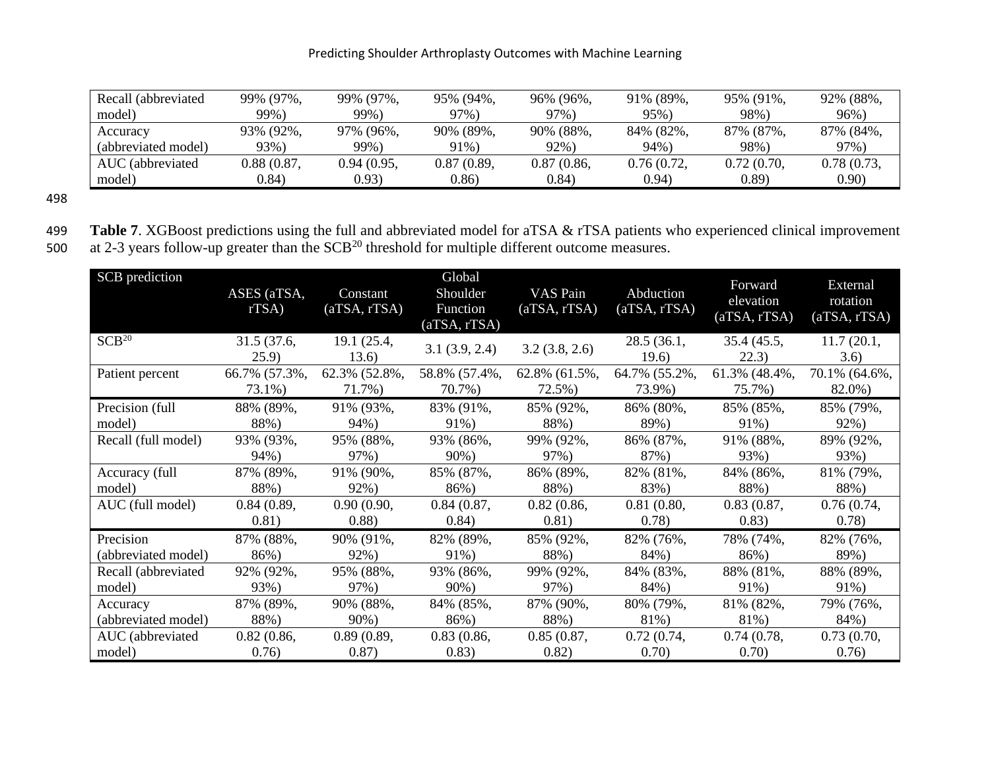| Recall (abbreviated | 99% (97%,  | 99% (97%,  | 95% (94%,  | 96% (96%,  | 91% (89%,  | 95% (91%,  | 92% (88%,  |
|---------------------|------------|------------|------------|------------|------------|------------|------------|
| model)              | 99%)       | 99%)       | 97%)       | 97%)       | 95%)       | 98%)       | 96%)       |
| Accuracy            | 93% (92%,  | 97% (96%,  | 90% (89%,  | 90% (88%,  | 84% (82%,  | 87% (87%,  | 87% (84%,  |
| (abbreviated model) | 93%)       | 99%)       | 91%)       | 92%)       | 94%)       | 98%)       | 97%)       |
| AUC (abbreviated    | 0.88(0.87, | 0.94(0.95, | 0.87(0.89, | 0.87(0.86, | 0.76(0.72, | 0.72(0.70, | 0.78(0.73, |
| model)              | 0.84)      | 0.93)      | 0.86)      | (0.84)     | 0.94)      | (0.89)     | 0.90)      |

498

|  |                                                                                                                                 |  |  |  | 499 Table 7. XGBoost predictions using the full and abbreviated model for aTSA & rTSA patients who experienced clinical improvement |
|--|---------------------------------------------------------------------------------------------------------------------------------|--|--|--|-------------------------------------------------------------------------------------------------------------------------------------|
|  | $\sim$ 100 $\sim$ 100 $\sim$ 100 $\sim$ 100 $\sim$ 100 $\sim$ 100 $\sim$ 200 $\sim$ 200 $\sim$ 100 $\sim$ 100 $\sim$ 100 $\sim$ |  |  |  |                                                                                                                                     |

500 at 2-3 years follow-up greater than the  $SCB<sup>20</sup>$  threshold for multiple different outcome measures.

| SCB prediction      | ASES (aTSA,<br>rTSA | Constant<br>(aTSA, rTSA) | Global<br>Shoulder<br>Function<br>(aTSA, rTSA) | VAS Pain<br>(aTSA, rTSA) | Abduction<br>(aTSA, rTSA) | Forward<br>elevation<br>(aTSA, rTSA) | External<br>rotation<br>(aTSA, rTSA) |
|---------------------|---------------------|--------------------------|------------------------------------------------|--------------------------|---------------------------|--------------------------------------|--------------------------------------|
| SCB <sup>20</sup>   | 31.5(37.6,<br>25.9) | 19.1 (25.4,<br>13.6)     | 3.1(3.9, 2.4)                                  | 3.2(3.8, 2.6)            | 28.5(36.1,<br>19.6)       | 35.4(45.5,<br>22.3)                  | 11.7(20.1,<br>3.6)                   |
| Patient percent     | 66.7% (57.3%,       | 62.3% (52.8%,            | 58.8% (57.4%,                                  | $62.8\%$ $(61.5\%$ ,     | 64.7% (55.2%,             | 61.3% (48.4%,                        | 70.1% (64.6%,                        |
|                     | 73.1%)              | 71.7%)                   | 70.7%)                                         | 72.5%)                   | 73.9%)                    | 75.7%)                               | 82.0%)                               |
| Precision (full     | 88% (89%,           | 91% (93%,                | 83% (91%,                                      | 85% (92%,                | 86% (80%,                 | 85% (85%,                            | 85% (79%,                            |
| model)              | 88%)                | 94%)                     | 91%)                                           | 88%)                     | 89%)                      | 91%)                                 | 92%)                                 |
| Recall (full model) | 93% (93%,           | 95% (88%,                | 93% (86%,                                      | 99% (92%,                | 86% (87%,                 | 91% (88%,                            | 89% (92%,                            |
|                     | 94%)                | 97%)                     | $90\%$ )                                       | 97%)                     | 87%)                      | 93%)                                 | 93%)                                 |
| Accuracy (full      | 87% (89%,           | 91% (90%,                | 85% (87%,                                      | 86% (89%,                | 82% (81%,                 | 84% (86%,                            | 81% (79%,                            |
| model)              | 88%)                | 92%)                     | 86%)                                           | 88%)                     | 83%)                      | 88%)                                 | 88%)                                 |
| AUC (full model)    | 0.84(0.89,          | 0.90(0.90,               | 0.84(0.87,                                     | 0.82(0.86,               | 0.81(0.80,                | 0.83(0.87,                           | 0.76(0.74,                           |
|                     | 0.81)               | (0.88)                   | 0.84)                                          | 0.81)                    | 0.78)                     | 0.83)                                | 0.78)                                |
| Precision           | 87% (88%,           | 90% (91%,                | 82% (89%,                                      | 85% (92%,                | 82% (76%,                 | 78% (74%,                            | 82% (76%,                            |
| (abbreviated model) | 86%)                | 92%)                     | 91%)                                           | 88%)                     | 84%)                      | 86%)                                 | 89%)                                 |
| Recall (abbreviated | 92% (92%,           | 95% (88%,                | 93% (86%,                                      | 99% (92%,                | 84% (83%,                 | 88% (81%,                            | 88% (89%,                            |
| model)              | 93%)                | 97%)                     | $90\%)$                                        | 97%)                     | 84%)                      | 91%)                                 | 91%)                                 |
| Accuracy            | 87% (89%,           | 90% (88%,                | 84% (85%,                                      | 87% (90%,                | 80% (79%,                 | 81% (82%,                            | 79% (76%,                            |
| (abbreviated model) | 88%)                | $90\%)$                  | 86%)                                           | 88%)                     | 81%)                      | 81%)                                 | 84%)                                 |
| AUC (abbreviated    | 0.82(0.86,          | 0.89(0.89,               | 0.83(0.86,                                     | 0.85(0.87,               | 0.72(0.74,                | 0.74(0.78,                           | 0.73(0.70,                           |
| model)              | 0.76)               | 0.87)                    | (0.83)                                         | 0.82)                    | 0.70)                     | 0.70)                                | 0.76)                                |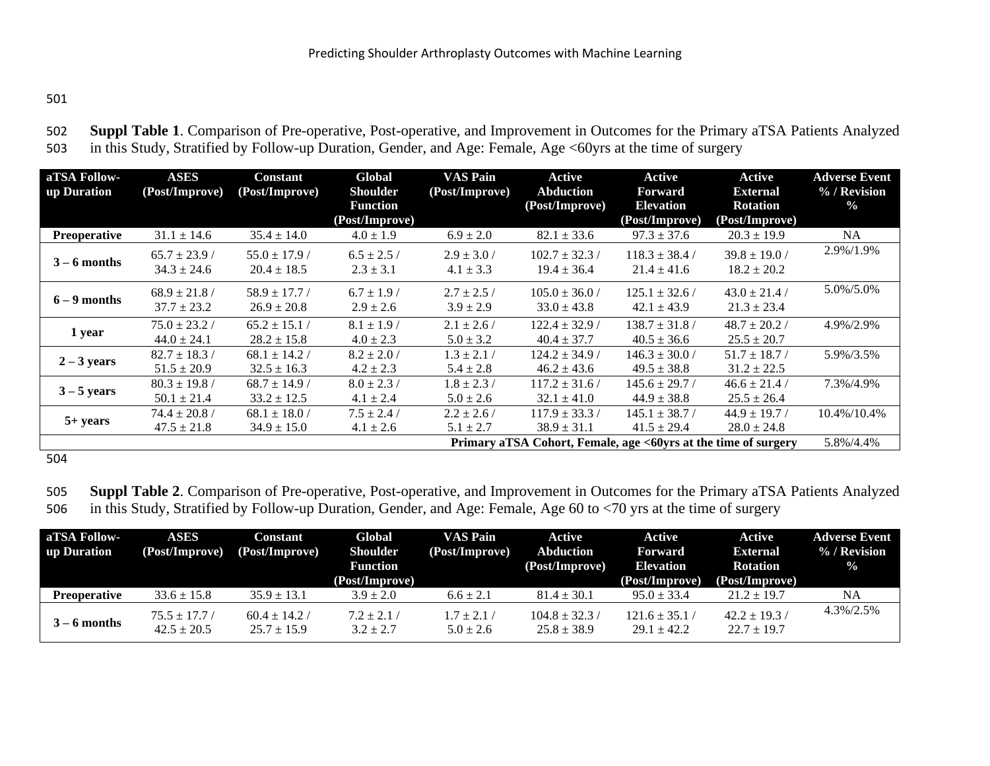502 **Suppl Table 1**. Comparison of Pre-operative, Post-operative, and Improvement in Outcomes for the Primary aTSA Patients Analyzed 503 in this Study, Stratified by Follow-up Duration, Gender, and Age: Female, Age <60yrs at the time of surgery

| aTSA Follow-<br>up Duration | <b>ASES</b><br>(Post/Improve)        | <b>Constant</b><br>(Post/Improve)    | Global<br><b>Shoulder</b><br><b>Function</b><br>(Post/Improve) | <b>VAS Pain</b><br>(Post/Improve) | Active<br><b>Abduction</b><br>(Post/Improve) | Active<br>Forward<br><b>Elevation</b><br>(Post/Improve)        | Active<br><b>External</b><br><b>Rotation</b><br>(Post/Improve) | <b>Adverse Event</b><br>% / Revision<br>$\frac{0}{0}$ |
|-----------------------------|--------------------------------------|--------------------------------------|----------------------------------------------------------------|-----------------------------------|----------------------------------------------|----------------------------------------------------------------|----------------------------------------------------------------|-------------------------------------------------------|
| <b>Preoperative</b>         | $31.1 \pm 14.6$                      | $35.4 \pm 14.0$                      | $4.0 \pm 1.9$                                                  | $6.9 \pm 2.0$                     | $82.1 \pm 33.6$                              | $97.3 \pm 37.6$                                                | $20.3 \pm 19.9$                                                | <b>NA</b>                                             |
| $3 - 6$ months              | $65.7 \pm 23.9$ /<br>$34.3 \pm 24.6$ | $55.0 \pm 17.9$ /<br>$20.4 \pm 18.5$ | $6.5 \pm 2.5/$<br>$2.3 \pm 3.1$                                | $2.9 \pm 3.0$ /<br>$4.1 \pm 3.3$  | $102.7 \pm 32.3$ /<br>$19.4 \pm 36.4$        | $118.3 \pm 38.4$ /<br>$21.4 \pm 41.6$                          | $39.8 \pm 19.0$ /<br>$18.2 \pm 20.2$                           | 2.9%/1.9%                                             |
| $6 - 9$ months              | $68.9 \pm 21.8$ /<br>$37.7 \pm 23.2$ | $58.9 \pm 17.7$ /<br>$26.9 \pm 20.8$ | $6.7 \pm 1.9$ /<br>$2.9 \pm 2.6$                               | $2.7 \pm 2.5/$<br>$3.9 \pm 2.9$   | $105.0 \pm 36.0$ /<br>$33.0 \pm 43.8$        | $125.1 \pm 32.6$ /<br>$42.1 \pm 43.9$                          | $43.0 \pm 21.4$<br>$21.3 \pm 23.4$                             | 5.0%/5.0%                                             |
| 1 year                      | $75.0 \pm 23.2$ /<br>$44.0 \pm 24.1$ | $65.2 \pm 15.1$<br>$28.2 \pm 15.8$   | $8.1 \pm 1.9$<br>$4.0 \pm 2.3$                                 | $2.1 \pm 2.6$ /<br>$5.0 \pm 3.2$  | $122.4 \pm 32.9$ /<br>$40.4 \pm 37.7$        | $138.7 \pm 31.8$ /<br>$40.5 \pm 36.6$                          | $48.7 \pm 20.2$<br>$25.5 \pm 20.7$                             | 4.9%/2.9%                                             |
| $2 - 3$ years               | $82.7 \pm 18.3$ /<br>$51.5 \pm 20.9$ | $68.1 \pm 14.2$<br>$32.5 \pm 16.3$   | $8.2 \pm 2.0$ /<br>$4.2 \pm 2.3$                               | $1.3 \pm 2.1$ /<br>$5.4 \pm 2.8$  | $124.2 \pm 34.9$ /<br>$46.2 \pm 43.6$        | $146.3 \pm 30.0$ /<br>$49.5 \pm 38.8$                          | $51.7 \pm 18.7$ /<br>$31.2 \pm 22.5$                           | 5.9%/3.5%                                             |
| $3 - 5$ years               | $80.3 \pm 19.8$<br>$50.1 \pm 21.4$   | $68.7 \pm 14.9$<br>$33.2 \pm 12.5$   | $8.0 \pm 2.3$ /<br>$4.1 \pm 2.4$                               | $1.8 \pm 2.3$ /<br>$5.0 \pm 2.6$  | $117.2 \pm 31.6$ /<br>$32.1 \pm 41.0$        | $145.6 \pm 29.7$<br>$44.9 \pm 38.8$                            | $46.6 \pm 21.4$<br>$25.5 \pm 26.4$                             | 7.3%/4.9%                                             |
| $5+ years$                  | $74.4 \pm 20.8$ /<br>$47.5 \pm 21.8$ | $68.1 \pm 18.0$<br>$34.9 \pm 15.0$   | $7.5 \pm 2.4/$<br>$4.1 \pm 2.6$                                | $2.2 \pm 2.6$<br>$5.1 \pm 2.7$    | $117.9 \pm 33.3/$<br>$38.9 \pm 31.1$         | $145.1 \pm 38.7$ /<br>$41.5 \pm 29.4$                          | $44.9 \pm 19.7$<br>$28.0 \pm 24.8$                             | 10.4%/10.4%                                           |
|                             |                                      |                                      |                                                                |                                   |                                              | Primary aTSA Cohort, Female, age <60yrs at the time of surgery |                                                                | 5.8%/4.4%                                             |

504

505 **Suppl Table 2**. Comparison of Pre-operative, Post-operative, and Improvement in Outcomes for the Primary aTSA Patients Analyzed 506 in this Study, Stratified by Follow-up Duration, Gender, and Age: Female, Age 60 to <70 yrs at the time of surgery

| aTSA Follow-<br>up Duration | <b>ASES</b><br>(Post/Improve)        | Constant<br>(Post/Improve)         | Global<br><b>Shoulder</b><br><b>Function</b><br>(Post/Improve) | <b>VAS Pain</b><br>(Post/Improve) | Active<br><b>Abduction</b><br>(Post/Improve) | Active<br>Forward<br><b>Elevation</b><br>(Post/Improve) | Active<br><b>External</b><br><b>Rotation</b><br>(Post/Improve) | <b>Adverse Event</b><br>$\%$ / Revision<br>$\frac{0}{2}$ |
|-----------------------------|--------------------------------------|------------------------------------|----------------------------------------------------------------|-----------------------------------|----------------------------------------------|---------------------------------------------------------|----------------------------------------------------------------|----------------------------------------------------------|
| <b>Preoperative</b>         | $33.6 \pm 15.8$                      | $35.9 \pm 13.1$                    | $3.9 \pm 2.0$                                                  | $6.6 \pm 2.1$                     | $81.4 \pm 30.1$                              | $95.0 \pm 33.4$                                         | $21.2 \pm 19.7$                                                | NA                                                       |
| $3 - 6$ months              | $75.5 \pm 17.7$ /<br>$42.5 \pm 20.5$ | $60.4 \pm 14.2$<br>$25.7 \pm 15.9$ | $7.2 \pm 2.1$<br>$3.2 + 2.7$                                   | $1.7 \pm 2.1$ /<br>$5.0 \pm 2.6$  | $104.8 \pm 32.3$<br>$25.8 \pm 38.9$          | $121.6 \pm 35.1$<br>$29.1 \pm 42.2$                     | $42.2 \pm 19.3$<br>$22.7 \pm 19.7$                             | 4.3%/2.5%                                                |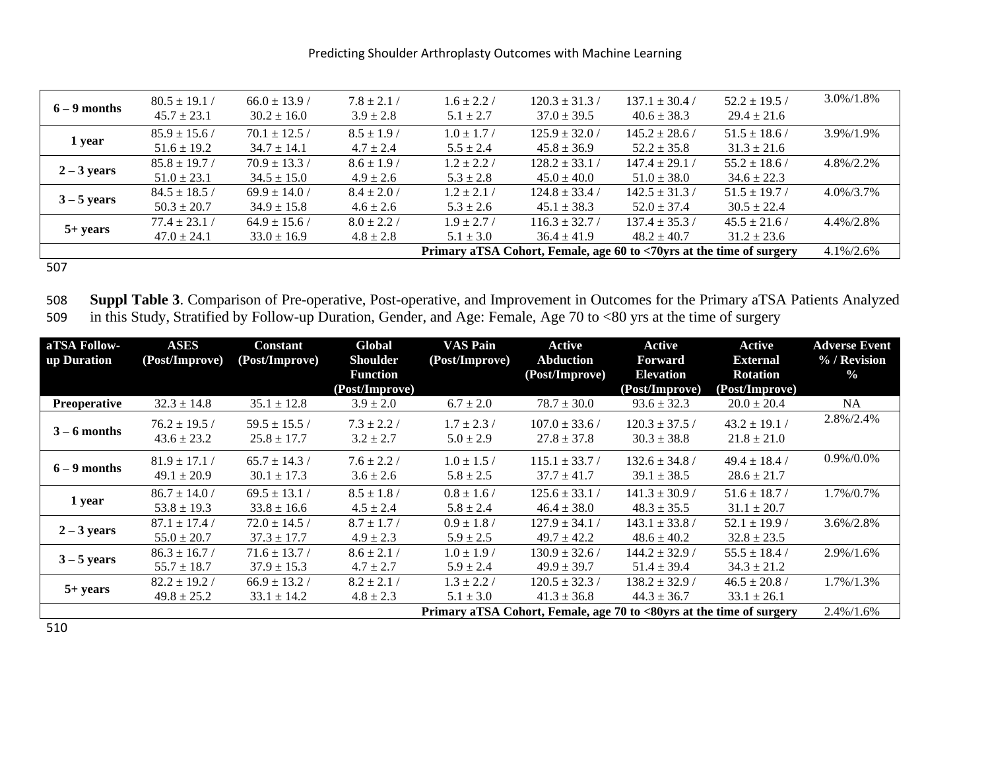| $6 - 9$ months | $80.5 \pm 19.1$<br>$45.7 \pm 23.1$   | $66.0 \pm 13.9$ /<br>$30.2 \pm 16.0$ | $7.8 \pm 2.1$ /<br>$3.9 \pm 2.8$ | $1.6 \pm 2.2$ /<br>$5.1 \pm 2.7$ | $120.3 \pm 31.3$<br>$37.0 \pm 39.5$                                  | $137.1 \pm 30.4$ /<br>$40.6 \pm 38.3$ | $52.2 \pm 19.5$<br>$29.4 \pm 21.6$   | 3.0%/1.8%     |
|----------------|--------------------------------------|--------------------------------------|----------------------------------|----------------------------------|----------------------------------------------------------------------|---------------------------------------|--------------------------------------|---------------|
| 1 year         | $85.9 \pm 15.6/$<br>$51.6 \pm 19.2$  | $70.1 \pm 12.5$ /<br>$34.7 \pm 14.1$ | $8.5 \pm 1.9$ /<br>$4.7 \pm 2.4$ | $1.0 \pm 1.7$<br>$5.5 \pm 2.4$   | $125.9 \pm 32.0$ /<br>$45.8 \pm 36.9$                                | $145.2 \pm 28.6$ /<br>$52.2 \pm 35.8$ | $51.5 \pm 18.6$<br>$31.3 \pm 21.6$   | 3.9%/1.9%     |
| $2 - 3$ years  | $85.8 \pm 19.7$ /<br>$51.0 \pm 23.1$ | $70.9 \pm 13.3$ /<br>$34.5 \pm 15.0$ | $8.6 \pm 1.9$ /<br>$4.9 \pm 2.6$ | $1.2 \pm 2.2$ /<br>$5.3 \pm 2.8$ | $128.2 \pm 33.1$ /<br>$45.0 \pm 40.0$                                | $147.4 \pm 29.1$<br>$51.0 \pm 38.0$   | $55.2 \pm 18.6$ /<br>$34.6 \pm 22.3$ | 4.8%/2.2%     |
| $3 - 5$ years  | $84.5 \pm 18.5$ /<br>$50.3 \pm 20.7$ | $69.9 \pm 14.0$ /<br>$34.9 \pm 15.8$ | $8.4 \pm 2.0$ /<br>$4.6 \pm 2.6$ | $1.2 \pm 2.1$<br>$5.3 \pm 2.6$   | $124.8 \pm 33.4$ /<br>$45.1 \pm 38.3$                                | $142.5 \pm 31.3$<br>$52.0 \pm 37.4$   | $51.5 \pm 19.7$<br>$30.5 \pm 22.4$   | $4.0\%/3.7\%$ |
| $5+ years$     | $77.4 \pm 23.1 /$<br>$47.0 \pm 24.1$ | $64.9 \pm 15.6$ /<br>$33.0 \pm 16.9$ | $8.0 \pm 2.2$ /<br>$4.8 \pm 2.8$ | $1.9 \pm 2.7/$<br>$5.1 \pm 3.0$  | $116.3 \pm 32.7$ /<br>$36.4 \pm 41.9$                                | $137.4 \pm 35.3/$<br>$48.2 \pm 40.7$  | $45.5 \pm 21.6$ /<br>$31.2 \pm 23.6$ | 4.4%/2.8%     |
|                |                                      |                                      |                                  |                                  | Primary aTSA Cohort, Female, age 60 to <70yrs at the time of surgery |                                       |                                      | $4.1\%/2.6\%$ |

507

508 **Suppl Table 3**. Comparison of Pre-operative, Post-operative, and Improvement in Outcomes for the Primary aTSA Patients Analyzed 509 in this Study, Stratified by Follow-up Duration, Gender, and Age: Female, Age 70 to <80 yrs at the time of surgery

| aTSA Follow-<br>up Duration | ASES<br>(Post/Improve)               | <b>Constant</b><br>(Post/Improve)    | Global<br><b>Shoulder</b>         | <b>VAS Pain</b><br>(Post/Improve)                                    | Active<br><b>Abduction</b>            | Active<br><b>Forward</b>              | Active<br><b>External</b>            | <b>Adverse Event</b><br>% / Revision |
|-----------------------------|--------------------------------------|--------------------------------------|-----------------------------------|----------------------------------------------------------------------|---------------------------------------|---------------------------------------|--------------------------------------|--------------------------------------|
|                             |                                      |                                      | <b>Function</b><br>(Post/Improve) |                                                                      | (Post/Improve)                        | <b>Elevation</b><br>(Post/Improve)    | <b>Rotation</b><br>(Post/Improve)    | $\frac{0}{0}$                        |
| <b>Preoperative</b>         | $32.3 \pm 14.8$                      | $35.1 \pm 12.8$                      | $3.9 \pm 2.0$                     | $6.7 \pm 2.0$                                                        | $78.7 \pm 30.0$                       | $93.6 \pm 32.3$                       | $20.0 \pm 20.4$                      | NA.                                  |
| $3 - 6$ months              | $76.2 \pm 19.5$<br>$43.6 \pm 23.2$   | $59.5 \pm 15.5$<br>$25.8 \pm 17.7$   | $7.3 \pm 2.2$ /<br>$3.2 \pm 2.7$  | $1.7 \pm 2.3$ /<br>$5.0 \pm 2.9$                                     | $107.0 \pm 33.6$ /<br>$27.8 \pm 37.8$ | $120.3 \pm 37.5$ /<br>$30.3 \pm 38.8$ | $43.2 \pm 19.1$<br>$21.8 \pm 21.0$   | 2.8%/2.4%                            |
| $6 - 9$ months              | $81.9 \pm 17.1$<br>$49.1 \pm 20.9$   | $65.7 \pm 14.3$ /<br>$30.1 \pm 17.3$ | $7.6 \pm 2.2$ /<br>$3.6 \pm 2.6$  | $1.0 \pm 1.5$ /<br>$5.8 \pm 2.5$                                     | $115.1 \pm 33.7$ /<br>$37.7 \pm 41.7$ | $132.6 \pm 34.8$ /<br>$39.1 \pm 38.5$ | $49.4 \pm 18.4$<br>$28.6 \pm 21.7$   | 0.9%/0.0%                            |
| 1 year                      | $86.7 \pm 14.0$ /<br>$53.8 \pm 19.3$ | $69.5 \pm 13.1$ /<br>$33.8 \pm 16.6$ | $8.5 \pm 1.8$ /<br>$4.5 \pm 2.4$  | $0.8 \pm 1.6$<br>$5.8 \pm 2.4$                                       | $125.6 \pm 33.1 /$<br>$46.4 \pm 38.0$ | $141.3 \pm 30.9$<br>$48.3 \pm 35.5$   | $51.6 \pm 18.7$ /<br>$31.1 \pm 20.7$ | 1.7%/0.7%                            |
| $2 - 3$ years               | $87.1 \pm 17.4$ /<br>$55.0 \pm 20.7$ | $72.0 \pm 14.5$<br>$37.3 \pm 17.7$   | $8.7 \pm 1.7$ /<br>$4.9 \pm 2.3$  | $0.9 \pm 1.8$<br>$5.9 \pm 2.5$                                       | $127.9 \pm 34.1$<br>$49.7 \pm 42.2$   | $143.1 \pm 33.8$ /<br>$48.6 \pm 40.2$ | $52.1 \pm 19.9$<br>$32.8 \pm 23.5$   | 3.6%/2.8%                            |
| $3 - 5$ years               | $86.3 \pm 16.7$<br>$55.7 \pm 18.7$   | $71.6 \pm 13.7$<br>$37.9 \pm 15.3$   | $8.6 \pm 2.1$<br>$4.7 \pm 2.7$    | $1.0 \pm 1.9$ /<br>$5.9 \pm 2.4$                                     | $130.9 \pm 32.6$<br>$49.9 \pm 39.7$   | $144.2 \pm 32.9$ /<br>$51.4 \pm 39.4$ | $55.5 \pm 18.4$ /<br>$34.3 \pm 21.2$ | 2.9%/1.6%                            |
| $5+ years$                  | $82.2 \pm 19.2$<br>$49.8 \pm 25.2$   | $66.9 \pm 13.2$<br>$33.1 \pm 14.2$   | $8.2 \pm 2.1$<br>$4.8 \pm 2.3$    | $1.3 \pm 2.2$<br>$5.1 \pm 3.0$                                       | $120.5 \pm 32.3$<br>$41.3 \pm 36.8$   | $138.2 \pm 32.9$<br>$44.3 \pm 36.7$   | $46.5 \pm 20.8$<br>$33.1 \pm 26.1$   | 1.7%/1.3%                            |
|                             |                                      |                                      |                                   | Primary aTSA Cohort, Female, age 70 to <80yrs at the time of surgery |                                       |                                       |                                      | 2.4%/1.6%                            |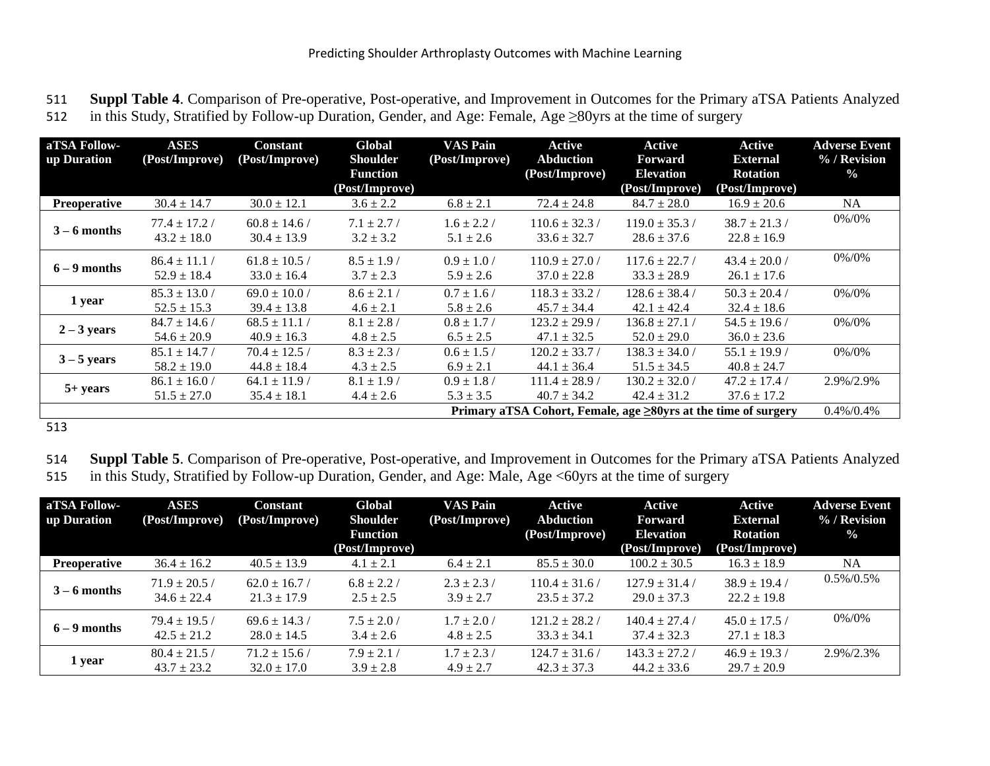511 **Suppl Table 4**. Comparison of Pre-operative, Post-operative, and Improvement in Outcomes for the Primary aTSA Patients Analyzed 512 in this Study, Stratified by Follow-up Duration, Gender, and Age: Female, Age ≥80yrs at the time of surgery

| aTSA Follow-   | <b>ASES</b>       | <b>Constant</b>   | Global          | <b>VAS Pain</b> | Active             | Active                                                         | <b>Active</b>     | <b>Adverse Event</b> |
|----------------|-------------------|-------------------|-----------------|-----------------|--------------------|----------------------------------------------------------------|-------------------|----------------------|
| up Duration    | (Post/Improve)    | (Post/Improve)    | <b>Shoulder</b> | (Post/Improve)  | <b>Abduction</b>   | <b>Forward</b>                                                 | <b>External</b>   | % / Revision         |
|                |                   |                   | <b>Function</b> |                 | (Post/Improve)     | <b>Elevation</b>                                               | <b>Rotation</b>   | $\frac{0}{0}$        |
|                |                   |                   | (Post/Improve)  |                 |                    | (Post/Improve)                                                 | (Post/Improve)    |                      |
| Preoperative   | $30.4 \pm 14.7$   | $30.0 \pm 12.1$   | $3.6 \pm 2.2$   | $6.8 \pm 2.1$   | $72.4 \pm 24.8$    | $84.7 \pm 28.0$                                                | $16.9 \pm 20.6$   | NA                   |
|                | $77.4 \pm 17.2$   | $60.8 \pm 14.6$   | $7.1 \pm 2.7/$  | $1.6 \pm 2.2$ / | $110.6 \pm 32.3$ / | $119.0 \pm 35.3/$                                              | $38.7 \pm 21.3$ / | 0%/0%                |
| $3 - 6$ months | $43.2 \pm 18.0$   | $30.4 \pm 13.9$   | $3.2 \pm 3.2$   | $5.1 \pm 2.6$   | $33.6 \pm 32.7$    | $28.6 \pm 37.6$                                                | $22.8 \pm 16.9$   |                      |
| $6 - 9$ months | $86.4 \pm 11.1$   | $61.8 \pm 10.5$ / | $8.5 \pm 1.9$ / | $0.9 \pm 1.0$ / | $110.9 \pm 27.0$ / | $117.6 \pm 22.7$ /                                             | $43.4 \pm 20.0$ / | 0%/0%                |
|                | $52.9 \pm 18.4$   | $33.0 \pm 16.4$   | $3.7 \pm 2.3$   | $5.9 \pm 2.6$   | $37.0 \pm 22.8$    | $33.3 \pm 28.9$                                                | $26.1 \pm 17.6$   |                      |
| 1 year         | $85.3 \pm 13.0$ / | $69.0 \pm 10.0$ / | $8.6 \pm 2.1$ / | $0.7 \pm 1.6$ / | $118.3 \pm 33.2$ / | $128.6 \pm 38.4$ /                                             | $50.3 \pm 20.4$ / | 0%/0%                |
|                | $52.5 \pm 15.3$   | $39.4 \pm 13.8$   | $4.6 \pm 2.1$   | $5.8 \pm 2.6$   | $45.7 \pm 34.4$    | $42.1 \pm 42.4$                                                | $32.4 \pm 18.6$   |                      |
| $2 - 3$ years  | $84.7 \pm 14.6$ / | $68.5 \pm 11.1$   | $8.1 \pm 2.8$ / | $0.8 \pm 1.7$ / | $123.2 \pm 29.9$ / | $136.8 \pm 27.1$ /                                             | $54.5 \pm 19.6$   | 0%/0%                |
|                | $54.6 \pm 20.9$   | $40.9 \pm 16.3$   | $4.8 \pm 2.5$   | $6.5 \pm 2.5$   | $47.1 \pm 32.5$    | $52.0 \pm 29.0$                                                | $36.0 \pm 23.6$   |                      |
| $3 - 5$ years  | $85.1 \pm 14.7$ / | $70.4 \pm 12.5$   | $8.3 \pm 2.3$ / | $0.6 \pm 1.5$ / | $120.2 \pm 33.7/$  | $138.3 \pm 34.0$ /                                             | $55.1 \pm 19.9$   | 0%/0%                |
|                | $58.2 \pm 19.0$   | $44.8 \pm 18.4$   | $4.3 \pm 2.5$   | $6.9 \pm 2.1$   | $44.1 \pm 36.4$    | $51.5 \pm 34.5$                                                | $40.8 \pm 24.7$   |                      |
|                | $86.1 \pm 16.0 /$ | $64.1 \pm 11.9$   | $8.1 \pm 1.9$ / | $0.9 \pm 1.8$ / | $111.4 \pm 28.9$ / | $130.2 \pm 32.0$ /                                             | $47.2 \pm 17.4$ / | 2.9%/2.9%            |
| $5+ years$     | $51.5 \pm 27.0$   | $35.4 \pm 18.1$   | $4.4 \pm 2.6$   | $5.3 \pm 3.5$   | $40.7 \pm 34.2$    | $42.4 \pm 31.2$                                                | $37.6 \pm 17.2$   |                      |
|                |                   |                   |                 |                 |                    | Primary aTSA Cohort, Female, age ≥80yrs at the time of surgery |                   | $0.4\%/0.4\%$        |

513

514 **Suppl Table 5**. Comparison of Pre-operative, Post-operative, and Improvement in Outcomes for the Primary aTSA Patients Analyzed 515 in this Study, Stratified by Follow-up Duration, Gender, and Age: Male, Age <60yrs at the time of surgery

| aTSA Follow-<br>up Duration | <b>ASES</b><br>(Post/Improve)        | <b>Constant</b><br>(Post/Improve)    | Global<br><b>Shoulder</b>         | <b>VAS Pain</b><br>(Post/Improve) | Active<br><b>Abduction</b>            | Active<br>Forward                     | Active<br><b>External</b>            | <b>Adverse Event</b><br>% / Revision |
|-----------------------------|--------------------------------------|--------------------------------------|-----------------------------------|-----------------------------------|---------------------------------------|---------------------------------------|--------------------------------------|--------------------------------------|
|                             |                                      |                                      | <b>Function</b><br>(Post/Improve) |                                   | (Post/Improve)                        | <b>Elevation</b><br>(Post/Improve)    | <b>Rotation</b><br>(Post/Improve)    | $\frac{0}{0}$                        |
| <b>Preoperative</b>         | $36.4 \pm 16.2$                      | $40.5 \pm 13.9$                      | $4.1 \pm 2.1$                     | $6.4 \pm 2.1$                     | $85.5 \pm 30.0$                       | $100.2 \pm 30.5$                      | $16.3 \pm 18.9$                      | <b>NA</b>                            |
| $3 - 6$ months              | $71.9 \pm 20.5$ /<br>$34.6 \pm 22.4$ | $62.0 \pm 16.7$ /<br>$21.3 \pm 17.9$ | $6.8 \pm 2.2$ /<br>$2.5 \pm 2.5$  | $2.3 \pm 2.3$<br>$3.9 \pm 2.7$    | $110.4 \pm 31.6$<br>$23.5 \pm 37.2$   | $127.9 \pm 31.4$<br>$29.0 \pm 37.3$   | $38.9 \pm 19.4$<br>$22.2 \pm 19.8$   | $0.5\%/0.5\%$                        |
| $6 - 9$ months              | $79.4 \pm 19.5/$<br>$42.5 \pm 21.2$  | $69.6 \pm 14.3$ /<br>$28.0 \pm 14.5$ | $7.5 \pm 2.0$ /<br>$3.4 \pm 2.6$  | $1.7 \pm 2.0$ /<br>$4.8 \pm 2.5$  | $121.2 \pm 28.2$ /<br>$33.3 \pm 34.1$ | $140.4 \pm 27.4$ /<br>$37.4 \pm 32.3$ | $45.0 \pm 17.5$ /<br>$27.1 \pm 18.3$ | 0%/0%                                |
| 1 year                      | $80.4 \pm 21.5$<br>$43.7 \pm 23.2$   | $71.2 \pm 15.6$ /<br>$32.0 \pm 17.0$ | $7.9 \pm 2.1$<br>$3.9 \pm 2.8$    | $1.7 \pm 2.3$ /<br>$4.9 \pm 2.7$  | $124.7 \pm 31.6$<br>$42.3 \pm 37.3$   | $143.3 \pm 27.2$<br>$44.2 \pm 33.6$   | $46.9 \pm 19.3$<br>$29.7 \pm 20.9$   | $2.9\%/2.3\%$                        |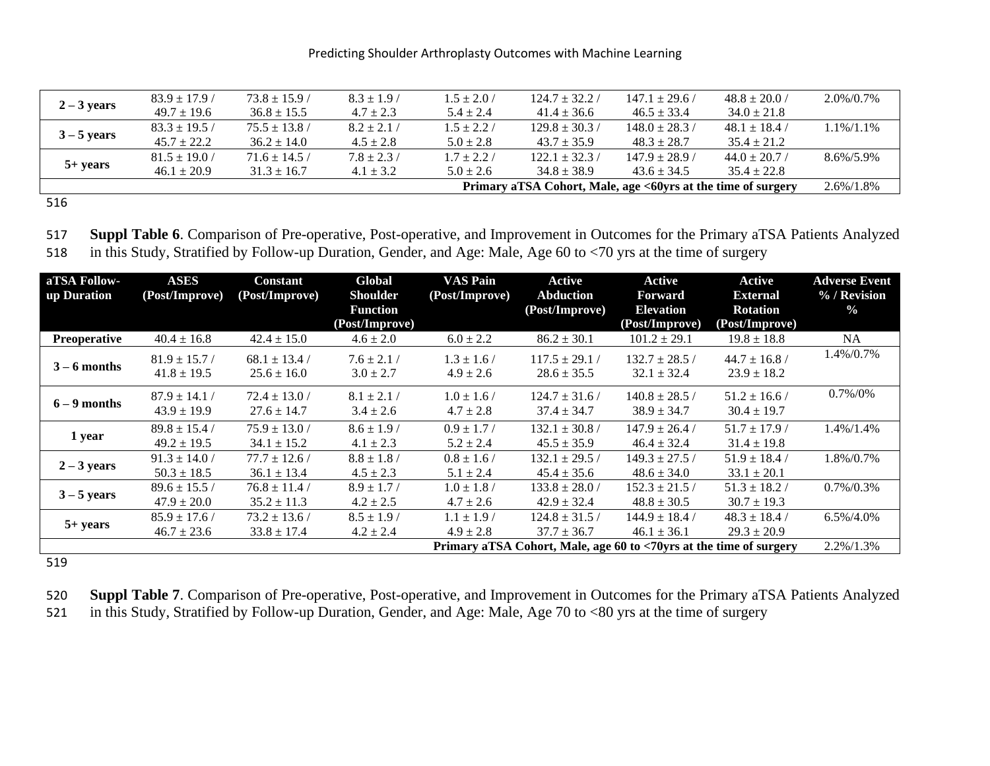|               | $83.9 \pm 17.9$   | $73.8 \pm 15.9$ / | $8.3 \pm 1.9$   | $1.5 \pm 2.0$ / | $124.7 \pm 32.2$ /                                           | $147.1 \pm 29.6/$  | $48.8 \pm 20.0$ / | 2.0%/0.7%     |
|---------------|-------------------|-------------------|-----------------|-----------------|--------------------------------------------------------------|--------------------|-------------------|---------------|
| $2 - 3$ years | $49.7 \pm 19.6$   | $36.8 \pm 15.5$   | $4.7 \pm 2.3$   | $5.4 \pm 2.4$   | $41.4 \pm 36.6$                                              | $46.5 \pm 33.4$    | $34.0 \pm 21.8$   |               |
| $3 - 5$ years | $83.3 \pm 19.5$   | $75.5 \pm 13.8$ / | $8.2 \pm 2.1$   | $1.5 \pm 2.2/$  | $129.8 \pm 30.3$                                             | $148.0 \pm 28.3$ / | $48.1 \pm 18.4$ / | 1.1%/1.1%     |
|               | $45.7 \pm 22.2$   | $36.2 \pm 14.0$   | $4.5 \pm 2.8$   | $5.0 \pm 2.8$   | $43.7 \pm 35.9$                                              | $48.3 \pm 28.7$    | $35.4 \pm 21.2$   |               |
| $5+ years$    | $81.5 \pm 19.0$ / | $71.6 \pm 14.5/$  | $7.8 \pm 2.3$ / | $1.7 \pm 2.2$ / | $122.1 \pm 32.3$                                             | $147.9 \pm 28.9$ / | $44.0 \pm 20.7$ / | 8.6%/5.9%     |
|               | $46.1 \pm 20.9$   | $31.3 \pm 16.7$   | $4.1 \pm 3.2$   | $5.0 \pm 2.6$   | $34.8 \pm 38.9$                                              | $43.6 \pm 34.5$    | $35.4 \pm 22.8$   |               |
|               |                   |                   |                 |                 | Primary aTSA Cohort, Male, age <60yrs at the time of surgery |                    |                   | $2.6\%/1.8\%$ |

516

517 **Suppl Table 6**. Comparison of Pre-operative, Post-operative, and Improvement in Outcomes for the Primary aTSA Patients Analyzed 518 in this Study, Stratified by Follow-up Duration, Gender, and Age: Male, Age 60 to <70 yrs at the time of surgery

| aTSA Follow-<br>up Duration | <b>ASES</b><br>(Post/Improve)      | <b>Constant</b><br>(Post/Improve)    | Global<br><b>Shoulder</b><br><b>Function</b> | <b>VAS Pain</b><br>(Post/Improve) | Active<br><b>Abduction</b><br>(Post/Improve) | Active<br><b>Forward</b><br><b>Elevation</b>                       | Active<br><b>External</b><br><b>Rotation</b> | <b>Adverse Event</b><br>% / Revision<br>$\frac{0}{2}$ |
|-----------------------------|------------------------------------|--------------------------------------|----------------------------------------------|-----------------------------------|----------------------------------------------|--------------------------------------------------------------------|----------------------------------------------|-------------------------------------------------------|
|                             |                                    |                                      | (Post/Improve)                               |                                   |                                              | (Post/Improve)                                                     | (Post/Improve)                               |                                                       |
| Preoperative                | $40.4 \pm 16.8$                    | $42.4 \pm 15.0$                      | $4.6 \pm 2.0$                                | $6.0 \pm 2.2$                     | $86.2 \pm 30.1$                              | $101.2 \pm 29.1$                                                   | $19.8 \pm 18.8$                              | <b>NA</b>                                             |
| $3 - 6$ months              | $81.9 \pm 15.7$<br>$41.8 \pm 19.5$ | $68.1 \pm 13.4$ /<br>$25.6 \pm 16.0$ | $7.6 \pm 2.1/$<br>$3.0 \pm 2.7$              | $1.3 \pm 1.6$ /<br>$4.9 \pm 2.6$  | $117.5 \pm 29.1$<br>$28.6 \pm 35.5$          | $132.7 \pm 28.5$ /<br>$32.1 \pm 32.4$                              | $44.7 \pm 16.8$ /<br>$23.9 \pm 18.2$         | 1.4%/0.7%                                             |
| $6 - 9$ months              | $87.9 \pm 14.1$<br>$43.9 \pm 19.9$ | $72.4 \pm 13.0$ /<br>$27.6 \pm 14.7$ | $8.1 \pm 2.1$ /<br>$3.4 \pm 2.6$             | $1.0 \pm 1.6$ /<br>$4.7 \pm 2.8$  | $124.7 \pm 31.6$ /<br>$37.4 \pm 34.7$        | $140.8 \pm 28.5$ /<br>$38.9 \pm 34.7$                              | $51.2 \pm 16.6$ /<br>$30.4 \pm 19.7$         | $0.7\%/0\%$                                           |
| 1 year                      | $89.8 \pm 15.4$<br>$49.2 \pm 19.5$ | $75.9 \pm 13.0$ /<br>$34.1 \pm 15.2$ | $8.6 \pm 1.9$ /<br>$4.1 \pm 2.3$             | $0.9 \pm 1.7$<br>$5.2 \pm 2.4$    | $132.1 \pm 30.8$<br>$45.5 \pm 35.9$          | $147.9 \pm 26.4$ /<br>$46.4 \pm 32.4$                              | $51.7 \pm 17.9$ /<br>$31.4 \pm 19.8$         | 1.4%/1.4%                                             |
| $2 - 3$ years               | $91.3 \pm 14.0$<br>$50.3 \pm 18.5$ | $77.7 \pm 12.6$ /<br>$36.1 \pm 13.4$ | $8.8 \pm 1.8$<br>$4.5 \pm 2.3$               | $0.8 \pm 1.6$ /<br>$5.1 \pm 2.4$  | $132.1 \pm 29.5$ /<br>$45.4 \pm 35.6$        | $149.3 \pm 27.5$ /<br>$48.6 \pm 34.0$                              | $51.9 \pm 18.4$ /<br>$33.1 \pm 20.1$         | 1.8%/0.7%                                             |
| $3 - 5$ years               | $89.6 \pm 15.5$<br>$47.9 \pm 20.0$ | $76.8 \pm 11.4$ /<br>$35.2 \pm 11.3$ | $8.9 \pm 1.7$ /<br>$4.2 \pm 2.5$             | $1.0 \pm 1.8$ /<br>$4.7 \pm 2.6$  | $133.8 \pm 28.0$ /<br>$42.9 \pm 32.4$        | $152.3 \pm 21.5$ /<br>$48.8 \pm 30.5$                              | $51.3 \pm 18.2$<br>$30.7 \pm 19.3$           | $0.7\%/0.3\%$                                         |
| $5+ years$                  | $85.9 \pm 17.6$<br>$46.7 \pm 23.6$ | $73.2 \pm 13.6$ /<br>$33.8 \pm 17.4$ | $8.5 \pm 1.9$<br>$4.2 \pm 2.4$               | $1.1 \pm 1.9$<br>$4.9 \pm 2.8$    | $124.8 \pm 31.5$<br>$37.7 \pm 36.7$          | $144.9 \pm 18.4$ /<br>$46.1 \pm 36.1$                              | $48.3 \pm 18.4$<br>$29.3 \pm 20.9$           | $6.5\%/4.0\%$                                         |
|                             |                                    |                                      |                                              |                                   |                                              | Primary aTSA Cohort, Male, age 60 to <70yrs at the time of surgery |                                              | $2.2\%/1.3\%$                                         |

519

| 520 Suppl Table 7. Comparison of Pre-operative, Post-operative, and Improvement in Outcomes for the Primary aTSA Patients Analyzed |
|------------------------------------------------------------------------------------------------------------------------------------|
| 521 in this Study, Stratified by Follow-up Duration, Gender, and Age: Male, Age 70 to <80 yrs at the time of surgery               |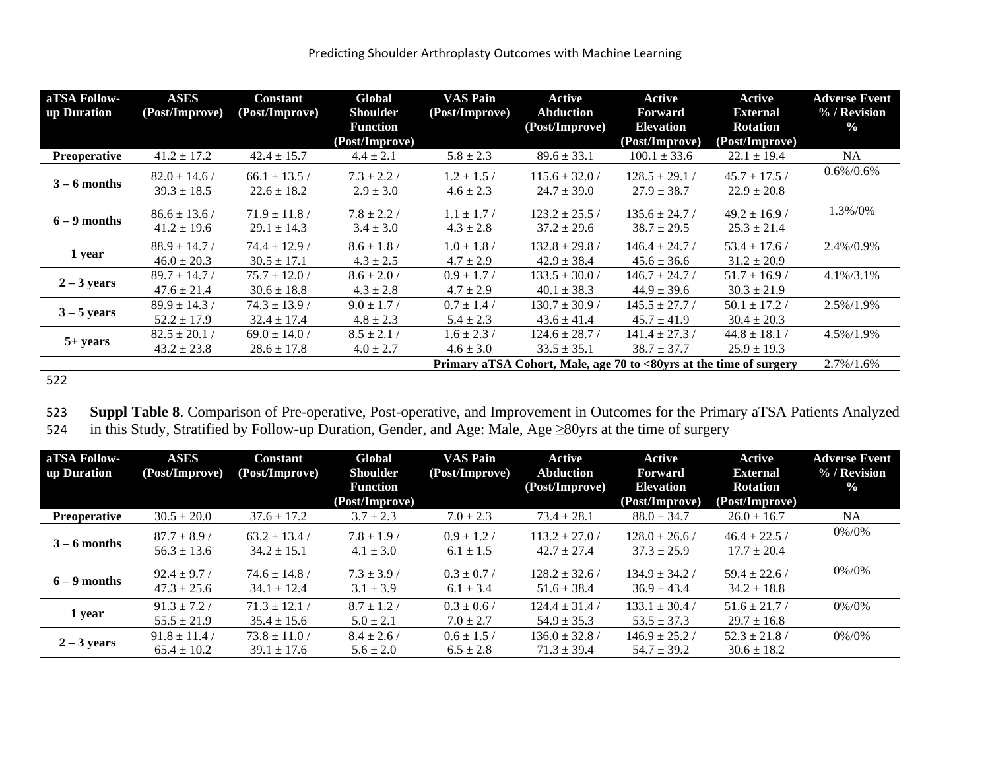| aTSA Follow-<br>up Duration | <b>ASES</b><br>(Post/Improve)        | <b>Constant</b><br>(Post/Improve)    | Global<br><b>Shoulder</b><br><b>Function</b><br>(Post/Improve) | VAS Pain<br>(Post/Improve)       | Active<br><b>Abduction</b><br>(Post/Improve) | Active<br>Forward<br><b>Elevation</b><br>(Post/Improve)            | Active<br><b>External</b><br><b>Rotation</b><br>(Post/Improve) | <b>Adverse Event</b><br>% / Revision<br>$\frac{0}{0}$ |
|-----------------------------|--------------------------------------|--------------------------------------|----------------------------------------------------------------|----------------------------------|----------------------------------------------|--------------------------------------------------------------------|----------------------------------------------------------------|-------------------------------------------------------|
| <b>Preoperative</b>         | $41.2 \pm 17.2$                      | $42.4 \pm 15.7$                      | $4.4 \pm 2.1$                                                  | $5.8 \pm 2.3$                    | $89.6 \pm 33.1$                              | $100.1 \pm 33.6$                                                   | $22.1 \pm 19.4$                                                | <b>NA</b>                                             |
| $3 - 6$ months              | $82.0 \pm 14.6$ /<br>$39.3 \pm 18.5$ | $66.1 \pm 13.5$ /<br>$22.6 \pm 18.2$ | $7.3 + 2.2/$<br>$2.9 \pm 3.0$                                  | $1.2 \pm 1.5$ /<br>$4.6 \pm 2.3$ | $115.6 \pm 32.0$ /<br>$24.7 \pm 39.0$        | $128.5 \pm 29.1$<br>$27.9 \pm 38.7$                                | $45.7 \pm 17.5$ /<br>$22.9 \pm 20.8$                           | $0.6\%/0.6\%$                                         |
| $6 - 9$ months              | $86.6 \pm 13.6/$<br>$41.2 \pm 19.6$  | $71.9 \pm 11.8$ /<br>$29.1 \pm 14.3$ | $7.8 \pm 2.2$ /<br>$3.4 \pm 3.0$                               | $1.1 \pm 1.7$ /<br>$4.3 \pm 2.8$ | $123.2 \pm 25.5$ /<br>$37.2 \pm 29.6$        | $135.6 \pm 24.7/$<br>$38.7 \pm 29.5$                               | $49.2 \pm 16.9$<br>$25.3 \pm 21.4$                             | 1.3%/0%                                               |
| 1 year                      | $88.9 \pm 14.7$ /<br>$46.0 \pm 20.3$ | $74.4 \pm 12.9$ /<br>$30.5 \pm 17.1$ | $8.6 \pm 1.8$ /<br>$4.3 \pm 2.5$                               | $1.0 \pm 1.8$ /<br>$4.7 \pm 2.9$ | $132.8 \pm 29.8$ /<br>$42.9 \pm 38.4$        | $146.4 \pm 24.7/$<br>$45.6 \pm 36.6$                               | $53.4 \pm 17.6$ /<br>$31.2 \pm 20.9$                           | 2.4%/0.9%                                             |
| $2 - 3$ years               | $89.7 \pm 14.7$<br>$47.6 \pm 21.4$   | $75.7 \pm 12.0$ /<br>$30.6 \pm 18.8$ | $8.6 \pm 2.0$ /<br>$4.3 \pm 2.8$                               | $0.9 \pm 1.7$ /<br>$4.7 \pm 2.9$ | $133.5 \pm 30.0$ /<br>$40.1 \pm 38.3$        | $146.7 \pm 24.7$ /<br>$44.9 \pm 39.6$                              | $51.7 \pm 16.9$<br>$30.3 \pm 21.9$                             | $4.1\%/3.1\%$                                         |
| $3 - 5$ years               | $89.9 \pm 14.3$ /<br>$52.2 \pm 17.9$ | $74.3 \pm 13.9$ /<br>$32.4 \pm 17.4$ | $9.0 \pm 1.7$ /<br>$4.8 \pm 2.3$                               | $0.7 \pm 1.4$ /<br>$5.4 \pm 2.3$ | $130.7 \pm 30.9$ /<br>$43.6 \pm 41.4$        | $145.5 \pm 27.7/$<br>$45.7 \pm 41.9$                               | $50.1 \pm 17.2$<br>$30.4 \pm 20.3$                             | 2.5%/1.9%                                             |
| $5+ years$                  | $82.5 \pm 20.1$ /<br>$43.2 \pm 23.8$ | $69.0 \pm 14.0$ /<br>$28.6 \pm 17.8$ | $8.5 \pm 2.1/$<br>$4.0 \pm 2.7$                                | $1.6 \pm 2.3/$<br>$4.6 \pm 3.0$  | $124.6 \pm 28.7/$<br>$33.5 \pm 35.1$         | $141.4 \pm 27.3$ /<br>$38.7 \pm 37.7$                              | $44.8 \pm 18.1$<br>$25.9 \pm 19.3$                             | 4.5%/1.9%                                             |
|                             |                                      |                                      |                                                                |                                  |                                              | Primary aTSA Cohort, Male, age 70 to <80yrs at the time of surgery |                                                                | $2.7\%/1.6\%$                                         |

522

523 **Suppl Table 8**. Comparison of Pre-operative, Post-operative, and Improvement in Outcomes for the Primary aTSA Patients Analyzed 524 in this Study, Stratified by Follow-up Duration, Gender, and Age: Male, Age ≥80yrs at the time of surgery

| aTSA Follow-        | <b>ASES</b>      | <b>Constant</b>   | Global          | <b>VAS Pain</b> | Active             | Active             | Active            | <b>Adverse Event</b> |
|---------------------|------------------|-------------------|-----------------|-----------------|--------------------|--------------------|-------------------|----------------------|
| up Duration         | (Post/Improve)   | (Post/Improve)    | <b>Shoulder</b> | (Post/Improve)  | <b>Abduction</b>   | <b>Forward</b>     | <b>External</b>   | $\%$ / Revision      |
|                     |                  |                   | <b>Function</b> |                 | (Post/Improve)     | <b>Elevation</b>   | <b>Rotation</b>   | $\frac{0}{0}$        |
|                     |                  |                   | (Post/Improve)  |                 |                    | (Post/Improve)     | (Post/Improve)    |                      |
| <b>Preoperative</b> | $30.5 \pm 20.0$  | $37.6 \pm 17.2$   | $3.7 \pm 2.3$   | $7.0 \pm 2.3$   | $73.4 \pm 28.1$    | $88.0 \pm 34.7$    | $26.0 \pm 16.7$   | <b>NA</b>            |
|                     | $87.7 \pm 8.9$ / | $63.2 \pm 13.4$   | $7.8 \pm 1.9$ / | $0.9 \pm 1.2$   | $113.2 \pm 27.0$ / | $128.0 \pm 26.6$ / | $46.4 \pm 22.5$ / | 0%/0%                |
| $3 - 6$ months      | $56.3 \pm 13.6$  | $34.2 \pm 15.1$   | $4.1 \pm 3.0$   | $6.1 \pm 1.5$   | $42.7 \pm 27.4$    | $37.3 \pm 25.9$    | $17.7 \pm 20.4$   |                      |
| $6 - 9$ months      | $92.4 \pm 9.7$   | $74.6 \pm 14.8$   | $7.3 \pm 3.9$ / | $0.3 \pm 0.7$ / | $128.2 \pm 32.6$ / | $134.9 \pm 34.2$   | $59.4 \pm 22.6$ / | 0%/0%                |
|                     | $47.3 \pm 25.6$  | $34.1 \pm 12.4$   | $3.1 \pm 3.9$   | $6.1 \pm 3.4$   | $51.6 \pm 38.4$    | $36.9 \pm 43.4$    | $34.2 \pm 18.8$   |                      |
| 1 year              | $91.3 \pm 7.2$   | $71.3 \pm 12.1$   | $8.7 \pm 1.2$   | $0.3 \pm 0.6$   | $124.4 \pm 31.4$   | $133.1 \pm 30.4$   | $51.6 \pm 21.7$   | $0\% / 0\%$          |
|                     | $55.5 \pm 21.9$  | $35.4 \pm 15.6$   | $5.0 \pm 2.1$   | $7.0 \pm 2.7$   | $54.9 \pm 35.3$    | $53.5 \pm 37.3$    | $29.7 \pm 16.8$   |                      |
| $2 - 3$ years       | $91.8 \pm 11.4$  | $73.8 \pm 11.0$ / | $8.4 \pm 2.6$   | $0.6 \pm 1.5$   | $136.0 \pm 32.8$ / | $146.9 \pm 25.2$ / | $52.3 \pm 21.8$   | $0\% / 0\%$          |
|                     | $65.4 \pm 10.2$  | $39.1 \pm 17.6$   | $5.6 \pm 2.0$   | $6.5 \pm 2.8$   | $71.3 \pm 39.4$    | $54.7 \pm 39.2$    | $30.6 \pm 18.2$   |                      |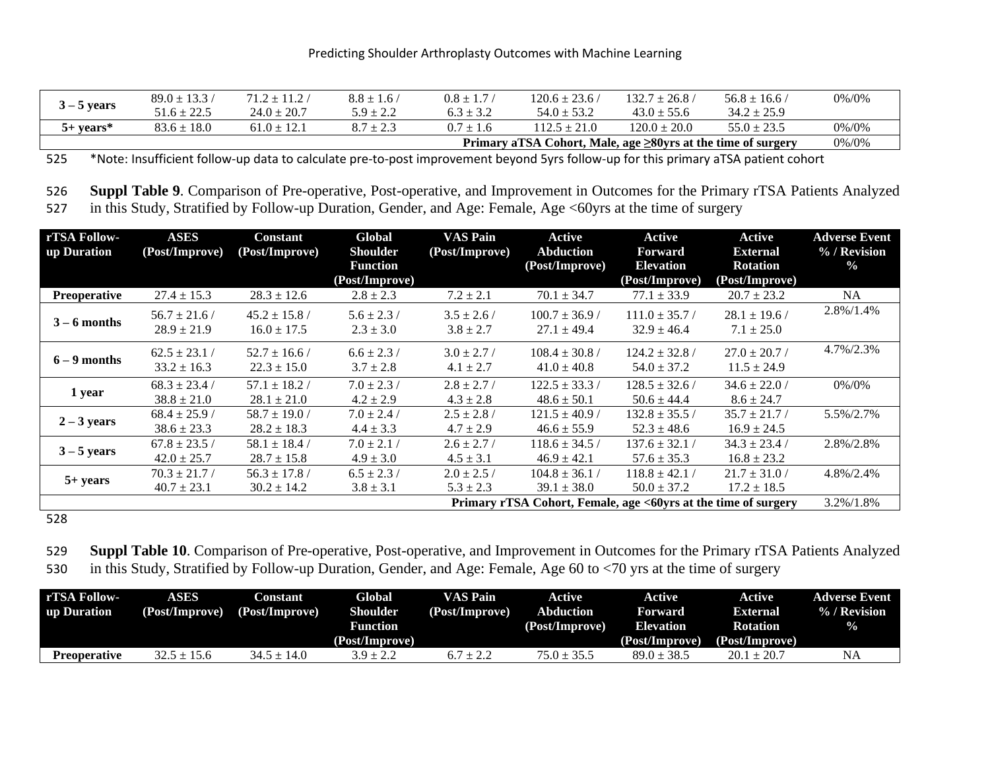|               | $89.0 \pm 13.3$ / | $71.2 \pm 11.2$ | $8.8 \pm 1.6$ | $0.8 \pm 1.7$ | $120.6 \pm 23.6$ /                                           | $132.7 \pm 26.8$ | $56.8 \pm 16.6$ / | 0%/0% |
|---------------|-------------------|-----------------|---------------|---------------|--------------------------------------------------------------|------------------|-------------------|-------|
| $3 - 5$ years | $51.6 \pm 22.5$   | $24.0 \pm 20.7$ | $5.9 \pm 2.2$ | $6.3 \pm 3.2$ | $54.0 \pm 53.2$                                              | $43.0 \pm 55.6$  | $34.2 \pm 25.9$   |       |
| $5+$ vears*   | $83.6 \pm 18.0$   | $61.0 + 12.1$   | $8.7 \pm 2.3$ | $07 + 16$     | $112.5 \pm 21.0$                                             | $120.0 \pm 20.0$ | $55.0 \pm 23.5$   | 0%/0% |
|               |                   |                 |               |               | Primary aTSA Cohort, Male, age ≥80yrs at the time of surgery |                  |                   | 0%/0% |

525 \*Note: Insufficient follow-up data to calculate pre-to-post improvement beyond 5yrs follow-up for this primary aTSA patient cohort

526 **Suppl Table 9**. Comparison of Pre-operative, Post-operative, and Improvement in Outcomes for the Primary rTSA Patients Analyzed 527 in this Study, Stratified by Follow-up Duration, Gender, and Age: Female, Age <60yrs at the time of surgery

| rTSA Follow-        | <b>ASES</b>                                                              | <b>Constant</b>   | Global          | <b>VAS Pain</b> | Active             | Active             | <b>Active</b>     | <b>Adverse Event</b> |
|---------------------|--------------------------------------------------------------------------|-------------------|-----------------|-----------------|--------------------|--------------------|-------------------|----------------------|
| up Duration         | (Post/Improve)                                                           | (Post/Improve)    | <b>Shoulder</b> | (Post/Improve)  | <b>Abduction</b>   | Forward            | <b>External</b>   | % / Revision         |
|                     |                                                                          |                   | <b>Function</b> |                 | (Post/Improve)     | <b>Elevation</b>   | <b>Rotation</b>   | $\frac{0}{0}$        |
|                     |                                                                          |                   | (Post/Improve)  |                 |                    | (Post/Improve)     | (Post/Improve)    |                      |
| <b>Preoperative</b> | $27.4 \pm 15.3$                                                          | $28.3 \pm 12.6$   | $2.8 \pm 2.3$   | $7.2 \pm 2.1$   | $70.1 \pm 34.7$    | $77.1 \pm 33.9$    | $20.7 \pm 23.2$   | <b>NA</b>            |
|                     | $56.7 \pm 21.6$                                                          | $45.2 \pm 15.8$ / | $5.6 \pm 2.3/$  | $3.5 \pm 2.6/$  | $100.7 \pm 36.9$ / | $111.0 \pm 35.7/$  | $28.1 \pm 19.6$ / | 2.8%/1.4%            |
| $3 - 6$ months      | $28.9 \pm 21.9$                                                          | $16.0 \pm 17.5$   | $2.3 \pm 3.0$   | $3.8 \pm 2.7$   | $27.1 \pm 49.4$    | $32.9 \pm 46.4$    | $7.1 \pm 25.0$    |                      |
|                     | $62.5 \pm 23.1$                                                          | $52.7 \pm 16.6$ / | $6.6 \pm 2.3$ / | $3.0 \pm 2.7/$  | $108.4 \pm 30.8$ / | $124.2 \pm 32.8$ / | $27.0 \pm 20.7$ / | 4.7%/2.3%            |
| $6 - 9$ months      | $33.2 \pm 16.3$                                                          | $22.3 \pm 15.0$   | $3.7 \pm 2.8$   | $4.1 \pm 2.7$   | $41.0 \pm 40.8$    | $54.0 \pm 37.2$    | $11.5 \pm 24.9$   |                      |
| 1 year              | $68.3 \pm 23.4$                                                          | $57.1 \pm 18.2$ / | $7.0 \pm 2.3/$  | $2.8 \pm 2.7$ / | $122.5 \pm 33.3$ / | $128.5 \pm 32.6/$  | $34.6 \pm 22.0$ / | 0%/0%                |
|                     | $38.8 \pm 21.0$                                                          | $28.1 \pm 21.0$   | $4.2 \pm 2.9$   | $4.3 \pm 2.8$   | $48.6 \pm 50.1$    | $50.6 \pm 44.4$    | $8.6 \pm 24.7$    |                      |
|                     | $68.4 \pm 25.9$                                                          | $58.7 \pm 19.0$ / | $7.0 \pm 2.4$ / | $2.5 \pm 2.8$ / | $121.5 \pm 40.9$ / | $132.8 \pm 35.5$ / | $35.7 \pm 21.7$ / | 5.5%/2.7%            |
| $2 - 3$ years       | $38.6 \pm 23.3$                                                          | $28.2 \pm 18.3$   | $4.4 \pm 3.3$   | $4.7 \pm 2.9$   | $46.6 \pm 55.9$    | $52.3 \pm 48.6$    | $16.9 \pm 24.5$   |                      |
|                     | $67.8 \pm 23.5$ /                                                        | $58.1 \pm 18.4$   | $7.0 \pm 2.1/$  | $2.6 \pm 2.7/$  | $118.6 \pm 34.5$ / | $137.6 \pm 32.1/$  | $34.3 \pm 23.4$ / | 2.8%/2.8%            |
| $3 - 5$ years       | $42.0 \pm 25.7$                                                          | $28.7 \pm 15.8$   | $4.9 \pm 3.0$   | $4.5 \pm 3.1$   | $46.9 \pm 42.1$    | $57.6 \pm 35.3$    | $16.8 \pm 23.2$   |                      |
|                     | $70.3 \pm 21.7$                                                          | $56.3 \pm 17.8$   | $6.5 \pm 2.3$ / | $2.0 \pm 2.5$ / | $104.8 \pm 36.1$   | $118.8 \pm 42.1$   | $21.7 \pm 31.0$ / | 4.8%/2.4%            |
| $5+ years$          | $40.7 \pm 23.1$                                                          | $30.2 \pm 14.2$   | $3.8 \pm 3.1$   | $5.3 \pm 2.3$   | $39.1 \pm 38.0$    | $50.0 \pm 37.2$    | $17.2 \pm 18.5$   |                      |
|                     | <b>Primary rTSA Cohort, Female, age &lt;60yrs at the time of surgery</b> |                   |                 |                 |                    |                    |                   |                      |

528

529 **Suppl Table 10**. Comparison of Pre-operative, Post-operative, and Improvement in Outcomes for the Primary rTSA Patients Analyzed 530 in this Study, Stratified by Follow-up Duration, Gender, and Age: Female, Age 60 to <70 yrs at the time of surgery

| rTSA Follow-<br>up Duration | ASES<br>(Post/Improve) | Constant<br>(Post/Improve) | Global<br>Shoulder<br><b>Function</b><br>(Post/Improve) | <b>VAS Pain</b><br>(Post/Improve) | Active<br><b>Abduction</b><br>(Post/Improve) | Active<br>Forward<br><b>Elevation</b><br>(Post/Improve) | Active<br><b>External</b><br><b>Rotation</b><br>(Post/Improve) | <b>Adverse Event</b><br>$\%$ / Revision<br>$\%$ |
|-----------------------------|------------------------|----------------------------|---------------------------------------------------------|-----------------------------------|----------------------------------------------|---------------------------------------------------------|----------------------------------------------------------------|-------------------------------------------------|
| Preoperative                | $32.5 \pm 15.6$        | $34.5 + 14.0$              | $3.9 \pm 2.2$                                           | $6.7 \pm 2.2$                     | $75.0 \pm 35.5$                              | $89.0 \pm 38.5$                                         | $20.1 \pm 20.7$                                                |                                                 |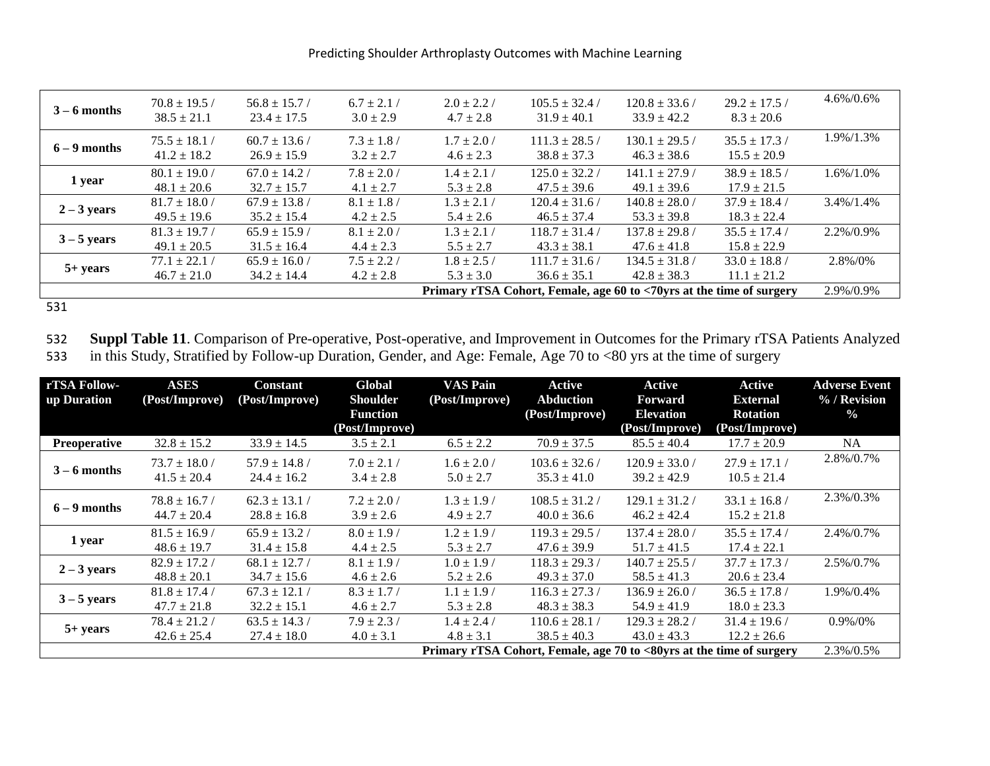Predicting Shoulder Arthroplasty Outcomes with Machine Learning

| $3 - 6$ months | $70.8 \pm 19.5$ /<br>$38.5 \pm 21.1$                                 | $56.8 \pm 15.7$ /<br>$23.4 \pm 17.5$ | $6.7 \pm 2.1$ /<br>$3.0 \pm 2.9$ | $2.0 \pm 2.2$ /<br>$4.7 \pm 2.8$ | $105.5 \pm 32.4$ /<br>$31.9 \pm 40.1$ | $120.8 \pm 33.6$ /<br>$33.9 + 42.2$   | $29.2 \pm 17.5$<br>$8.3 \pm 20.6$  | 4.6%/0.6%     |
|----------------|----------------------------------------------------------------------|--------------------------------------|----------------------------------|----------------------------------|---------------------------------------|---------------------------------------|------------------------------------|---------------|
| $6 - 9$ months | $75.5 \pm 18.1$ /<br>$41.2 \pm 18.2$                                 | $60.7 \pm 13.6$ /<br>$26.9 \pm 15.9$ | $7.3 \pm 1.8$ /<br>$3.2 \pm 2.7$ | $1.7 \pm 2.0$ /<br>$4.6 \pm 2.3$ | $111.3 \pm 28.5$ /<br>$38.8 \pm 37.3$ | $130.1 \pm 29.5$<br>$46.3 \pm 38.6$   | $35.5 \pm 17.3$<br>$15.5 \pm 20.9$ | 1.9%/1.3%     |
| 1 year         | $80.1 \pm 19.0$ /<br>$48.1 \pm 20.6$                                 | $67.0 \pm 14.2$ /<br>$32.7 \pm 15.7$ | $7.8 \pm 2.0$ /<br>$4.1 \pm 2.7$ | $1.4 \pm 2.1$ /<br>$5.3 \pm 2.8$ | $125.0 \pm 32.2$ /<br>$47.5 \pm 39.6$ | $141.1 \pm 27.9$ /<br>$49.1 \pm 39.6$ | $38.9 \pm 18.5$<br>$17.9 \pm 21.5$ | 1.6%/1.0%     |
| $2 - 3$ years  | $81.7 \pm 18.0$ /<br>$49.5 \pm 19.6$                                 | $67.9 \pm 13.8$ /<br>$35.2 \pm 15.4$ | $8.1 \pm 1.8$<br>$4.2 \pm 2.5$   | $1.3 \pm 2.1$<br>$5.4 \pm 2.6$   | $120.4 \pm 31.6$<br>$46.5 \pm 37.4$   | $140.8 \pm 28.0$ /<br>$53.3 \pm 39.8$ | $37.9 \pm 18.4$<br>$18.3 \pm 22.4$ | $3.4\%/1.4\%$ |
| $3 - 5$ years  | $81.3 \pm 19.7$<br>$49.1 \pm 20.5$                                   | $65.9 \pm 15.9$<br>$31.5 \pm 16.4$   | $8.1 \pm 2.0$ /<br>$4.4 \pm 2.3$ | $1.3 \pm 2.1$ /<br>$5.5 \pm 2.7$ | $118.7 \pm 31.4$ /<br>$43.3 \pm 38.1$ | $137.8 \pm 29.8$ /<br>$47.6 \pm 41.8$ | $35.5 \pm 17.4$<br>$15.8 \pm 22.9$ | 2.2%/0.9%     |
| $5+ years$     | $77.1 \pm 22.1$<br>$46.7 \pm 21.0$                                   | $65.9 \pm 16.0$ /<br>$34.2 \pm 14.4$ | $7.5 \pm 2.2$ /<br>$4.2 \pm 2.8$ | $1.8 \pm 2.5$ /<br>$5.3 \pm 3.0$ | $111.7 \pm 31.6$<br>$36.6 \pm 35.1$   | $134.5 \pm 31.8$<br>$42.8 \pm 38.3$   | $33.0 \pm 18.8$<br>$11.1 \pm 21.2$ | 2.8%/0%       |
|                | Primary rTSA Cohort, Female, age 60 to <70yrs at the time of surgery |                                      |                                  |                                  |                                       |                                       |                                    |               |

**Suppl Table 11**. Comparison of Pre-operative, Post-operative, and Improvement in Outcomes for the Primary rTSA Patients Analyzed in this Study, Stratified by Follow-up Duration, Gender, and Age: Female, Age 70 to <80 yrs in this Study, Stratified by Follow-up Duration, Gender, and Age: Female, Age 70 to <80 yrs at the time of surgery

| rTSA Follow-        | <b>ASES</b>                          | <b>Constant</b>                      | Global                             | VAS Pain                         | Active                                | Active                                                               | Active                               | <b>Adverse Event</b>          |
|---------------------|--------------------------------------|--------------------------------------|------------------------------------|----------------------------------|---------------------------------------|----------------------------------------------------------------------|--------------------------------------|-------------------------------|
| up Duration         | (Post/Improve)                       | (Post/Improve)                       | <b>Shoulder</b><br><b>Function</b> | (Post/Improve)                   | <b>Abduction</b><br>(Post/Improve)    | Forward<br><b>Elevation</b>                                          | <b>External</b><br><b>Rotation</b>   | % / Revision<br>$\frac{0}{0}$ |
|                     |                                      |                                      | (Post/Improve)                     |                                  |                                       | (Post/Improve)                                                       | (Post/Improve)                       |                               |
| <b>Preoperative</b> | $32.8 \pm 15.2$                      | $33.9 \pm 14.5$                      | $3.5 \pm 2.1$                      | $6.5 \pm 2.2$                    | $70.9 \pm 37.5$                       | $85.5 \pm 40.4$                                                      | $17.7 \pm 20.9$                      | <b>NA</b>                     |
| $3 - 6$ months      | $73.7 \pm 18.0$ /<br>$41.5 \pm 20.4$ | $57.9 \pm 14.8$ /<br>$24.4 \pm 16.2$ | $7.0 \pm 2.1/$<br>$3.4 \pm 2.8$    | $1.6 \pm 2.0$ /<br>$5.0 \pm 2.7$ | $103.6 \pm 32.6$ /<br>$35.3 \pm 41.0$ | $120.9 \pm 33.0$ /<br>$39.2 \pm 42.9$                                | $27.9 \pm 17.1$<br>$10.5 \pm 21.4$   | 2.8%/0.7%                     |
| $6 - 9$ months      | $78.8 \pm 16.7/$<br>$44.7 \pm 20.4$  | $62.3 \pm 13.1$<br>$28.8 \pm 16.8$   | $7.2 \pm 2.0$ /<br>$3.9 \pm 2.6$   | $1.3 \pm 1.9$ /<br>$4.9 \pm 2.7$ | $108.5 \pm 31.2$ /<br>$40.0 \pm 36.6$ | $129.1 \pm 31.2$<br>$46.2 \pm 42.4$                                  | $33.1 \pm 16.8$<br>$15.2 \pm 21.8$   | 2.3%/0.3%                     |
| 1 year              | $81.5 \pm 16.9$<br>$48.6 \pm 19.7$   | $65.9 \pm 13.2$<br>$31.4 \pm 15.8$   | $8.0 \pm 1.9$ /<br>$4.4 \pm 2.5$   | $1.2 \pm 1.9$ /<br>$5.3 \pm 2.7$ | $119.3 \pm 29.5$ /<br>$47.6 \pm 39.9$ | $137.4 \pm 28.0$ /<br>$51.7 \pm 41.5$                                | $35.5 \pm 17.4$<br>$17.4 \pm 22.1$   | 2.4%/0.7%                     |
| $2 - 3$ years       | $82.9 \pm 17.2$<br>$48.8 \pm 20.1$   | $68.1 \pm 12.7$ /<br>$34.7 \pm 15.6$ | $8.1 \pm 1.9$ /<br>$4.6 \pm 2.6$   | $1.0 \pm 1.9$ /<br>$5.2 \pm 2.6$ | $118.3 \pm 29.3$ /<br>$49.3 \pm 37.0$ | $140.7 \pm 25.5$ /<br>$58.5 \pm 41.3$                                | $37.7 \pm 17.3$ /<br>$20.6 \pm 23.4$ | 2.5%/0.7%                     |
| $3 - 5$ years       | $81.8 \pm 17.4$ /<br>$47.7 \pm 21.8$ | $67.3 \pm 12.1$<br>$32.2 \pm 15.1$   | $8.3 \pm 1.7$ /<br>$4.6 \pm 2.7$   | $1.1 \pm 1.9$ /<br>$5.3 \pm 2.8$ | $116.3 \pm 27.3$ /<br>$48.3 \pm 38.3$ | $136.9 \pm 26.0$ /<br>$54.9 \pm 41.9$                                | $36.5 \pm 17.8$<br>$18.0 \pm 23.3$   | 1.9%/0.4%                     |
| $5+ years$          | $78.4 \pm 21.2$<br>$42.6 \pm 25.4$   | $63.5 \pm 14.3$<br>$27.4 \pm 18.0$   | $7.9 \pm 2.3/$<br>$4.0 \pm 3.1$    | $1.4 \pm 2.4$ /<br>$4.8 \pm 3.1$ | $110.6 \pm 28.1$ /<br>$38.5 \pm 40.3$ | $129.3 \pm 28.2$<br>$43.0 \pm 43.3$                                  | $31.4 \pm 19.6$<br>$12.2 \pm 26.6$   | $0.9\%/0\%$                   |
|                     |                                      |                                      |                                    |                                  |                                       | Primary rTSA Cohort, Female, age 70 to <80yrs at the time of surgery |                                      | 2.3%/0.5%                     |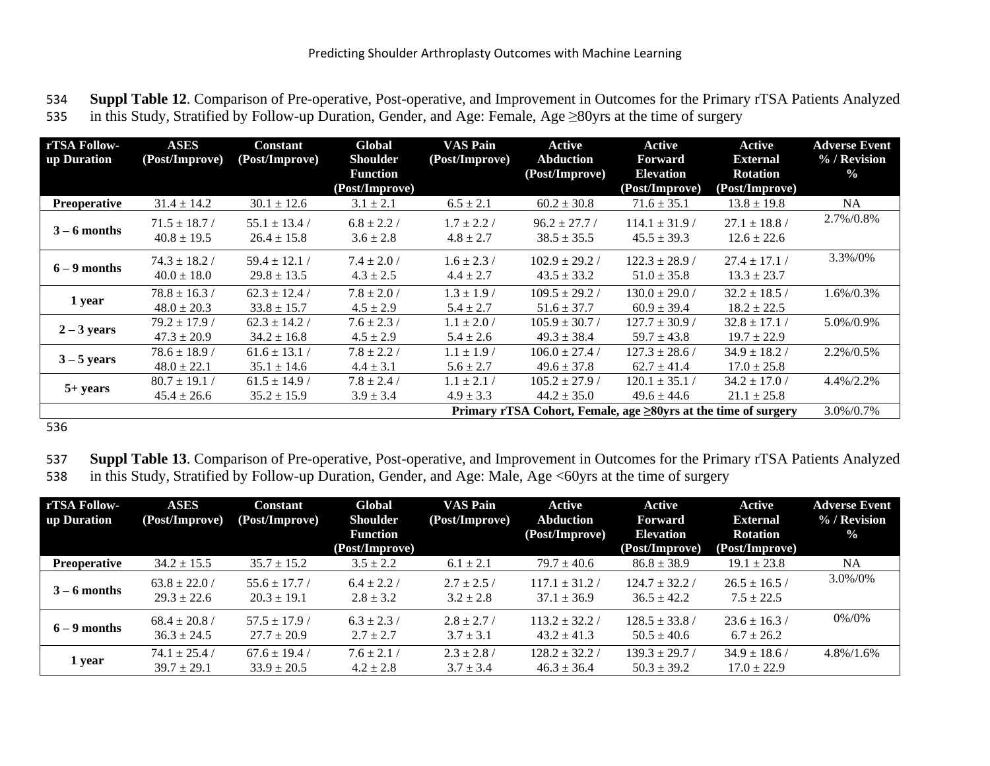534 **Suppl Table 12**. Comparison of Pre-operative, Post-operative, and Improvement in Outcomes for the Primary rTSA Patients Analyzed 535 in this Study, Stratified by Follow-up Duration, Gender, and Age: Female, Age ≥80yrs at the time of surgery

| rTSA Follow-        | <b>ASES</b>       | <b>Constant</b>                                                | Global          | <b>VAS Pain</b> | Active             | Active             | <b>Active</b>     | <b>Adverse Event</b> |  |
|---------------------|-------------------|----------------------------------------------------------------|-----------------|-----------------|--------------------|--------------------|-------------------|----------------------|--|
| up Duration         | (Post/Improve)    | (Post/Improve)                                                 | <b>Shoulder</b> | (Post/Improve)  | <b>Abduction</b>   | <b>Forward</b>     | <b>External</b>   | % / Revision         |  |
|                     |                   |                                                                | <b>Function</b> |                 | (Post/Improve)     | <b>Elevation</b>   | <b>Rotation</b>   | $\frac{0}{0}$        |  |
|                     |                   |                                                                | (Post/Improve)  |                 |                    | (Post/Improve)     | (Post/Improve)    |                      |  |
| <b>Preoperative</b> | $31.4 \pm 14.2$   | $30.1 \pm 12.6$                                                | $3.1 \pm 2.1$   | $6.5 \pm 2.1$   | $60.2 \pm 30.8$    | $71.6 \pm 35.1$    | $13.8 \pm 19.8$   | NA                   |  |
|                     | $71.5 \pm 18.7$ / | $55.1 \pm 13.4$                                                | $6.8 \pm 2.2$ / | $1.7 \pm 2.2$ / | $96.2 \pm 27.7$    | $114.1 \pm 31.9$   | $27.1 \pm 18.8$ / | 2.7%/0.8%            |  |
| $3 - 6$ months      | $40.8 \pm 19.5$   | $26.4 \pm 15.8$                                                | $3.6 \pm 2.8$   | $4.8 \pm 2.7$   | $38.5 \pm 35.5$    | $45.5 \pm 39.3$    | $12.6 \pm 22.6$   |                      |  |
| $6 - 9$ months      | $74.3 \pm 18.2$ / | $59.4 \pm 12.1$ /                                              | $7.4 \pm 2.0$ / | $1.6 \pm 2.3/$  | $102.9 \pm 29.2$ / | $122.3 \pm 28.9$ / | $27.4 \pm 17.1$   | 3.3%/0%              |  |
|                     | $40.0 \pm 18.0$   | $29.8 \pm 13.5$                                                | $4.3 \pm 2.5$   | $4.4 \pm 2.7$   | $43.5 \pm 33.2$    | $51.0 \pm 35.8$    | $13.3 \pm 23.7$   |                      |  |
| 1 year              | $78.8 \pm 16.3$   | $62.3 \pm 12.4$                                                | $7.8 \pm 2.0$ / | $1.3 \pm 1.9$ / | $109.5 \pm 29.2$ / | $130.0 \pm 29.0$ / | $32.2 \pm 18.5$   | 1.6%/0.3%            |  |
|                     | $48.0 \pm 20.3$   | $33.8 \pm 15.7$                                                | $4.5 \pm 2.9$   | $5.4 \pm 2.7$   | $51.6 \pm 37.7$    | $60.9 \pm 39.4$    | $18.2 \pm 22.5$   |                      |  |
| $2 - 3$ years       | $79.2 \pm 17.9$   | $62.3 \pm 14.2$                                                | $7.6 \pm 2.3/$  | $1.1 \pm 2.0$ / | $105.9 \pm 30.7$ / | $127.7 \pm 30.9$ / | $32.8 \pm 17.1$   | 5.0%/0.9%            |  |
|                     | $47.3 \pm 20.9$   | $34.2 \pm 16.8$                                                | $4.5 \pm 2.9$   | $5.4 \pm 2.6$   | $49.3 \pm 38.4$    | $59.7 \pm 43.8$    | $19.7 \pm 22.9$   |                      |  |
|                     | $78.6 \pm 18.9$ / | $61.6 \pm 13.1$ /                                              | $7.8 \pm 2.2$ / | $1.1 \pm 1.9$ / | $106.0 \pm 27.4$ / | $127.3 \pm 28.6$ / | $34.9 \pm 18.2$   | 2.2%/0.5%            |  |
| $3 - 5$ years       | $48.0 \pm 22.1$   | $35.1 \pm 14.6$                                                | $4.4 \pm 3.1$   | $5.6 \pm 2.7$   | $49.6 \pm 37.8$    | $62.7 \pm 41.4$    | $17.0 \pm 25.8$   |                      |  |
|                     | $80.7 \pm 19.1$   | $61.5 \pm 14.9$                                                | $7.8 \pm 2.4$ / | $1.1 \pm 2.1 /$ | $105.2 \pm 27.9$ / | $120.1 \pm 35.1$ / | $34.2 \pm 17.0$ / | 4.4%/2.2%            |  |
| $5+ years$          | $45.4 \pm 26.6$   | $35.2 \pm 15.9$                                                | $3.9 \pm 3.4$   | $4.9 \pm 3.3$   | $44.2 \pm 35.0$    | $49.6 \pm 44.6$    | $21.1 \pm 25.8$   |                      |  |
|                     |                   | Primary rTSA Cohort, Female, age ≥80yrs at the time of surgery |                 |                 |                    |                    |                   |                      |  |

536

537 **Suppl Table 13**. Comparison of Pre-operative, Post-operative, and Improvement in Outcomes for the Primary rTSA Patients Analyzed 538 in this Study, Stratified by Follow-up Duration, Gender, and Age: Male, Age <60yrs at the time of surgery

| rTSA Follow-<br>up Duration | <b>ASES</b><br>(Post/Improve)        | Constant<br>(Post/Improve)           | Global<br><b>Shoulder</b>         | <b>VAS Pain</b><br>(Post/Improve) | Active<br><b>Abduction</b>            | Active<br><b>Forward</b>              | Active<br><b>External</b>            | <b>Adverse Event</b><br>% / Revision |
|-----------------------------|--------------------------------------|--------------------------------------|-----------------------------------|-----------------------------------|---------------------------------------|---------------------------------------|--------------------------------------|--------------------------------------|
|                             |                                      |                                      | <b>Function</b><br>(Post/Improve) |                                   | (Post/Improve)                        | <b>Elevation</b><br>(Post/Improve)    | <b>Rotation</b><br>(Post/Improve)    | $\frac{0}{0}$                        |
| <b>Preoperative</b>         | $34.2 \pm 15.5$                      | $35.7 \pm 15.2$                      | $3.5 \pm 2.2$                     | $6.1 \pm 2.1$                     | $79.7 \pm 40.6$                       | $86.8 \pm 38.9$                       | $19.1 \pm 23.8$                      | <b>NA</b>                            |
| $3 - 6$ months              | $63.8 \pm 22.0$ /<br>$29.3 \pm 22.6$ | $55.6 \pm 17.7$ /<br>$20.3 \pm 19.1$ | $6.4 \pm 2.2$ /<br>$2.8 \pm 3.2$  | $2.7 \pm 2.5$ /<br>$3.2 \pm 2.8$  | $117.1 \pm 31.2$<br>$37.1 \pm 36.9$   | $124.7 \pm 32.2$ /<br>$36.5 \pm 42.2$ | $26.5 \pm 16.5$<br>$7.5 \pm 22.5$    | 3.0%/0%                              |
| $6 - 9$ months              | $68.4 \pm 20.8$ /<br>$36.3 \pm 24.5$ | $57.5 \pm 17.9$ /<br>$27.7 \pm 20.9$ | $6.3 \pm 2.3$ /<br>$2.7 \pm 2.7$  | $2.8 \pm 2.7$ /<br>$3.7 \pm 3.1$  | $113.2 \pm 32.2$ /<br>$43.2 \pm 41.3$ | $128.5 \pm 33.8$ /<br>$50.5 \pm 40.6$ | $23.6 \pm 16.3$<br>$6.7 \pm 26.2$    | 0%/0%                                |
| 1 year                      | $74.1 \pm 25.4$ /<br>$39.7 \pm 29.1$ | $67.6 \pm 19.4$<br>$33.9 \pm 20.5$   | $7.6 \pm 2.1/$<br>$4.2 \pm 2.8$   | $2.3 + 2.8$<br>$3.7 \pm 3.4$      | $128.2 \pm 32.2$ /<br>$46.3 \pm 36.4$ | $139.3 \pm 29.7$<br>$50.3 \pm 39.2$   | $34.9 \pm 18.6$ /<br>$17.0 \pm 22.9$ | $4.8\%/1.6\%$                        |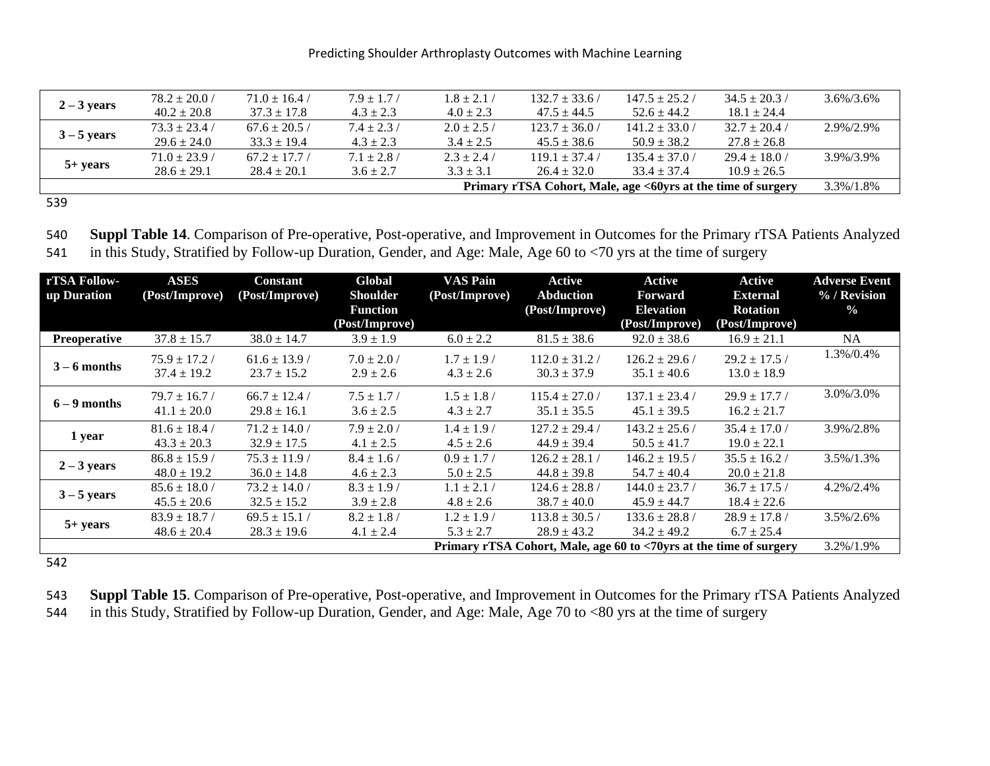|               | $78.2 \pm 20.0$ / | $71.0 \pm 16.4$ / | $7.9 + 1.7/$  | $1.8 + 2.1$                                                  | $132.7 \pm 33.6$ / | $147.5 \pm 25.2$ / | $34.5 \pm 20.3$ / | $3.6\%/3.6\%$ |
|---------------|-------------------|-------------------|---------------|--------------------------------------------------------------|--------------------|--------------------|-------------------|---------------|
| $2 - 3$ years | $40.2 \pm 20.8$   | $37.3 \pm 17.8$   | $4.3 \pm 2.3$ | $4.0 \pm 2.3$                                                | $47.5 \pm 44.5$    | $52.6 \pm 44.2$    | $18.1 \pm 24.4$   |               |
| $3 - 5$ years | $73.3 \pm 23.4$ / | $67.6 \pm 20.5$ / | $7.4 + 2.3/$  | $2.0 \pm 2.5$ /                                              | $123.7 \pm 36.0$ / | $141.2 \pm 33.0$ / | $32.7 \pm 20.4$ / | 2.9%/2.9%     |
|               | $29.6 \pm 24.0$   | $33.3 \pm 19.4$   | $4.3 \pm 2.3$ | $3.4 \pm 2.5$                                                | $45.5 \pm 38.6$    | $50.9 \pm 38.2$    | $27.8 \pm 26.8$   |               |
|               | $71.0 \pm 23.9$ / | $67.2 + 17.7$     | $7.1 + 2.8/$  | $2.3 + 2.4$                                                  | $119.1 + 37.4$     | $135.4 \pm 37.0$ / | $29.4 \pm 18.0$ / | 3.9%/3.9%     |
| $5+ years$    | $28.6 \pm 29.1$   | $28.4 + 20.1$     | $3.6 \pm 2.7$ | $3.3 \pm 3.1$                                                | $26.4 \pm 32.0$    | $33.4 \pm 37.4$    | $10.9 \pm 26.5$   |               |
|               |                   |                   |               | Primary rTSA Cohort, Male, age <60yrs at the time of surgery | 3.3%/1.8%          |                    |                   |               |

539

540 **Suppl Table 14**. Comparison of Pre-operative, Post-operative, and Improvement in Outcomes for the Primary rTSA Patients Analyzed 541 in this Study, Stratified by Follow-up Duration, Gender, and Age: Male, Age 60 to <70 yrs at the time of surgery

| rTSA Follow-<br>up Duration                                        | <b>ASES</b><br>(Post/Improve)        | <b>Constant</b><br>(Post/Improve)    | Global<br><b>Shoulder</b>         | <b>VAS Pain</b><br>(Post/Improve) | <b>Active</b><br><b>Abduction</b>     | Active<br><b>Forward</b>              | Active<br><b>External</b>            | <b>Adverse Event</b><br>% / Revision |
|--------------------------------------------------------------------|--------------------------------------|--------------------------------------|-----------------------------------|-----------------------------------|---------------------------------------|---------------------------------------|--------------------------------------|--------------------------------------|
|                                                                    |                                      |                                      | <b>Function</b><br>(Post/Improve) |                                   | (Post/Improve)                        | <b>Elevation</b><br>(Post/Improve)    | <b>Rotation</b><br>(Post/Improve)    | $\frac{0}{0}$                        |
| <b>Preoperative</b>                                                | $37.8 \pm 15.7$                      | $38.0 \pm 14.7$                      | $3.9 \pm 1.9$                     | $6.0 \pm 2.2$                     | $81.5 \pm 38.6$                       | $92.0 \pm 38.6$                       | $16.9 \pm 21.1$                      | <b>NA</b>                            |
| $3 - 6$ months                                                     | $75.9 \pm 17.2$<br>$37.4 \pm 19.2$   | $61.6 \pm 13.9$<br>$23.7 \pm 15.2$   | $7.0 \pm 2.0$ /<br>$2.9 \pm 2.6$  | $1.7 \pm 1.9$ /<br>$4.3 \pm 2.6$  | $112.0 \pm 31.2$<br>$30.3 \pm 37.9$   | $126.2 \pm 29.6$ /<br>$35.1 \pm 40.6$ | $29.2 \pm 17.5$<br>$13.0 \pm 18.9$   | 1.3%/0.4%                            |
| $6 - 9$ months                                                     | $79.7 \pm 16.7$ /<br>$41.1 \pm 20.0$ | $66.7 \pm 12.4$ /<br>$29.8 \pm 16.1$ | $7.5 \pm 1.7/$<br>$3.6 \pm 2.5$   | $1.5 \pm 1.8$ /<br>$4.3 \pm 2.7$  | $115.4 \pm 27.0$ /<br>$35.1 \pm 35.5$ | $137.1 \pm 23.4$ /<br>$45.1 \pm 39.5$ | $29.9 \pm 17.7$<br>$16.2 \pm 21.7$   | 3.0%/3.0%                            |
| 1 year                                                             | $81.6 \pm 18.4$<br>$43.3 \pm 20.3$   | $71.2 \pm 14.0$ /<br>$32.9 \pm 17.5$ | $7.9 \pm 2.0$ /<br>$4.1 \pm 2.5$  | $1.4 \pm 1.9$ /<br>$4.5 \pm 2.6$  | $127.2 \pm 29.4$ /<br>$44.9 \pm 39.4$ | $143.2 \pm 25.6$ /<br>$50.5 \pm 41.7$ | $35.4 \pm 17.0$ /<br>$19.0 \pm 22.1$ | 3.9%/2.8%                            |
| $2 - 3$ years                                                      | $86.8 \pm 15.9$ /<br>$48.0 \pm 19.2$ | $75.3 \pm 11.9$ /<br>$36.0 \pm 14.8$ | $8.4 \pm 1.6/$<br>$4.6 \pm 2.3$   | $0.9 \pm 1.7$ /<br>$5.0 \pm 2.5$  | $126.2 \pm 28.1$ /<br>$44.8 \pm 39.8$ | $146.2 \pm 19.5$<br>$54.7 \pm 40.4$   | $35.5 \pm 16.2$<br>$20.0 \pm 21.8$   | 3.5%/1.3%                            |
| $3 - 5$ years                                                      | $85.6 \pm 18.0$ /<br>$45.5 \pm 20.6$ | $73.2 \pm 14.0$<br>$32.5 \pm 15.2$   | $8.3 \pm 1.9$<br>$3.9 \pm 2.8$    | $1.1 \pm 2.1$<br>$4.8 \pm 2.6$    | $124.6 \pm 28.8$ /<br>$38.7 \pm 40.0$ | $144.0 \pm 23.7$ /<br>$45.9 \pm 44.7$ | $36.7 \pm 17.5$<br>$18.4 \pm 22.6$   | 4.2%/2.4%                            |
| $5+ years$                                                         | $83.9 \pm 18.7$<br>$48.6 \pm 20.4$   | $69.5 \pm 15.1$<br>$28.3 \pm 19.6$   | $8.2 \pm 1.8$<br>$4.1 \pm 2.4$    | $1.2 \pm 1.9$ /<br>$5.3 \pm 2.7$  | $113.8 \pm 30.5$ /<br>$28.9 \pm 43.2$ | $133.6 \pm 28.8$ /<br>$34.2 \pm 49.2$ | $28.9 \pm 17.8$ /<br>$6.7 \pm 25.4$  | 3.5%/2.6%                            |
| Primary rTSA Cohort, Male, age 60 to <70yrs at the time of surgery |                                      |                                      |                                   |                                   |                                       |                                       |                                      | $3.2\%/1.9\%$                        |

542

543 **Suppl Table 15**. Comparison of Pre-operative, Post-operative, and Improvement in Outcomes for the Primary rTSA Patients Analyzed 544 in this Study, Stratified by Follow-up Duration, Gender, and Age: Male, Age 70 to <80 yrs at the time of surgery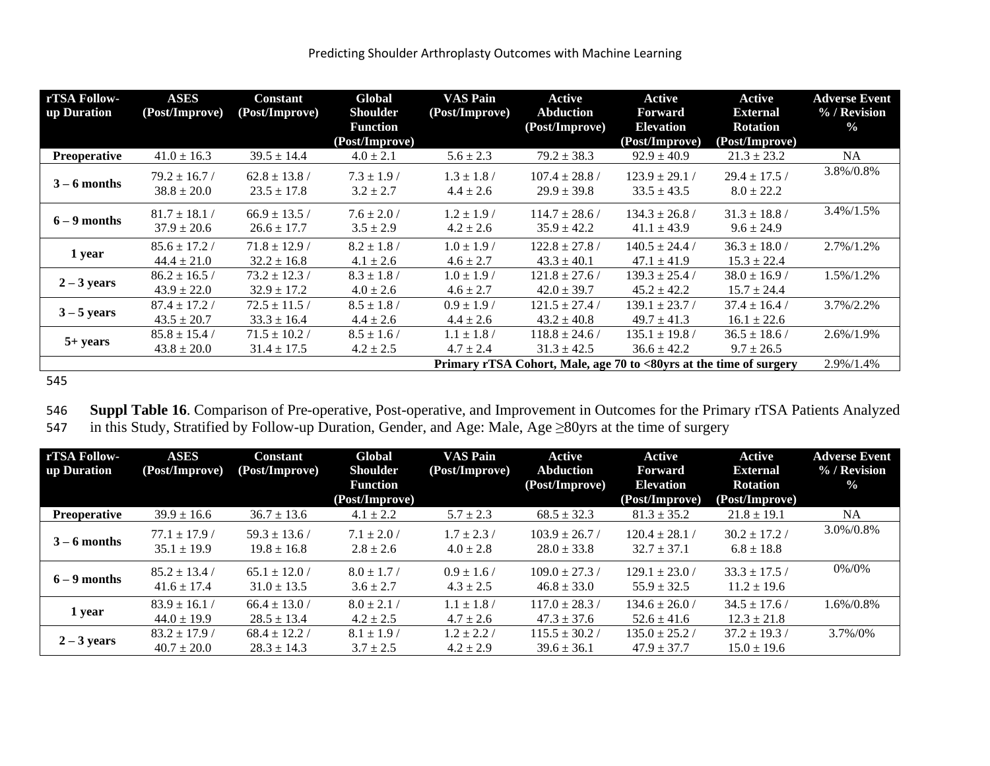| rTSA Follow-<br>up Duration | <b>ASES</b><br>(Post/Improve)                                      | <b>Constant</b><br>(Post/Improve)    | Global<br><b>Shoulder</b>         | <b>VAS Pain</b><br>(Post/Improve) | Active<br>Abduction                   | Active<br><b>Forward</b>              | Active<br><b>External</b>            | <b>Adverse Event</b><br>% / Revision |
|-----------------------------|--------------------------------------------------------------------|--------------------------------------|-----------------------------------|-----------------------------------|---------------------------------------|---------------------------------------|--------------------------------------|--------------------------------------|
|                             |                                                                    |                                      | <b>Function</b><br>(Post/Improve) |                                   | (Post/Improve)                        | <b>Elevation</b><br>(Post/Improve)    | <b>Rotation</b><br>(Post/Improve)    | $\frac{0}{0}$                        |
| <b>Preoperative</b>         | $41.0 \pm 16.3$                                                    | $39.5 \pm 14.4$                      | $4.0 \pm 2.1$                     | $5.6 \pm 2.3$                     | $79.2 \pm 38.3$                       | $92.9 \pm 40.9$                       | $21.3 \pm 23.2$                      | <b>NA</b>                            |
| $3 - 6$ months              | $79.2 \pm 16.7$ /<br>$38.8 \pm 20.0$                               | $62.8 \pm 13.8$ /<br>$23.5 \pm 17.8$ | $7.3 \pm 1.9$ /<br>$3.2 \pm 2.7$  | $1.3 \pm 1.8$ /<br>$4.4 \pm 2.6$  | $107.4 \pm 28.8$ /<br>$29.9 \pm 39.8$ | $123.9 \pm 29.1$ /<br>$33.5 \pm 43.5$ | $29.4 \pm 17.5$ /<br>$8.0 \pm 22.2$  | 3.8%/0.8%                            |
| $6 - 9$ months              | $81.7 \pm 18.1$ /<br>$37.9 \pm 20.6$                               | $66.9 \pm 13.5$ /<br>$26.6 \pm 17.7$ | $7.6 \pm 2.0$ /<br>$3.5 \pm 2.9$  | $1.2 \pm 1.9$ /<br>$4.2 \pm 2.6$  | $114.7 \pm 28.6$ /<br>$35.9 \pm 42.2$ | $134.3 \pm 26.8$ /<br>$41.1 \pm 43.9$ | $31.3 \pm 18.8$<br>$9.6 \pm 24.9$    | $3.4\%/1.5\%$                        |
| 1 year                      | $85.6 \pm 17.2$<br>$44.4 \pm 21.0$                                 | $71.8 \pm 12.9$ /<br>$32.2 \pm 16.8$ | $8.2 \pm 1.8$ /<br>$4.1 \pm 2.6$  | $1.0 \pm 1.9$ /<br>$4.6 \pm 2.7$  | $122.8 \pm 27.8$ /<br>$43.3 \pm 40.1$ | $140.5 \pm 24.4$ /<br>$47.1 \pm 41.9$ | $36.3 \pm 18.0$ /<br>$15.3 \pm 22.4$ | $2.7\%/1.2\%$                        |
| $2 - 3$ years               | $86.2 \pm 16.5$<br>$43.9 \pm 22.0$                                 | $73.2 \pm 12.3$ /<br>$32.9 \pm 17.2$ | $8.3 \pm 1.8$ /<br>$4.0 \pm 2.6$  | $1.0 \pm 1.9$ /<br>$4.6 \pm 2.7$  | $121.8 \pm 27.6$ /<br>$42.0 \pm 39.7$ | $139.3 \pm 25.4$ /<br>$45.2 \pm 42.2$ | $38.0 \pm 16.9$<br>$15.7 \pm 24.4$   | 1.5%/1.2%                            |
| $3 - 5$ years               | $87.4 \pm 17.2$<br>$43.5 \pm 20.7$                                 | $72.5 \pm 11.5$ /<br>$33.3 \pm 16.4$ | $8.5 \pm 1.8$ /<br>$4.4 \pm 2.6$  | $0.9 \pm 1.9$<br>$4.4 \pm 2.6$    | $121.5 \pm 27.4$ /<br>$43.2 \pm 40.8$ | $139.1 \pm 23.7/$<br>$49.7 \pm 41.3$  | $37.4 \pm 16.4$ /<br>$16.1 \pm 22.6$ | $3.7\%/2.2\%$                        |
| $5+ years$                  | $85.8 \pm 15.4$ /<br>$43.8 \pm 20.0$                               | $71.5 \pm 10.2$ /<br>$31.4 \pm 17.5$ | $8.5 \pm 1.6$ /<br>$4.2 \pm 2.5$  | $1.1 \pm 1.8$ /<br>$4.7 \pm 2.4$  | $118.8 \pm 24.6$ /<br>$31.3 \pm 42.5$ | $135.1 \pm 19.8$ /<br>$36.6 \pm 42.2$ | $36.5 \pm 18.6$<br>$9.7 \pm 26.5$    | 2.6%/1.9%                            |
|                             | Primary rTSA Cohort, Male, age 70 to <80yrs at the time of surgery |                                      |                                   |                                   |                                       |                                       |                                      |                                      |

545

546 **Suppl Table 16**. Comparison of Pre-operative, Post-operative, and Improvement in Outcomes for the Primary rTSA Patients Analyzed 547 in this Study, Stratified by Follow-up Duration, Gender, and Age: Male, Age ≥80yrs at the time of surgery

| rTSA Follow-<br>up Duration | <b>ASES</b><br>(Post/Improve)      | <b>Constant</b><br>(Post/Improve)    | Global<br><b>Shoulder</b>        | <b>VAS Pain</b><br>(Post/Improve) | Active<br><b>Abduction</b>            | Active<br>Forward                     | <b>Active</b><br><b>External</b>   | <b>Adverse Event</b><br>% / Revision |
|-----------------------------|------------------------------------|--------------------------------------|----------------------------------|-----------------------------------|---------------------------------------|---------------------------------------|------------------------------------|--------------------------------------|
|                             |                                    |                                      | <b>Function</b>                  |                                   | (Post/Improve)                        | <b>Elevation</b>                      | <b>Rotation</b>                    | $\%$                                 |
|                             |                                    |                                      | (Post/Improve)                   |                                   |                                       | (Post/Improve)                        | (Post/Improve)                     |                                      |
| <b>Preoperative</b>         | $39.9 \pm 16.6$                    | $36.7 \pm 13.6$                      | $4.1 \pm 2.2$                    | $5.7 \pm 2.3$                     | $68.5 \pm 32.3$                       | $81.3 \pm 35.2$                       | $21.8 \pm 19.1$                    | <b>NA</b>                            |
| $3 - 6$ months              | $77.1 \pm 17.9$<br>$35.1 \pm 19.9$ | $59.3 \pm 13.6$<br>$19.8 \pm 16.8$   | $7.1 \pm 2.0$ /<br>$2.8 \pm 2.6$ | $1.7 \pm 2.3$ /<br>$4.0 \pm 2.8$  | $103.9 \pm 26.7$<br>$28.0 \pm 33.8$   | $120.4 \pm 28.1$<br>$32.7 \pm 37.1$   | $30.2 \pm 17.2$<br>$6.8 \pm 18.8$  | 3.0%/0.8%                            |
| $6 - 9$ months              | $85.2 \pm 13.4$<br>$41.6 \pm 17.4$ | $65.1 \pm 12.0$ /<br>$31.0 \pm 13.5$ | $8.0 \pm 1.7$ /<br>$3.6 \pm 2.7$ | $0.9 \pm 1.6$<br>$4.3 \pm 2.5$    | $109.0 \pm 27.3$<br>$46.8 \pm 33.0$   | $129.1 \pm 23.0$<br>$55.9 \pm 32.5$   | $33.3 \pm 17.5$<br>$11.2 \pm 19.6$ | 0%/0%                                |
| 1 year                      | $83.9 \pm 16.1$<br>$44.0 \pm 19.9$ | $66.4 \pm 13.0$ /<br>$28.5 \pm 13.4$ | $8.0 \pm 2.1$<br>$4.2 \pm 2.5$   | $1.1 \pm 1.8$ /<br>$4.7 \pm 2.6$  | $117.0 \pm 28.3$ /<br>$47.3 \pm 37.6$ | $134.6 \pm 26.0$ /<br>$52.6 \pm 41.6$ | $34.5 \pm 17.6$<br>$12.3 \pm 21.8$ | $1.6\%/0.8\%$                        |
| $2 - 3$ years               | $83.2 \pm 17.9$<br>$40.7 \pm 20.0$ | $68.4 \pm 12.2$<br>$28.3 \pm 14.3$   | $8.1 \pm 1.9$<br>$3.7 \pm 2.5$   | $1.2 \pm 2.2$<br>$4.2 \pm 2.9$    | $115.5 \pm 30.2$<br>$39.6 \pm 36.1$   | $135.0 \pm 25.2$<br>$47.9 \pm 37.7$   | $37.2 \pm 19.3$<br>$15.0 \pm 19.6$ | $3.7\%/0\%$                          |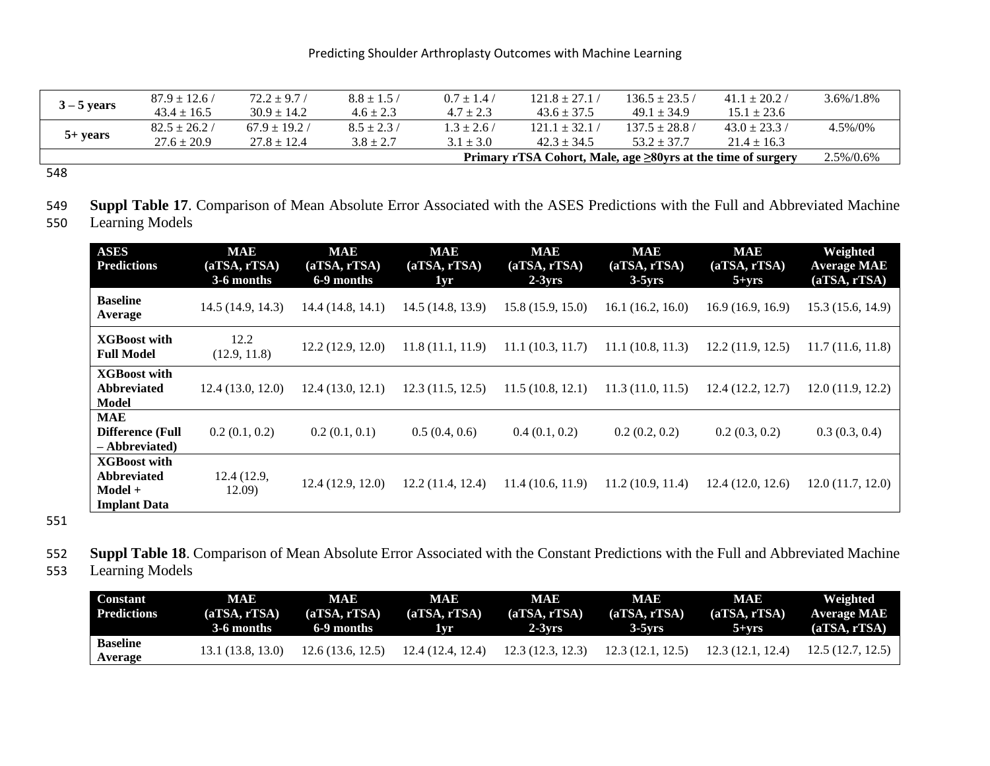|               | $87.9 \pm 12.6$ / | $72.2 \pm 9.7$ /  | $8.8 \pm 1.5$ / | $0.7 \pm 1.4$   | $121.8 \pm 27.1$                                                    | $136.5 \pm 23.5$ / | $41.1 \pm 20.2$ / | $3.6\%/1.8\%$ |
|---------------|-------------------|-------------------|-----------------|-----------------|---------------------------------------------------------------------|--------------------|-------------------|---------------|
| $3 - 5$ years | $43.4 + 16.5$     | $30.9 + 14.2$     | $4.6 \pm 2.3$   | $4.7 \pm 2.3$   | $43.6 + 37.5$                                                       | $49.1 + 34.9$      | $15.1 \pm 23.6$   |               |
|               | $82.5 \pm 26.2$ / | $67.9 \pm 19.2$ / | $8.5 \pm 2.3$ / | $1.3 \pm 2.6$ / | $121.1 \pm 32.1$                                                    | $137.5 \pm 28.8$ / | $43.0 \pm 23.3$ / | $4.5\%/0\%$   |
| $5+ years$    | $27.6 \pm 20.9$   | $27.8 + 12.4$     | $3.8 + 2.7$     | $3.1 \pm 3.0$   | $42.3 + 34.5$                                                       | $53.2 + 37.7$      | $21.4 \pm 16.3$   |               |
|               |                   |                   |                 |                 | Primary rTSA Cohort, Male, age $\geq 80$ yrs at the time of surgery |                    |                   | 2.5%/0.6%     |

548

549 **Suppl Table 17**. Comparison of Mean Absolute Error Associated with the ASES Predictions with the Full and Abbreviated Machine

550 Learning Models

| <b>ASES</b><br><b>Predictions</b>                                           | <b>MAE</b><br>(aTSA, rTSA)<br>3-6 months | <b>MAE</b><br>(aTSA, rTSA)<br>6-9 months | <b>MAE</b><br>(aTSA, rTSA)<br>1yr | <b>MAE</b><br>(aTSA, rTSA)<br>$2-3yrs$ | <b>MAE</b><br>(aTSA, rTSA)<br>$3-5yrs$ | <b>MAE</b><br>(aTSA, rTSA)<br>$5 + yrs$ | Weighted<br><b>Average MAE</b><br>(aTSA, rTSA) |
|-----------------------------------------------------------------------------|------------------------------------------|------------------------------------------|-----------------------------------|----------------------------------------|----------------------------------------|-----------------------------------------|------------------------------------------------|
| <b>Baseline</b><br>Average                                                  | 14.5(14.9, 14.3)                         | 14.4(14.8, 14.1)                         | 14.5(14.8, 13.9)                  | 15.8(15.9, 15.0)                       | 16.1(16.2, 16.0)                       | 16.9(16.9, 16.9)                        | 15.3(15.6, 14.9)                               |
| <b>XGBoost with</b><br><b>Full Model</b>                                    | 12.2<br>(12.9, 11.8)                     | 12.2(12.9, 12.0)                         | 11.8(11.1, 11.9)                  | 11.1(10.3, 11.7)                       | 11.1(10.8, 11.3)                       | 12.2(11.9, 12.5)                        | 11.7(11.6, 11.8)                               |
| <b>XGBoost with</b><br><b>Abbreviated</b><br><b>Model</b>                   | 12.4(13.0, 12.0)                         | 12.4(13.0, 12.1)                         | 12.3(11.5, 12.5)                  | 11.5(10.8, 12.1)                       | 11.3(11.0, 11.5)                       | 12.4(12.2, 12.7)                        | 12.0(11.9, 12.2)                               |
| <b>MAE</b><br><b>Difference (Full</b><br>- Abbreviated)                     | 0.2(0.1, 0.2)                            | 0.2(0.1, 0.1)                            | 0.5(0.4, 0.6)                     | 0.4(0.1, 0.2)                          | 0.2(0.2, 0.2)                          | 0.2(0.3, 0.2)                           | 0.3(0.3, 0.4)                                  |
| <b>XGBoost with</b><br><b>Abbreviated</b><br>Model +<br><b>Implant Data</b> | 12.4 (12.9,<br>12.09)                    | 12.4(12.9, 12.0)                         | 12.2(11.4, 12.4)                  | 11.4(10.6, 11.9)                       | 11.2(10.9, 11.4)                       | 12.4(12.0, 12.6)                        | 12.0(11.7, 12.0)                               |

551

- 552 **Suppl Table 18**. Comparison of Mean Absolute Error Associated with the Constant Predictions with the Full and Abbreviated Machine
- 553 Learning Models

| <b>Constant</b><br><b>Predictions</b> | MAE<br>(aTSA. rTSA)<br>3-6 months | <b>MAE</b><br>(aTSA, rTSA)<br>6-9 months | <b>MAE</b><br>(aTSA, rTSA)<br>1vr | <b>MAE</b><br>(aTSA, rTSA)<br>$2-3vrs$ | <b>MAE</b><br>(aTSA. rTSA)<br>$3-5vrs$ | MAE<br>(aTSA, rTSA)<br>$5+vrs$ | Weighted<br><b>Average MAE</b><br>(aTSA, rTSA) |
|---------------------------------------|-----------------------------------|------------------------------------------|-----------------------------------|----------------------------------------|----------------------------------------|--------------------------------|------------------------------------------------|
| <b>Baseline</b><br>Average            | 13.1 (13.8, 13.0)                 | 12.6(13.6, 12.5)                         | 12.4 (12.4, 12.4)                 | 12.3(12.3, 12.3)                       | 12.3(12.1, 12.5)                       | 12.3(12.1, 12.4)               | 12.5(12.7, 12.5)                               |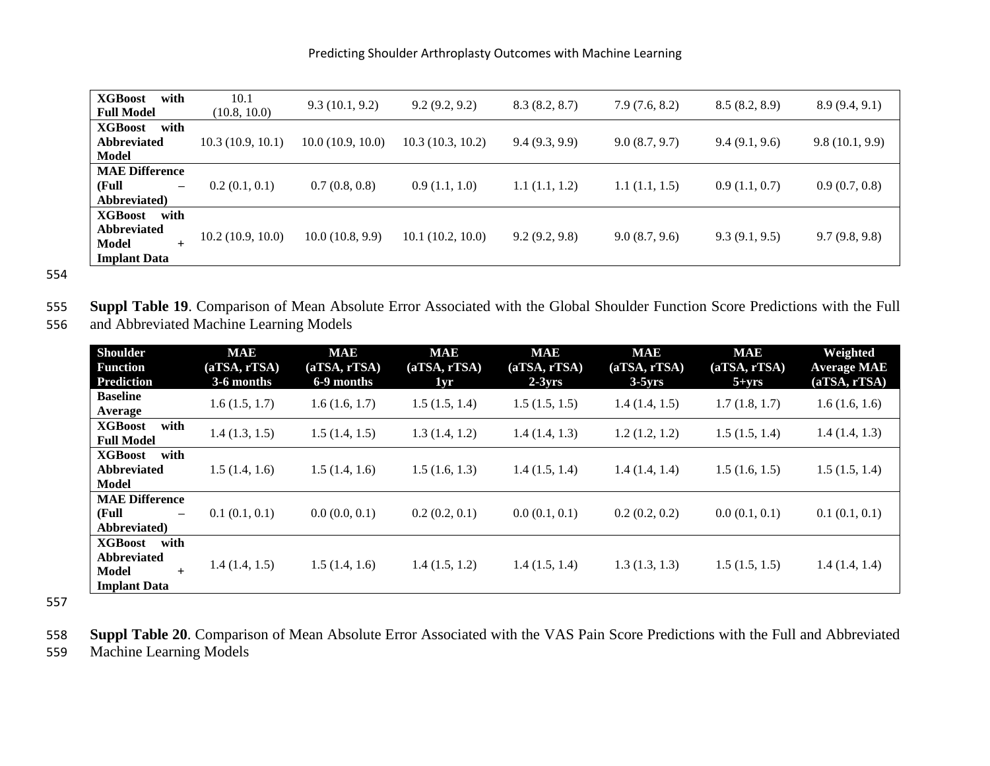| <b>XGBoost</b><br>with     | 10.1             | 9.3(10.1, 9.2)   | 9.2(9.2, 9.2)    | 8.3(8.2, 8.7) | 7.9(7.6, 8.2) | 8.5(8.2, 8.9) | 8.9(9.4, 9.1)  |
|----------------------------|------------------|------------------|------------------|---------------|---------------|---------------|----------------|
| <b>Full Model</b>          | (10.8, 10.0)     |                  |                  |               |               |               |                |
| <b>XGBoost</b><br>with     |                  |                  |                  |               |               |               |                |
| <b>Abbreviated</b>         | 10.3(10.9, 10.1) | 10.0(10.9, 10.0) | 10.3(10.3, 10.2) | 9.4(9.3, 9.9) | 9.0(8.7, 9.7) | 9.4(9.1, 9.6) | 9.8(10.1, 9.9) |
| Model                      |                  |                  |                  |               |               |               |                |
| <b>MAE Difference</b>      |                  |                  |                  |               |               |               |                |
| (Full<br>$\qquad \qquad -$ | 0.2(0.1, 0.1)    | 0.7(0.8, 0.8)    | 0.9(1.1, 1.0)    | 1.1(1.1, 1.2) | 1.1(1.1, 1.5) | 0.9(1.1, 0.7) | 0.9(0.7, 0.8)  |
| Abbreviated)               |                  |                  |                  |               |               |               |                |
| <b>XGBoost</b><br>with     |                  |                  |                  |               |               |               |                |
| <b>Abbreviated</b>         | 10.2(10.9, 10.0) | 10.0(10.8, 9.9)  | 10.1(10.2, 10.0) |               |               |               |                |
| Model<br>$+$               |                  |                  |                  | 9.2(9.2, 9.8) | 9.0(8.7, 9.6) | 9.3(9.1, 9.5) | 9.7(9.8, 9.8)  |
| <b>Implant Data</b>        |                  |                  |                  |               |               |               |                |

555 **Suppl Table 19**. Comparison of Mean Absolute Error Associated with the Global Shoulder Function Score Predictions with the Full 556 and Abbreviated Machine Learning Models

| <b>Shoulder</b><br><b>Function</b><br><b>Prediction</b>                                    | <b>MAE</b><br>(aTSA, rTSA)<br>3-6 months | <b>MAE</b><br>(aTSA, rTSA)<br>6-9 months | <b>MAE</b><br>(aTSA, rTSA)<br>1yr | <b>MAE</b><br>(aTSA, rTSA)<br>$2-3yrs$ | <b>MAE</b><br>(aTSA, rTSA)<br>$3-5yrs$ | <b>MAE</b><br>(aTSA, rTSA)<br>$5 + yrs$ | Weighted<br><b>Average MAE</b><br>(aTSA, rTSA) |
|--------------------------------------------------------------------------------------------|------------------------------------------|------------------------------------------|-----------------------------------|----------------------------------------|----------------------------------------|-----------------------------------------|------------------------------------------------|
| <b>Baseline</b><br>Average                                                                 | 1.6(1.5, 1.7)                            | 1.6(1.6, 1.7)                            | 1.5(1.5, 1.4)                     | 1.5(1.5, 1.5)                          | 1.4(1.4, 1.5)                          | 1.7(1.8, 1.7)                           | 1.6(1.6, 1.6)                                  |
| <b>XGBoost</b><br>with<br><b>Full Model</b>                                                | 1.4(1.3, 1.5)                            | 1.5(1.4, 1.5)                            | 1.3(1.4, 1.2)                     | 1.4(1.4, 1.3)                          | 1.2(1.2, 1.2)                          | 1.5(1.5, 1.4)                           | 1.4(1.4, 1.3)                                  |
| with<br><b>XGBoost</b><br><b>Abbreviated</b><br><b>Model</b>                               | 1.5(1.4, 1.6)                            | 1.5(1.4, 1.6)                            | 1.5(1.6, 1.3)                     | 1.4(1.5, 1.4)                          | 1.4(1.4, 1.4)                          | 1.5(1.6, 1.5)                           | 1.5(1.5, 1.4)                                  |
| <b>MAE Difference</b><br>(Full<br>$\overline{\phantom{m}}$<br>Abbreviated)                 | 0.1(0.1, 0.1)                            | 0.0(0.0, 0.1)                            | 0.2(0.2, 0.1)                     | 0.0(0.1, 0.1)                          | 0.2(0.2, 0.2)                          | 0.0(0.1, 0.1)                           | 0.1(0.1, 0.1)                                  |
| <b>XGBoost</b><br>with<br><b>Abbreviated</b><br><b>Model</b><br>$+$<br><b>Implant Data</b> | 1.4(1.4, 1.5)                            | 1.5(1.4, 1.6)                            | 1.4(1.5, 1.2)                     | 1.4(1.5, 1.4)                          | 1.3(1.3, 1.3)                          | 1.5(1.5, 1.5)                           | 1.4(1.4, 1.4)                                  |

557

558 **Suppl Table 20**. Comparison of Mean Absolute Error Associated with the VAS Pain Score Predictions with the Full and Abbreviated

559 Machine Learning Models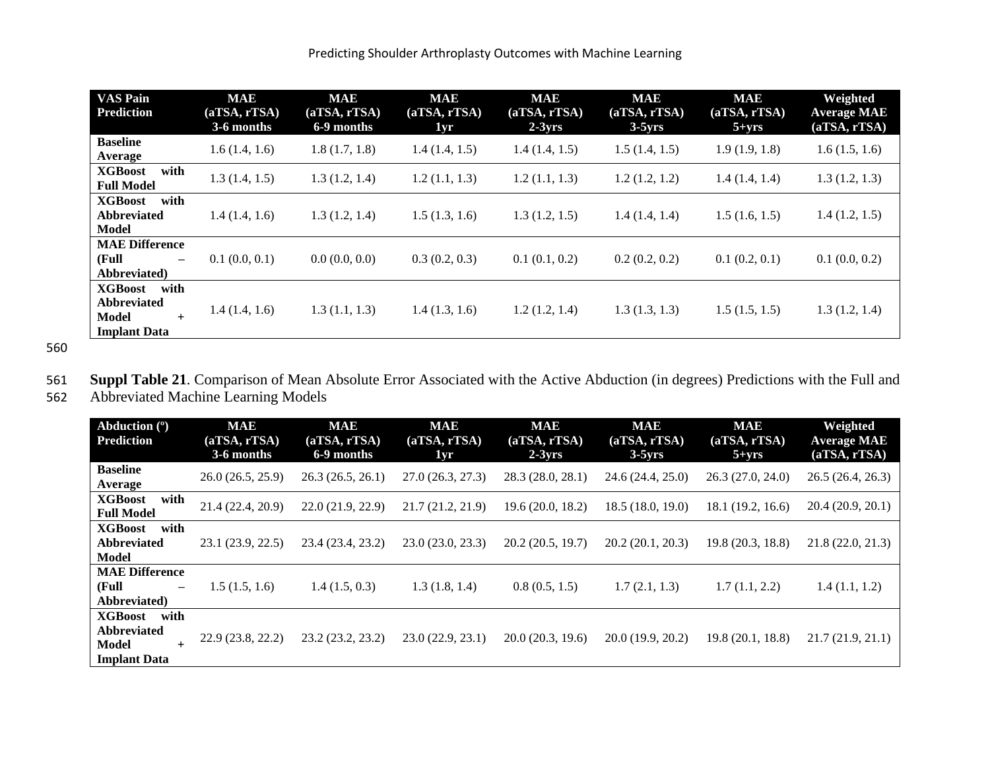| <b>VAS Pain</b>                                                                            | <b>MAE</b>    | <b>MAE</b>    | <b>MAE</b>    | <b>MAE</b>    | <b>MAE</b>    | <b>MAE</b>    | Weighted           |
|--------------------------------------------------------------------------------------------|---------------|---------------|---------------|---------------|---------------|---------------|--------------------|
| <b>Prediction</b>                                                                          | (aTSA, rTSA)  | (aTSA, rTSA)  | (aTSA, rTSA)  | (aTSA, rTSA)  | (aTSA, rTSA)  | (aTSA, rTSA)  | <b>Average MAE</b> |
|                                                                                            | 3-6 months    | 6-9 months    | 1yr           | $2-3yrs$      | $3-5yrs$      | $5 + yrs$     | (aTSA, rTSA)       |
| <b>Baseline</b><br>Average                                                                 | 1.6(1.4, 1.6) | 1.8(1.7, 1.8) | 1.4(1.4, 1.5) | 1.4(1.4, 1.5) | 1.5(1.4, 1.5) | 1.9(1.9, 1.8) | 1.6(1.5, 1.6)      |
| <b>XGBoost</b><br>with<br><b>Full Model</b>                                                | 1.3(1.4, 1.5) | 1.3(1.2, 1.4) | 1.2(1.1, 1.3) | 1.2(1.1, 1.3) | 1.2(1.2, 1.2) | 1.4(1.4, 1.4) | 1.3(1.2, 1.3)      |
| <b>XGBoost</b><br>with<br><b>Abbreviated</b><br>Model                                      | 1.4(1.4, 1.6) | 1.3(1.2, 1.4) | 1.5(1.3, 1.6) | 1.3(1.2, 1.5) | 1.4(1.4, 1.4) | 1.5(1.6, 1.5) | 1.4(1.2, 1.5)      |
| <b>MAE Difference</b><br>(Full<br>$\qquad \qquad -$<br>Abbreviated)                        | 0.1(0.0, 0.1) | 0.0(0.0, 0.0) | 0.3(0.2, 0.3) | 0.1(0.1, 0.2) | 0.2(0.2, 0.2) | 0.1(0.2, 0.1) | 0.1(0.0, 0.2)      |
| <b>XGBoost</b><br>with<br><b>Abbreviated</b><br><b>Model</b><br>$+$<br><b>Implant Data</b> | 1.4(1.4, 1.6) | 1.3(1.1, 1.3) | 1.4(1.3, 1.6) | 1.2(1.2, 1.4) | 1.3(1.3, 1.3) | 1.5(1.5, 1.5) | 1.3(1.2, 1.4)      |

561 **Suppl Table 21**. Comparison of Mean Absolute Error Associated with the Active Abduction (in degrees) Predictions with the Full and 562 Abbreviated Machine Learning Models

| Abduction $(°)$<br>Prediction                                                              | <b>MAE</b><br>(aTSA, rTSA)<br>3-6 months | <b>MAE</b><br>(aTSA, rTSA)<br>6-9 months | <b>MAE</b><br>(aTSA, rTSA)<br>1yr | <b>MAE</b><br>(aTSA, rTSA)<br>$2-3yrs$ | <b>MAE</b><br>(aTSA, rTSA)<br>$3-5yrs$ | <b>MAE</b><br>(aTSA, rTSA)<br>$5 + yrs$ | Weighted<br><b>Average MAE</b><br>(aTSA, rTSA) |
|--------------------------------------------------------------------------------------------|------------------------------------------|------------------------------------------|-----------------------------------|----------------------------------------|----------------------------------------|-----------------------------------------|------------------------------------------------|
| <b>Baseline</b><br>Average                                                                 | 26.0(26.5, 25.9)                         | 26.3(26.5, 26.1)                         | 27.0(26.3, 27.3)                  | 28.3 (28.0, 28.1)                      | 24.6 (24.4, 25.0)                      | 26.3 (27.0, 24.0)                       | 26.5(26.4, 26.3)                               |
| <b>XGBoost</b><br>with<br><b>Full Model</b>                                                | 21.4 (22.4, 20.9)                        | 22.0(21.9, 22.9)                         | 21.7(21.2, 21.9)                  | 19.6(20.0, 18.2)                       | 18.5(18.0, 19.0)                       | 18.1 (19.2, 16.6)                       | 20.4(20.9, 20.1)                               |
| with<br><b>XGBoost</b><br><b>Abbreviated</b><br><b>Model</b>                               | 23.1 (23.9, 22.5)                        | 23.4 (23.4, 23.2)                        | 23.0(23.0, 23.3)                  | 20.2(20.5, 19.7)                       | 20.2(20.1, 20.3)                       | 19.8 (20.3, 18.8)                       | 21.8(22.0, 21.3)                               |
| <b>MAE Difference</b><br>(Full<br>$\overline{\phantom{0}}$<br>Abbreviated)                 | 1.5(1.5, 1.6)                            | 1.4(1.5, 0.3)                            | 1.3(1.8, 1.4)                     | 0.8(0.5, 1.5)                          | 1.7(2.1, 1.3)                          | 1.7(1.1, 2.2)                           | 1.4(1.1, 1.2)                                  |
| <b>XGBoost</b><br>with<br><b>Abbreviated</b><br><b>Model</b><br>$+$<br><b>Implant Data</b> | 22.9(23.8, 22.2)                         | 23.2(23.2, 23.2)                         | 23.0(22.9, 23.1)                  | 20.0(20.3, 19.6)                       | 20.0(19.9, 20.2)                       | 19.8(20.1, 18.8)                        | 21.7(21.9, 21.1)                               |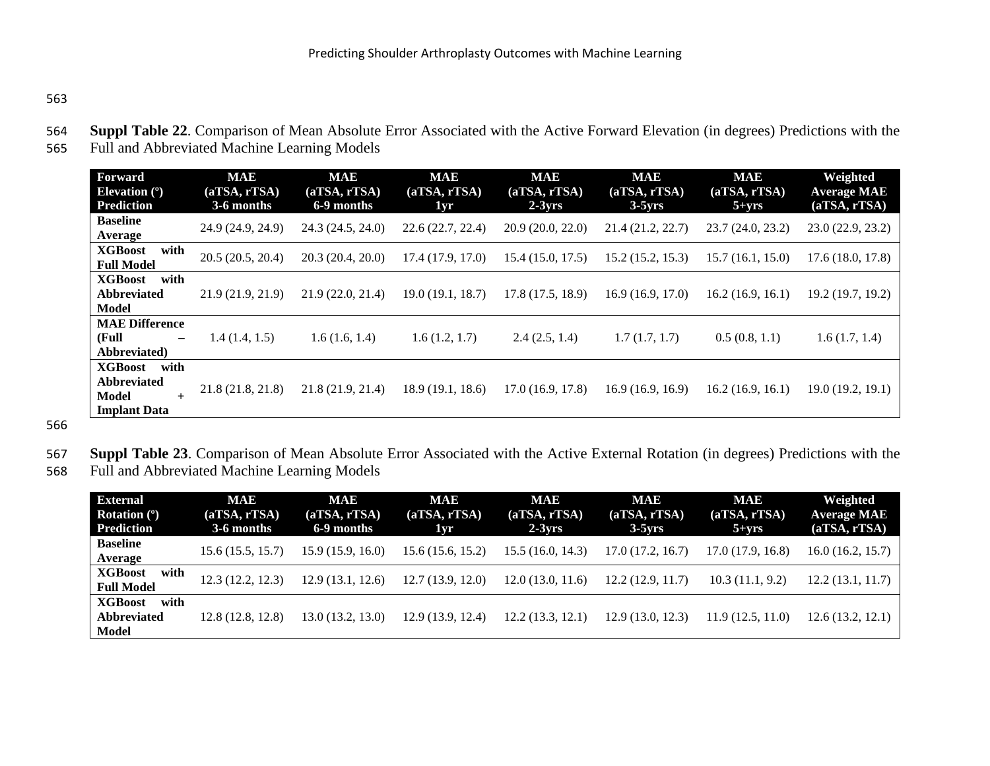- 564 **Suppl Table 22**. Comparison of Mean Absolute Error Associated with the Active Forward Elevation (in degrees) Predictions with the
- 565 Full and Abbreviated Machine Learning Models

| <b>Forward</b><br>Elevation $(°)$<br><b>Prediction</b>                              | <b>MAE</b><br>(aTSA, rTSA)<br>3-6 months | <b>MAE</b><br>(aTSA, rTSA)<br>6-9 months | <b>MAE</b><br>(aTSA, rTSA)<br>1yr | <b>MAE</b><br>(aTSA, rTSA)<br>$2-3yrs$ | <b>MAE</b><br>(aTSA, rTSA)<br>$3-5yrs$ | <b>MAE</b><br>(aTSA, rTSA)<br>$5 + yrs$ | Weighted<br><b>Average MAE</b><br>(aTSA, rTSA) |
|-------------------------------------------------------------------------------------|------------------------------------------|------------------------------------------|-----------------------------------|----------------------------------------|----------------------------------------|-----------------------------------------|------------------------------------------------|
| <b>Baseline</b><br>Average                                                          | 24.9 (24.9, 24.9)                        | 24.3(24.5, 24.0)                         | 22.6(22.7, 22.4)                  | 20.9(20.0, 22.0)                       | 21.4 (21.2, 22.7)                      | 23.7(24.0, 23.2)                        | 23.0(22.9, 23.2)                               |
| <b>XGBoost</b><br>with<br><b>Full Model</b>                                         | 20.5(20.5, 20.4)                         | 20.3(20.4, 20.0)                         | 17.4(17.9, 17.0)                  | 15.4(15.0, 17.5)                       | 15.2(15.2, 15.3)                       | 15.7(16.1, 15.0)                        | 17.6(18.0, 17.8)                               |
| <b>XGBoost</b><br>with<br><b>Abbreviated</b><br>Model                               | 21.9(21.9, 21.9)                         | 21.9(22.0, 21.4)                         | 19.0(19.1, 18.7)                  | 17.8(17.5, 18.9)                       | 16.9(16.9, 17.0)                       | 16.2(16.9, 16.1)                        | 19.2 (19.7, 19.2)                              |
| <b>MAE Difference</b><br>(Full<br>$\overline{\phantom{m}}$<br>Abbreviated)          | 1.4(1.4, 1.5)                            | 1.6(1.6, 1.4)                            | 1.6(1.2, 1.7)                     | 2.4(2.5, 1.4)                          | 1.7(1.7, 1.7)                          | 0.5(0.8, 1.1)                           | 1.6(1.7, 1.4)                                  |
| with<br><b>XGBoost</b><br><b>Abbreviated</b><br>Model<br>$+$<br><b>Implant Data</b> | 21.8(21.8, 21.8)                         | 21.8(21.9, 21.4)                         | 18.9 (19.1, 18.6)                 | 17.0 (16.9, 17.8)                      | 16.9(16.9, 16.9)                       | 16.2(16.9, 16.1)                        | 19.0(19.2, 19.1)                               |

566

567 **Suppl Table 23**. Comparison of Mean Absolute Error Associated with the Active External Rotation (in degrees) Predictions with the

568 Full and Abbreviated Machine Learning Models

| <b>External</b><br>Rotation $(°)$<br><b>Prediction</b> | <b>MAE</b><br>(aTSA, rTSA)<br>3-6 months | <b>MAE</b><br>(aTSA, rTSA)<br>6-9 months | <b>MAE</b><br>(aTSA, rTSA)<br>1yr | <b>MAE</b><br>(aTSA, rTSA)<br>$2-3yrs$ | <b>MAE</b><br>(aTSA, rTSA)<br>$3-5yrs$ | <b>MAE</b><br>(aTSA, rTSA)<br>$5 + yrs$ | Weighted<br><b>Average MAE</b><br>(aTSA, rTSA) |
|--------------------------------------------------------|------------------------------------------|------------------------------------------|-----------------------------------|----------------------------------------|----------------------------------------|-----------------------------------------|------------------------------------------------|
| <b>Baseline</b><br>Average                             | 15.6(15.5, 15.7)                         | 15.9 (15.9, 16.0)                        | 15.6(15.6, 15.2)                  | 15.5 (16.0, 14.3)                      | 17.0(17.2, 16.7)                       | 17.0(17.9, 16.8)                        | 16.0(16.2, 15.7)                               |
| <b>XGBoost</b><br>with<br><b>Full Model</b>            | 12.3(12.2, 12.3)                         | 12.9(13.1, 12.6)                         | 12.7(13.9, 12.0)                  | 12.0(13.0, 11.6)                       | 12.2(12.9, 11.7)                       | 10.3(11.1, 9.2)                         | 12.2(13.1, 11.7)                               |
| <b>XGBoost</b><br>with<br><b>Abbreviated</b><br>Model  | 12.8(12.8, 12.8)                         | 13.0 (13.2, 13.0)                        | 12.9(13.9, 12.4)                  | 12.2(13.3, 12.1)                       | 12.9(13.0, 12.3)                       | 11.9(12.5, 11.0)                        | 12.6(13.2, 12.1)                               |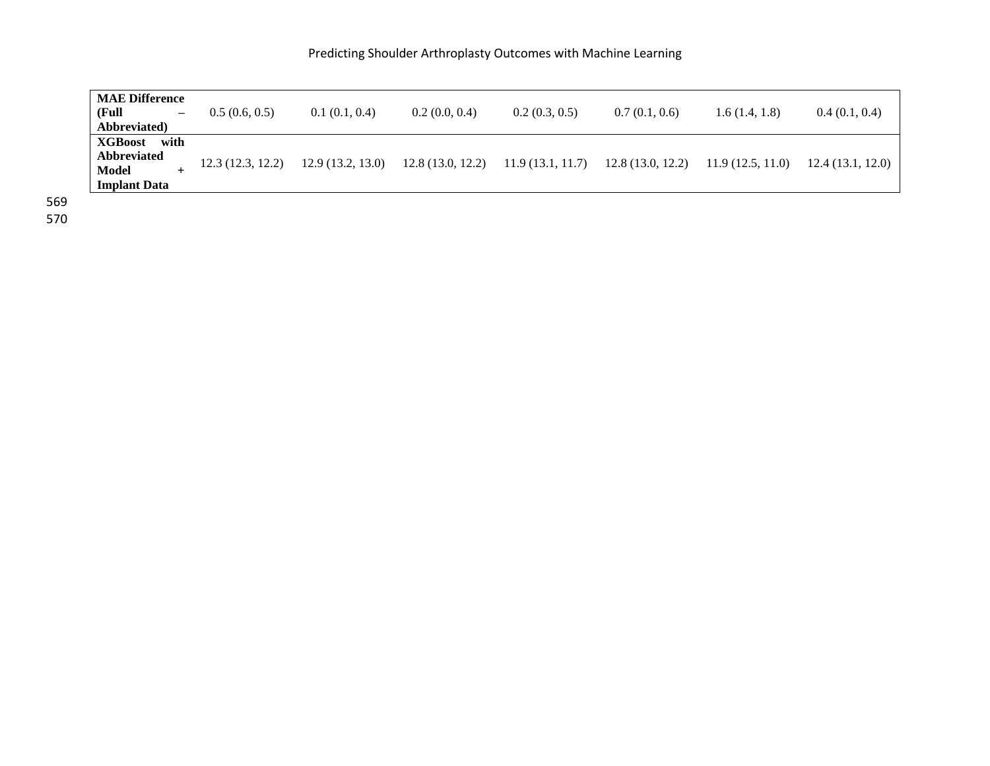| <b>MAE Difference</b><br>(Full)<br>$-$<br>Abbreviated                     | 0.5(0.6, 0.5)    | 0.1(0.1, 0.4)    | 0.2(0.0, 0.4)    | 0.2(0.3, 0.5)    | 0.7(0.1, 0.6)    | 1.6(1.4, 1.8)    | 0.4(0.1, 0.4)     |
|---------------------------------------------------------------------------|------------------|------------------|------------------|------------------|------------------|------------------|-------------------|
| <b>XGBoost</b> with<br><b>Abbreviated</b><br>Model<br><b>Implant Data</b> | 12.3(12.3, 12.2) | 12.9(13.2, 13.0) | 12.8(13.0, 12.2) | 11.9(13.1, 11.7) | 12.8(13.0, 12.2) | 11.9(12.5, 11.0) | 12.4 (13.1, 12.0) |

570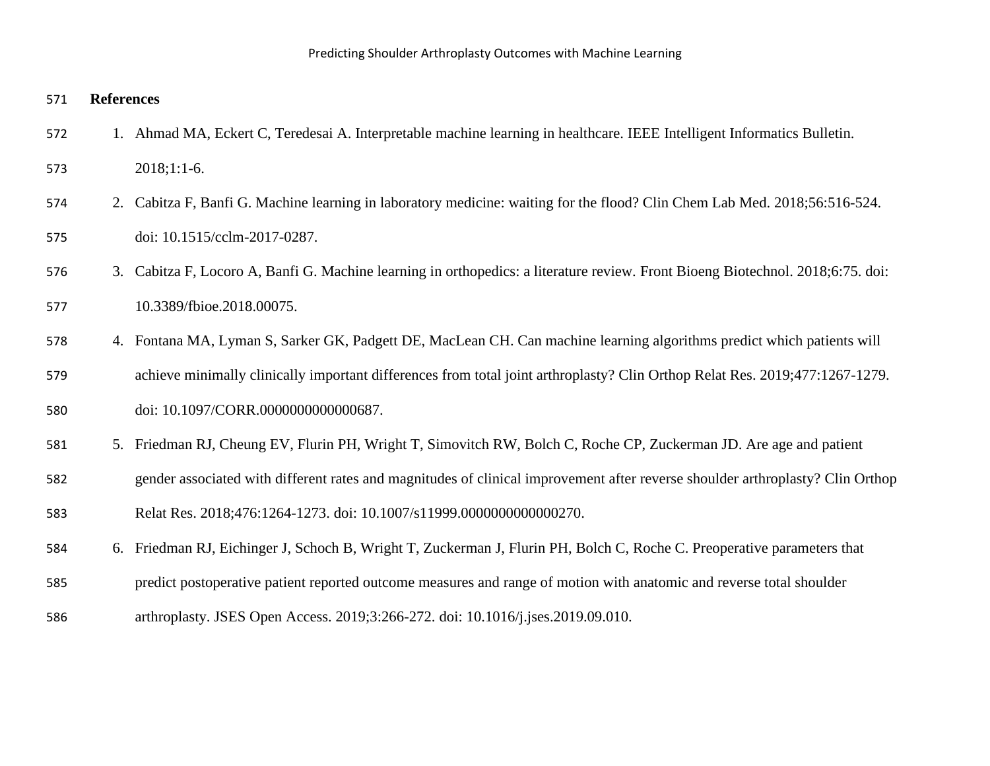### **References**

- 1. Ahmad MA, Eckert C, Teredesai A. Interpretable machine learning in healthcare. IEEE Intelligent Informatics Bulletin.
- 2018;1:1-6.
- 2. Cabitza F, Banfi G. Machine learning in laboratory medicine: waiting for the flood? Clin Chem Lab Med. 2018;56:516-524. doi: 10.1515/cclm-2017-0287.
- 3. Cabitza F, Locoro A, Banfi G. Machine learning in orthopedics: a literature review. Front Bioeng Biotechnol. 2018;6:75. doi: 10.3389/fbioe.2018.00075.
- 4. Fontana MA, Lyman S, Sarker GK, Padgett DE, MacLean CH. Can machine learning algorithms predict which patients will achieve minimally clinically important differences from total joint arthroplasty? Clin Orthop Relat Res. 2019;477:1267-1279. doi: 10.1097/CORR.0000000000000687.
- 5. Friedman RJ, Cheung EV, Flurin PH, Wright T, Simovitch RW, Bolch C, Roche CP, Zuckerman JD. Are age and patient
- gender associated with different rates and magnitudes of clinical improvement after reverse shoulder arthroplasty? Clin Orthop
- Relat Res. 2018;476:1264-1273. doi: 10.1007/s11999.0000000000000270.
- 6. Friedman RJ, Eichinger J, Schoch B, Wright T, Zuckerman J, Flurin PH, Bolch C, Roche C. Preoperative parameters that
- predict postoperative patient reported outcome measures and range of motion with anatomic and reverse total shoulder
- arthroplasty. JSES Open Access. 2019;3:266-272. doi: 10.1016/j.jses.2019.09.010.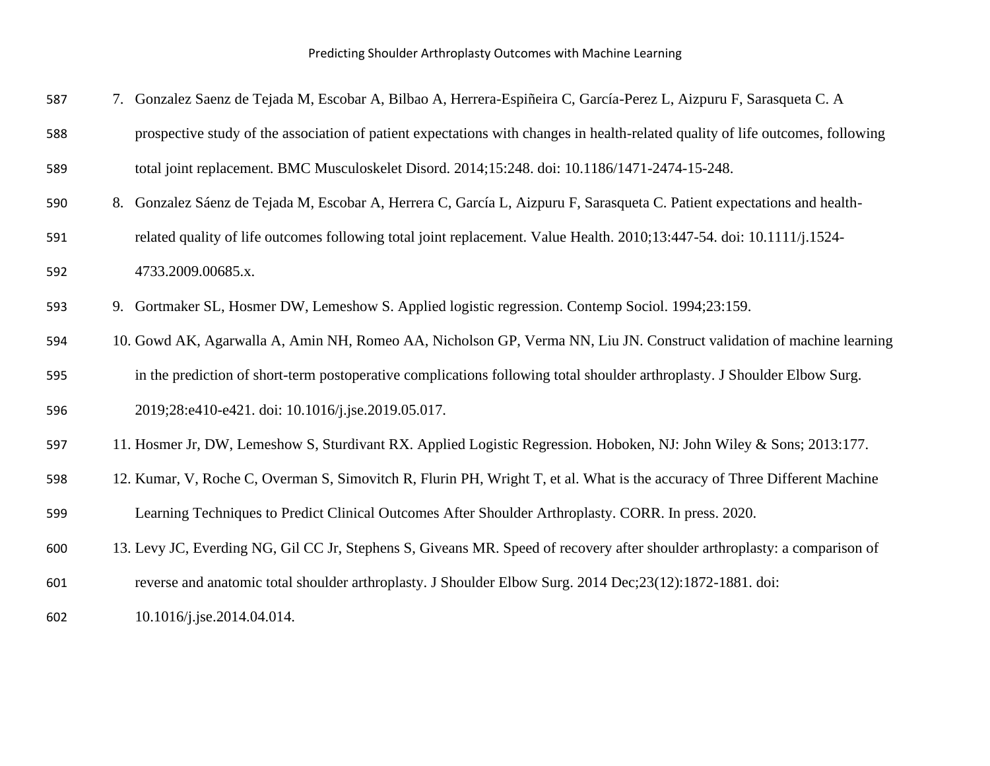| 587 | 7. Gonzalez Saenz de Tejada M, Escobar A, Bilbao A, Herrera-Espiñeira C, García-Perez L, Aizpuru F, Sarasqueta C. A             |
|-----|---------------------------------------------------------------------------------------------------------------------------------|
| 588 | prospective study of the association of patient expectations with changes in health-related quality of life outcomes, following |
| 589 | total joint replacement. BMC Musculoskelet Disord. 2014;15:248. doi: 10.1186/1471-2474-15-248.                                  |
| 590 | 8. Gonzalez Sáenz de Tejada M, Escobar A, Herrera C, García L, Aizpuru F, Sarasqueta C. Patient expectations and health-        |
| 591 | related quality of life outcomes following total joint replacement. Value Health. 2010;13:447-54. doi: 10.1111/j.1524-          |
| 592 | 4733.2009.00685.x.                                                                                                              |
| 593 | 9. Gortmaker SL, Hosmer DW, Lemeshow S. Applied logistic regression. Contemp Sociol. 1994;23:159.                               |
| 594 | 10. Gowd AK, Agarwalla A, Amin NH, Romeo AA, Nicholson GP, Verma NN, Liu JN. Construct validation of machine learning           |
| 595 | in the prediction of short-term postoperative complications following total shoulder arthroplasty. J Shoulder Elbow Surg.       |
| 596 | 2019;28:e410-e421. doi: 10.1016/j.jse.2019.05.017.                                                                              |
| 597 | 11. Hosmer Jr, DW, Lemeshow S, Sturdivant RX. Applied Logistic Regression. Hoboken, NJ: John Wiley & Sons; 2013:177.            |
| 598 | 12. Kumar, V, Roche C, Overman S, Simovitch R, Flurin PH, Wright T, et al. What is the accuracy of Three Different Machine      |
| 599 | Learning Techniques to Predict Clinical Outcomes After Shoulder Arthroplasty. CORR. In press. 2020.                             |
| 600 | 13. Levy JC, Everding NG, Gil CC Jr, Stephens S, Giveans MR. Speed of recovery after shoulder arthroplasty: a comparison of     |
| 601 | reverse and anatomic total shoulder arthroplasty. J Shoulder Elbow Surg. 2014 Dec;23(12):1872-1881. doi:                        |
| 602 | 10.1016/j.jse.2014.04.014.                                                                                                      |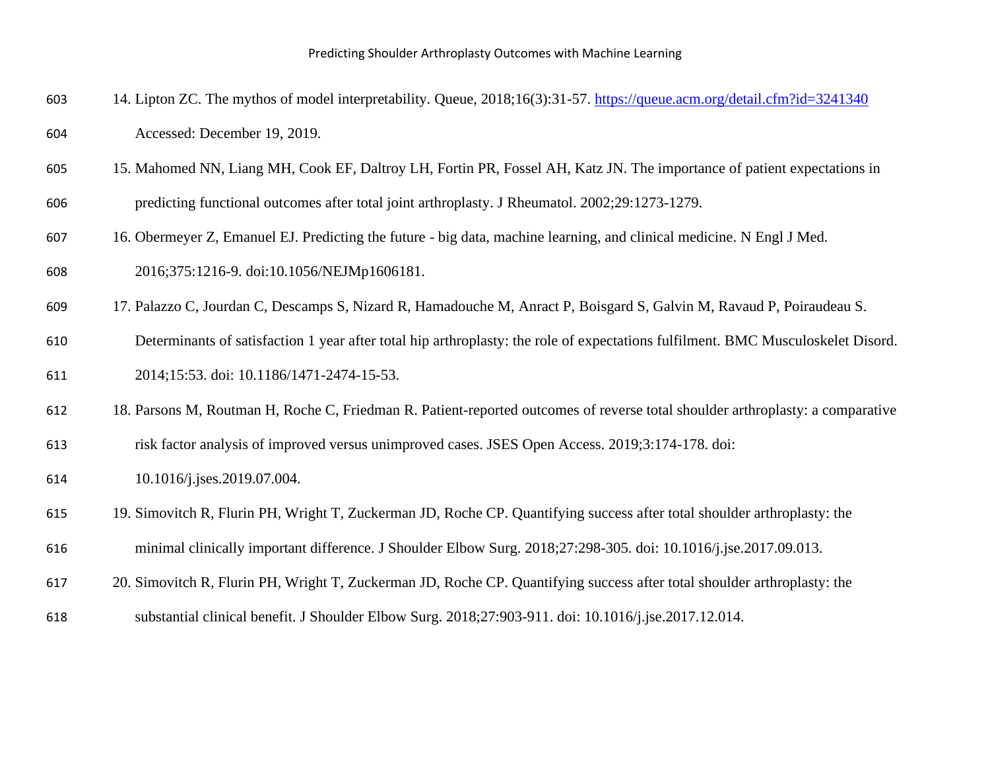- 14. Lipton ZC. The mythos of model interpretability. Queue, 2018;16(3):31-57.<https://queue.acm.org/detail.cfm?id=3241340> Accessed: December 19, 2019.
- 15. Mahomed NN, Liang MH, Cook EF, Daltroy LH, Fortin PR, Fossel AH, Katz JN. The importance of patient expectations in predicting functional outcomes after total joint arthroplasty. J Rheumatol. 2002;29:1273-1279.
- 16. Obermeyer Z, Emanuel EJ. Predicting the future big data, machine learning, and clinical medicine. N Engl J Med. 2016;375:1216-9. doi:10.1056/NEJMp1606181.
- 17. Palazzo C, Jourdan C, Descamps S, Nizard R, Hamadouche M, Anract P, Boisgard S, Galvin M, Ravaud P, Poiraudeau S.
- Determinants of satisfaction 1 year after total hip arthroplasty: the role of expectations fulfilment. BMC Musculoskelet Disord. 2014;15:53. doi: 10.1186/1471-2474-15-53.
- 18. Parsons M, Routman H, Roche C, Friedman R. Patient-reported outcomes of reverse total shoulder arthroplasty: a comparative
- risk factor analysis of improved versus unimproved cases. JSES Open Access. 2019;3:174-178. doi:
- 10.1016/j.jses.2019.07.004.
- 19. Simovitch R, Flurin PH, Wright T, Zuckerman JD, Roche CP. Quantifying success after total shoulder arthroplasty: the minimal clinically important difference. J Shoulder Elbow Surg. 2018;27:298-305. doi: 10.1016/j.jse.2017.09.013.
- 20. Simovitch R, Flurin PH, Wright T, Zuckerman JD, Roche CP. Quantifying success after total shoulder arthroplasty: the
- substantial clinical benefit. J Shoulder Elbow Surg. 2018;27:903-911. doi: 10.1016/j.jse.2017.12.014.